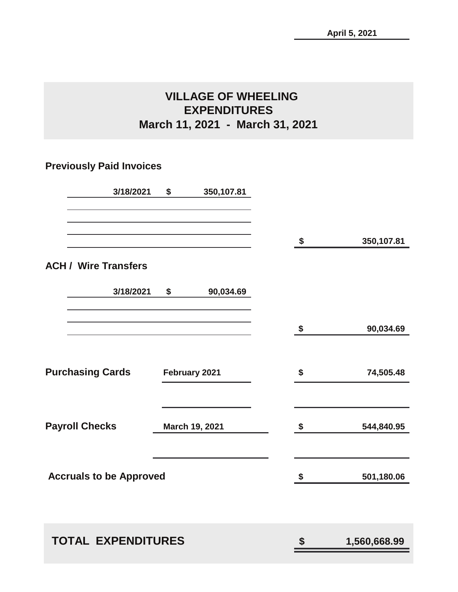# **VILLAGE OF WHEELING EXPENDITURES March 11, 2021 - March 31, 2021**

# **Previously Paid Invoices**

| 3/18/2021                             | \$<br>350,107.81 |                            |              |
|---------------------------------------|------------------|----------------------------|--------------|
|                                       |                  | \$                         | 350,107.81   |
| <b>ACH / Wire Transfers</b>           |                  |                            |              |
| 3/18/2021                             | \$<br>90,034.69  |                            |              |
|                                       |                  | \$                         | 90,034.69    |
| <b>Purchasing Cards February 2021</b> |                  | \$                         | 74,505.48    |
| <b>Payroll Checks</b>                 | March 19, 2021   | \$                         | 544,840.95   |
| <b>Accruals to be Approved</b>        |                  | $\boldsymbol{\mathsf{\$}}$ | 501,180.06   |
| <b>TOTAL EXPENDITURES</b>             |                  | \$                         | 1,560,668.99 |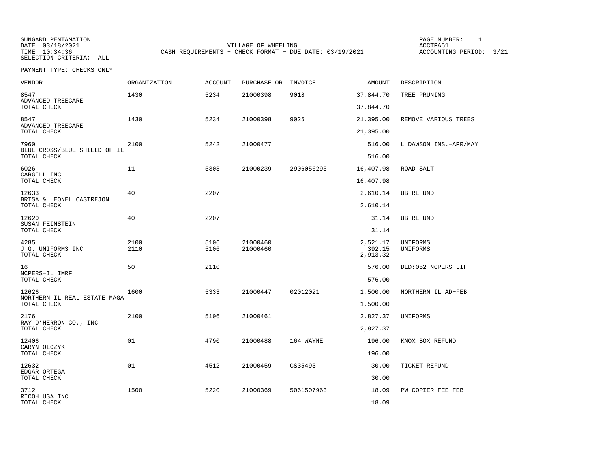SUNGARD PENTAMATION PAGE NUMBER: 1SELECTION CRITERIA: ALL

DATE: 03/18/2021 VILLAGE OF WHEELING ACCTPA51CASH REQUIREMENTS - CHECK FORMAT - DUE DATE: 03/19/2021

ACCOUNTING PERIOD: 3/21

PAYMENT TYPE: CHECKS ONLY

| <b>VENDOR</b>                            | ORGANIZATION | <b>ACCOUNT</b> | PURCHASE OR INVOICE  |            | AMOUNT                         | DESCRIPTION           |
|------------------------------------------|--------------|----------------|----------------------|------------|--------------------------------|-----------------------|
| 8547<br>ADVANCED TREECARE<br>TOTAL CHECK | 1430         | 5234           | 21000398             | 9018       | 37,844.70<br>37,844.70         | TREE PRUNING          |
|                                          |              |                |                      |            |                                |                       |
| 8547<br>ADVANCED TREECARE<br>TOTAL CHECK | 1430         | 5234           | 21000398             | 9025       | 21,395.00<br>21,395.00         | REMOVE VARIOUS TREES  |
| 7960<br>BLUE CROSS/BLUE SHIELD OF IL     | 2100         | 5242           | 21000477             |            | 516.00                         | L DAWSON INS.-APR/MAY |
| TOTAL CHECK                              |              |                |                      |            | 516.00                         |                       |
| 6026<br>CARGILL INC                      | 11           | 5303           | 21000239             | 2906056295 | 16,407.98                      | ROAD SALT             |
| TOTAL CHECK                              |              |                |                      |            | 16,407.98                      |                       |
| 12633<br>BRISA & LEONEL CASTREJON        | 40           | 2207           |                      |            | 2,610.14                       | UB REFUND             |
| TOTAL CHECK                              |              |                |                      |            | 2,610.14                       |                       |
| 12620<br>SUSAN FEINSTEIN                 | 40           | 2207           |                      |            | 31.14                          | <b>UB REFUND</b>      |
| TOTAL CHECK                              |              |                |                      |            | 31.14                          |                       |
| 4285<br>J.G. UNIFORMS INC<br>TOTAL CHECK | 2100<br>2110 | 5106<br>5106   | 21000460<br>21000460 |            | 2,521.17<br>392.15<br>2,913.32 | UNIFORMS<br>UNIFORMS  |
| 16<br>NCPERS-IL IMRF                     | 50           | 2110           |                      |            | 576.00                         | DED:052 NCPERS LIF    |
| TOTAL CHECK                              |              |                |                      |            | 576.00                         |                       |
| 12626<br>NORTHERN IL REAL ESTATE MAGA    | 1600         | 5333           | 21000447             | 02012021   | 1,500.00                       | NORTHERN IL AD-FEB    |
| TOTAL CHECK                              |              |                |                      |            | 1,500.00                       |                       |
| 2176<br>RAY O'HERRON CO., INC            | 2100         | 5106           | 21000461             |            | 2,827.37                       | UNIFORMS              |
| TOTAL CHECK                              |              |                |                      |            | 2,827.37                       |                       |
| 12406<br>CARYN OLCZYK                    | 01           | 4790           | 21000488             | 164 WAYNE  | 196.00                         | KNOX BOX REFUND       |
| TOTAL CHECK                              |              |                |                      |            | 196.00                         |                       |
| 12632<br>EDGAR ORTEGA                    | 01           | 4512           | 21000459             | CS35493    | 30.00                          | TICKET REFUND         |
| TOTAL CHECK                              |              |                |                      |            | 30.00                          |                       |
| 3712<br>RICOH USA INC                    | 1500         | 5220           | 21000369             | 5061507963 | 18.09                          | PW COPIER FEE-FEB     |
| TOTAL CHECK                              |              |                |                      |            | 18.09                          |                       |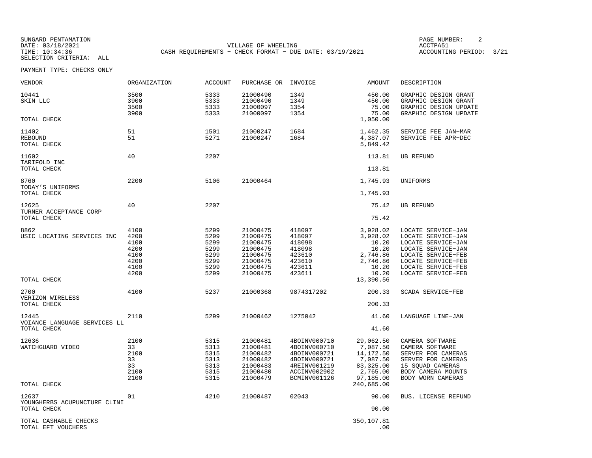SELECTION CRITERIA: ALL

SUNGARD PENTAMATION PAGE NUMBER: 2VILLAGE OF WHEELING **ACCTPA51** TIME: 10:34:36 CASH REQUIREMENTS - CHECK FORMAT - DUE DATE: 03/19/2021

ACCOUNTING PERIOD: 3/21

PAYMENT TYPE: CHECKS ONLY

| VENDOR                                      | ORGANIZATION                                                 | <b>ACCOUNT</b>                                               | PURCHASE OR                                                                                  | INVOICE                                                                                                      | AMOUNT                                                                                 | DESCRIPTION                                                                                                                                                                  |
|---------------------------------------------|--------------------------------------------------------------|--------------------------------------------------------------|----------------------------------------------------------------------------------------------|--------------------------------------------------------------------------------------------------------------|----------------------------------------------------------------------------------------|------------------------------------------------------------------------------------------------------------------------------------------------------------------------------|
| 10441<br>SKIN LLC                           | 3500<br>3900<br>3500<br>3900                                 | 5333<br>5333<br>5333<br>5333                                 | 21000490<br>21000490<br>21000097<br>21000097                                                 | 1349<br>1349<br>1354<br>1354                                                                                 | 450.00<br>450.00<br>75.00<br>75.00                                                     | GRAPHIC DESIGN GRANT<br>GRAPHIC DESIGN GRANT<br>GRAPHIC DESIGN UPDATE<br>GRAPHIC DESIGN UPDATE                                                                               |
| TOTAL CHECK                                 |                                                              |                                                              |                                                                                              |                                                                                                              | 1,050.00                                                                               |                                                                                                                                                                              |
| 11402<br>REBOUND<br>TOTAL CHECK             | 51<br>51                                                     | 1501<br>5271                                                 | 21000247<br>21000247                                                                         | 1684<br>1684                                                                                                 | 1,462.35<br>4,387.07<br>5,849.42                                                       | SERVICE FEE JAN-MAR<br>SERVICE FEE APR-DEC                                                                                                                                   |
| 11602<br>TARIFOLD INC                       | 40                                                           | 2207                                                         |                                                                                              |                                                                                                              | 113.81                                                                                 | <b>UB REFUND</b>                                                                                                                                                             |
| TOTAL CHECK                                 |                                                              |                                                              |                                                                                              |                                                                                                              | 113.81                                                                                 |                                                                                                                                                                              |
| 8760<br>TODAY'S UNIFORMS                    | 2200                                                         | 5106                                                         | 21000464                                                                                     |                                                                                                              | 1,745.93                                                                               | UNIFORMS                                                                                                                                                                     |
| TOTAL CHECK                                 |                                                              |                                                              |                                                                                              |                                                                                                              | 1,745.93                                                                               |                                                                                                                                                                              |
| 12625<br>TURNER ACCEPTANCE CORP             | 40                                                           | 2207                                                         |                                                                                              |                                                                                                              | 75.42                                                                                  | <b>UB REFUND</b>                                                                                                                                                             |
| TOTAL CHECK                                 |                                                              |                                                              |                                                                                              |                                                                                                              | 75.42                                                                                  |                                                                                                                                                                              |
| 8862<br>USIC LOCATING SERVICES INC          | 4100<br>4200<br>4100<br>4200<br>4100<br>4200<br>4100<br>4200 | 5299<br>5299<br>5299<br>5299<br>5299<br>5299<br>5299<br>5299 | 21000475<br>21000475<br>21000475<br>21000475<br>21000475<br>21000475<br>21000475<br>21000475 | 418097<br>418097<br>418098<br>418098<br>423610<br>423610<br>423611<br>423611                                 | 3,928.02<br>3,928.02<br>10.20<br>10.20<br>2,746.86<br>2,746.86<br>10.20<br>10.20       | LOCATE SERVICE-JAN<br>LOCATE SERVICE-JAN<br>LOCATE SERVICE-JAN<br>LOCATE SERVICE-JAN<br>LOCATE SERVICE-FEB<br>LOCATE SERVICE-FEB<br>LOCATE SERVICE-FEB<br>LOCATE SERVICE-FEB |
| TOTAL CHECK                                 |                                                              |                                                              |                                                                                              |                                                                                                              | 13,390.56                                                                              |                                                                                                                                                                              |
| 2700<br>VERIZON WIRELESS<br>TOTAL CHECK     | 4100                                                         | 5237                                                         | 21000368                                                                                     | 9874317202                                                                                                   | 200.33<br>200.33                                                                       | SCADA SERVICE-FEB                                                                                                                                                            |
| 12445                                       | 2110                                                         | 5299                                                         | 21000462                                                                                     | 1275042                                                                                                      | 41.60                                                                                  | LANGUAGE LINE-JAN                                                                                                                                                            |
| VOIANCE LANGUAGE SERVICES LL<br>TOTAL CHECK |                                                              |                                                              |                                                                                              |                                                                                                              | 41.60                                                                                  |                                                                                                                                                                              |
| 12636<br>WATCHGUARD VIDEO                   | 2100<br>33<br>2100<br>33<br>33<br>2100<br>2100               | 5315<br>5313<br>5315<br>5313<br>5313<br>5315<br>5315         | 21000481<br>21000481<br>21000482<br>21000482<br>21000483<br>21000480<br>21000479             | 4BOINV000710<br>4B0INV000710<br>4B0INV000721<br>4B0INV000721<br>4REINV001219<br>ACCINV002902<br>BCMINV001126 | 29,062.50<br>7,087.50<br>14, 172.50<br>7,087.50<br>83, 325.00<br>2,765.00<br>97,185.00 | CAMERA SOFTWARE<br>CAMERA SOFTWARE<br>SERVER FOR CAMERAS<br>SERVER FOR CAMERAS<br>15 SQUAD CAMERAS<br>BODY CAMERA MOUNTS<br>BODY WORN CAMERAS                                |
| TOTAL CHECK                                 |                                                              |                                                              |                                                                                              |                                                                                                              | 240,685.00                                                                             |                                                                                                                                                                              |
| 12637<br>YOUNGHERBS ACUPUNCTURE CLINI       | 01                                                           | 4210                                                         | 21000487                                                                                     | 02043                                                                                                        | 90.00                                                                                  | BUS. LICENSE REFUND                                                                                                                                                          |
| TOTAL CHECK                                 |                                                              |                                                              |                                                                                              |                                                                                                              | 90.00                                                                                  |                                                                                                                                                                              |
| TOTAL CASHABLE CHECKS<br>TOTAL EFT VOUCHERS |                                                              |                                                              |                                                                                              |                                                                                                              | 350,107.81<br>.00                                                                      |                                                                                                                                                                              |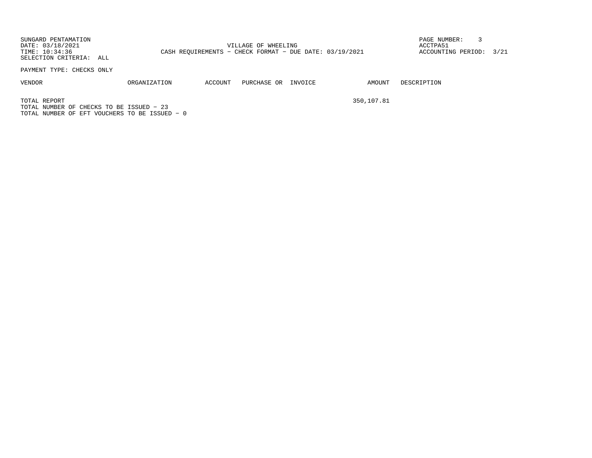SUNGARD PENTAMATION PAGE NUMBER: 3DATE: 03/18/2021 VILLAGE OF WHEELING ACCTPA51TIME: 10:34:36 CASH REQUIREMENTS - CHECK FORMAT - DUE DATE: 03/19/2021 SELECTION CRITERIA: ALL

ACCOUNTING PERIOD: 3/21

PAYMENT TYPE: CHECKS ONLY

VENDOR ORGANIZATION ACCOUNT PURCHASE OR INVOICE AMOUNT DESCRIPTION

TOTAL REPORT 350,107.81 TOTAL NUMBER OF CHECKS TO BE ISSUED − 23TOTAL NUMBER OF EFT VOUCHERS TO BE ISSUED − 0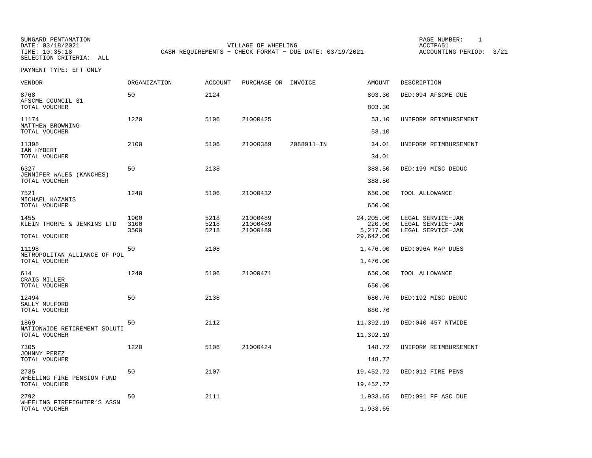SELECTION CRITERIA: ALL

SUNGARD PENTAMATION PAGE NUMBER: 1DATE: 03/18/2021 VILLAGE OF WHEELING ACCTPA51CASH REQUIREMENTS - CHECK FORMAT - DUE DATE: 03/19/2021

ACCOUNTING PERIOD: 3/21

PAYMENT TYPE: EFT ONLY

| <b>VENDOR</b>                                          | <b>ORGANIZATION</b>  | <b>ACCOUNT</b>       | PURCHASE OR INVOICE              |            | <b>AMOUNT</b>                   | DESCRIPTION                                                 |
|--------------------------------------------------------|----------------------|----------------------|----------------------------------|------------|---------------------------------|-------------------------------------------------------------|
| 8768<br>AFSCME COUNCIL 31                              | 50                   | 2124                 |                                  |            | 803.30                          | DED:094 AFSCME DUE                                          |
| TOTAL VOUCHER                                          |                      |                      |                                  |            | 803.30                          |                                                             |
| 11174<br>MATTHEW BROWNING<br>TOTAL VOUCHER             | 1220                 | 5106                 | 21000425                         |            | 53.10<br>53.10                  | UNIFORM REIMBURSEMENT                                       |
| 11398                                                  | 2100                 | 5106                 | 21000389                         | 2088911-IN | 34.01                           | UNIFORM REIMBURSEMENT                                       |
| IAN HYBERT<br>TOTAL VOUCHER                            |                      |                      |                                  |            | 34.01                           |                                                             |
| 6327<br>JENNIFER WALES (KANCHES)                       | 50                   | 2138                 |                                  |            | 388.50                          | DED:199 MISC DEDUC                                          |
| TOTAL VOUCHER                                          |                      |                      |                                  |            | 388.50                          |                                                             |
| 7521<br>MICHAEL KAZANIS<br>TOTAL VOUCHER               | 1240                 | 5106                 | 21000432                         |            | 650.00<br>650.00                | TOOL ALLOWANCE                                              |
|                                                        |                      |                      |                                  |            |                                 |                                                             |
| 1455<br>KLEIN THORPE & JENKINS LTD                     | 1900<br>3100<br>3500 | 5218<br>5218<br>5218 | 21000489<br>21000489<br>21000489 |            | 24,205.06<br>220.00<br>5,217.00 | LEGAL SERVICE-JAN<br>LEGAL SERVICE-JAN<br>LEGAL SERVICE-JAN |
| TOTAL VOUCHER                                          |                      |                      |                                  |            | 29,642.06                       |                                                             |
| 11198<br>METROPOLITAN ALLIANCE OF POL<br>TOTAL VOUCHER | 50                   | 2108                 |                                  |            | 1,476.00<br>1,476.00            | DED:096A MAP DUES                                           |
|                                                        |                      |                      |                                  |            |                                 |                                                             |
| 614<br>CRAIG MILLER<br>TOTAL VOUCHER                   | 1240                 | 5106                 | 21000471                         |            | 650.00<br>650.00                | TOOL ALLOWANCE                                              |
|                                                        |                      |                      |                                  |            |                                 |                                                             |
| 12494<br>SALLY MULFORD                                 | 50                   | 2138                 |                                  |            | 680.76                          | DED:192 MISC DEDUC                                          |
| TOTAL VOUCHER                                          |                      |                      |                                  |            | 680.76                          |                                                             |
| 1869<br>NATIONWIDE RETIREMENT SOLUTI                   | 50                   | 2112                 |                                  |            | 11,392.19                       | DED:040 457 NTWIDE                                          |
| TOTAL VOUCHER                                          |                      |                      |                                  |            | 11,392.19                       |                                                             |
| 7305<br>JOHNNY PEREZ                                   | 1220                 | 5106                 | 21000424                         |            | 148.72                          | UNIFORM REIMBURSEMENT                                       |
| TOTAL VOUCHER                                          |                      |                      |                                  |            | 148.72                          |                                                             |
| 2735<br>WHEELING FIRE PENSION FUND                     | 50                   | 2107                 |                                  |            | 19,452.72                       | DED:012 FIRE PENS                                           |
| TOTAL VOUCHER                                          |                      |                      |                                  |            | 19,452.72                       |                                                             |
| 2792<br>WHEELING FIREFIGHTER'S ASSN                    | 50                   | 2111                 |                                  |            | 1,933.65                        | DED:091 FF ASC DUE                                          |
| TOTAL VOUCHER                                          |                      |                      |                                  |            | 1,933.65                        |                                                             |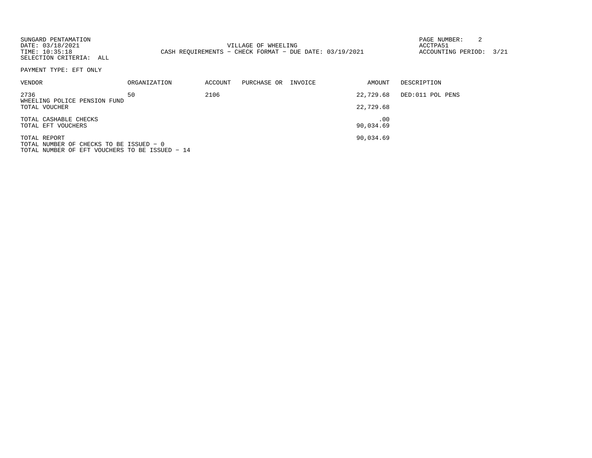| SUNGARD PENTAMATION<br>DATE: 03/18/2021<br>TIME: 10:35:18<br>SELECTION CRITERIA: ALL |              |         | VILLAGE OF WHEELING<br>CASH REQUIREMENTS - CHECK FORMAT - DUE DATE: 03/19/2021 |         |                  | 2<br>PAGE NUMBER:<br>ACCTPA51<br>ACCOUNTING PERIOD: | 3/21 |
|--------------------------------------------------------------------------------------|--------------|---------|--------------------------------------------------------------------------------|---------|------------------|-----------------------------------------------------|------|
| PAYMENT TYPE: EFT ONLY                                                               |              |         |                                                                                |         |                  |                                                     |      |
| VENDOR                                                                               | ORGANIZATION | ACCOUNT | PURCHASE OR                                                                    | INVOICE | AMOUNT           | DESCRIPTION                                         |      |
| 2736<br>WHEELING POLICE PENSION FUND                                                 | 50           | 2106    |                                                                                |         | 22,729.68        | DED:011 POL PENS                                    |      |
| TOTAL VOUCHER                                                                        |              |         |                                                                                |         | 22,729.68        |                                                     |      |
| TOTAL CASHABLE CHECKS<br>TOTAL EFT VOUCHERS                                          |              |         |                                                                                |         | .00<br>90,034.69 |                                                     |      |
|                                                                                      |              |         |                                                                                |         |                  |                                                     |      |
| TOTAL REPORT<br>TOTAL NUMBER OF CHECKS TO BE ISSUED - 0                              |              |         |                                                                                |         | 90,034.69        |                                                     |      |
| TOTAL NUMBER OF EFT VOUCHERS TO BE ISSUED - 14                                       |              |         |                                                                                |         |                  |                                                     |      |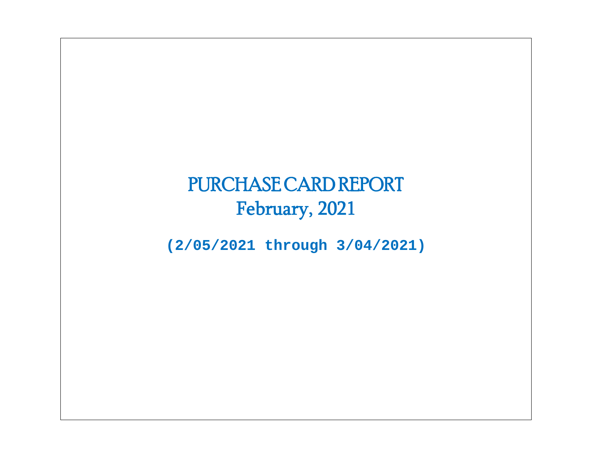# PURCHASE CARD REPORT February, 2021

**(2/05/2021 through 3/04/2021)**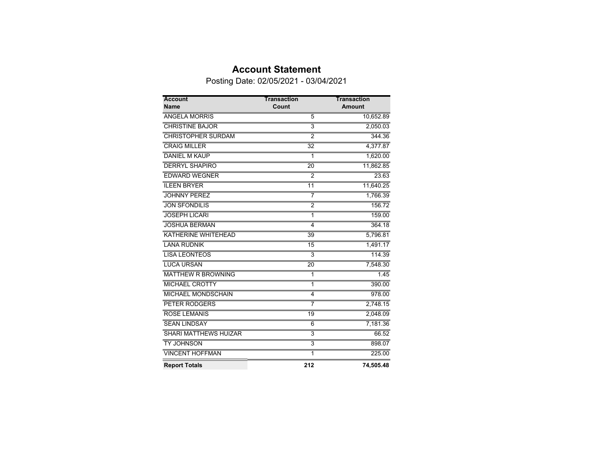## **Account Statement**

Posting Date: 02/05/2021 - 03/04/2021

| <b>Account</b><br><b>Name</b> | <b>Transaction</b><br>Count | <b>Transaction</b><br><b>Amount</b> |
|-------------------------------|-----------------------------|-------------------------------------|
| <b>ANGELA MORRIS</b>          | $\overline{5}$              | 10,652.89                           |
| <b>CHRISTINE BAJOR</b>        | $\overline{3}$              | 2,050.03                            |
| <b>CHRISTOPHER SURDAM</b>     | $\overline{2}$              | 344.36                              |
| <b>CRAIG MILLER</b>           | $\overline{32}$             | 4,377.87                            |
| <b>DANIEL M KAUP</b>          | 1                           | 1,620.00                            |
| <b>DERRYL SHAPIRO</b>         | $\overline{20}$             | 11,862.85                           |
| <b>EDWARD WEGNER</b>          | $\overline{2}$              | 23.63                               |
| <b>ILEEN BRYER</b>            | $\overline{11}$             | 11,640.25                           |
| <b>JOHNNY PEREZ</b>           | 7                           | 1,766.39                            |
| <b>JON SFONDILIS</b>          | $\overline{2}$              | 156.72                              |
| <b>JOSEPH LICARI</b>          | $\overline{1}$              | 159.00                              |
| <b>JOSHUA BERMAN</b>          | 4                           | 364.18                              |
| <b>KATHERINE WHITEHEAD</b>    | 39                          | 5,796.81                            |
| <b>LANA RUDNIK</b>            | 15                          | 1,491.17                            |
| <b>LISA LEONTEOS</b>          | $\overline{3}$              | 114.39                              |
| <b>LUCA URSAN</b>             | $\overline{20}$             | 7,548.30                            |
| <b>MATTHEW R BROWNING</b>     | 1                           | 1.45                                |
| <b>MICHAEL CROTTY</b>         | 1                           | 390.00                              |
| <b>MICHAEL MONDSCHAIN</b>     | $\overline{4}$              | 978.00                              |
| <b>PETER RODGERS</b>          | 7                           | 2,748.15                            |
| <b>ROSE LEMANIS</b>           | 19                          | 2,048.09                            |
| <b>SEAN LINDSAY</b>           | $\overline{6}$              | 7,181.36                            |
| <b>SHARI MATTHEWS HUIZAR</b>  | $\overline{3}$              | 66.52                               |
| <b>TY JOHNSON</b>             | $\overline{\mathbf{3}}$     | 898.07                              |
| <b>VINCENT HOFFMAN</b>        | $\overline{1}$              | 225.00                              |
| <b>Report Totals</b>          | 212                         | 74,505.48                           |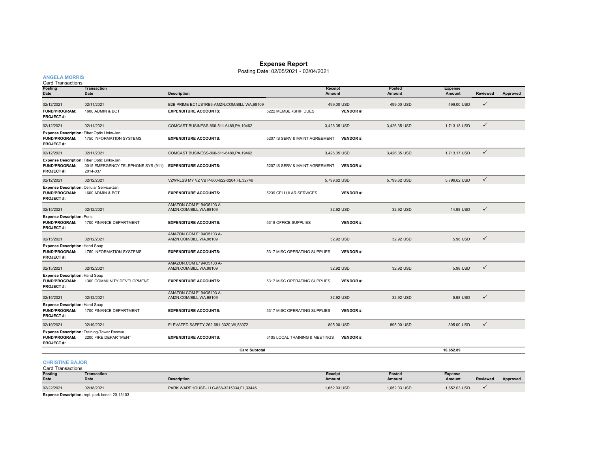#### **Expense Report**

Posting Date: 02/05/2021 - 03/04/2021

### **ANGELA MORRIS**

| <b>Card Transactions</b>                                                               |                                                                    |                                                     |                                |                 |                         |                          |                 |          |
|----------------------------------------------------------------------------------------|--------------------------------------------------------------------|-----------------------------------------------------|--------------------------------|-----------------|-------------------------|--------------------------|-----------------|----------|
| Posting<br>Date                                                                        | <b>Transaction</b><br><b>Date</b>                                  | <b>Description</b>                                  | Receipt<br>Amount              |                 | <b>Posted</b><br>Amount | <b>Expense</b><br>Amount | <b>Reviewed</b> | Approved |
| 02/12/2021                                                                             | 02/11/2021                                                         | B2B PRIME EC1US1RB3-AMZN.COM/BILL, WA, 98109        |                                | 499.00 USD      | 499.00 USD              | 499.00 USD               | $\checkmark$    |          |
| <b>FUND/PROGRAM:</b><br><b>PROJECT#:</b>                                               | 1600 ADMIN & BOT                                                   | <b>EXPENDITURE ACCOUNTS:</b>                        | 5222 MEMBERSHIP DUES           | <b>VENDOR#:</b> |                         |                          |                 |          |
| 02/12/2021                                                                             | 02/11/2021                                                         | COMCAST BUSINESS-866-511-6489, PA, 19462            |                                | 3,426.35 USD    | 3,426.35 USD            | 1,713.18 USD             | $\checkmark$    |          |
| Expense Description: Fiber Optic Links-Jan<br><b>FUND/PROGRAM:</b><br><b>PROJECT#:</b> | 1750 INFORMATION SYSTEMS                                           | <b>EXPENDITURE ACCOUNTS:</b>                        | 5207 IS SERV & MAINT AGREEMENT | <b>VENDOR#:</b> |                         |                          |                 |          |
| 02/12/2021                                                                             | 02/11/2021                                                         | COMCAST BUSINESS-866-511-6489, PA, 19462            |                                | 3,426.35 USD    | 3,426.35 USD            | 1,713.17 USD             | $\checkmark$    |          |
| Expense Description: Fiber Optic Links-Jan<br><b>FUND/PROGRAM:</b><br><b>PROJECT#:</b> | 0015 EMERGENCY TELEPHONE SYS (911)<br>2014-037                     | <b>EXPENDITURE ACCOUNTS:</b>                        | 5207 IS SERV & MAINT AGREEMENT | <b>VENDOR#:</b> |                         |                          |                 |          |
| 02/12/2021                                                                             | 02/12/2021                                                         | VZWRLSS MY VZ VB P-800-922-0204,FL,32746            |                                | 5,799.62 USD    | 5,799.62 USD            | 5,799.62 USD             | $\checkmark$    |          |
| Expense Description: Cellular Service-Jan<br><b>FUND/PROGRAM:</b><br><b>PROJECT#:</b>  | 1600 ADMIN & BOT                                                   | <b>EXPENDITURE ACCOUNTS:</b>                        | 5239 CELLULAR SERVICES         | <b>VENDOR#:</b> |                         |                          |                 |          |
| 02/15/2021                                                                             | 02/12/2021                                                         | AMAZON.COM E194O5103 A-<br>AMZN.COM/BILL, WA, 98109 |                                | 32.92 USD       | 32.92 USD               | 14.98 USD                | $\checkmark$    |          |
| <b>Expense Description: Pens</b><br><b>FUND/PROGRAM:</b><br><b>PROJECT#:</b>           | 1700 FINANCE DEPARTMENT                                            | <b>EXPENDITURE ACCOUNTS:</b>                        | 5318 OFFICE SUPPLIES           | <b>VENDOR#:</b> |                         |                          |                 |          |
| 02/15/2021                                                                             | 02/12/2021                                                         | AMAZON.COM E194O5103 A-<br>AMZN.COM/BILL, WA, 98109 |                                | 32.92 USD       | 32.92 USD               | 5.98 USD                 | $\checkmark$    |          |
| <b>Expense Description: Hand Soap</b><br><b>FUND/PROGRAM:</b><br>PROJECT#:             | 1750 INFORMATION SYSTEMS                                           | <b>EXPENDITURE ACCOUNTS:</b>                        | 5317 MISC OPERATING SUPPLIES   | <b>VENDOR#:</b> |                         |                          |                 |          |
| 02/15/2021                                                                             | 02/12/2021                                                         | AMAZON.COM E194O5103 A-<br>AMZN.COM/BILL, WA, 98109 |                                | 32.92 USD       | 32.92 USD               | 5.98 USD                 | $\checkmark$    |          |
| <b>Expense Description: Hand Soap</b><br><b>FUND/PROGRAM:</b><br><b>PROJECT#:</b>      | 1300 COMMUNITY DEVELOPMENT                                         | <b>EXPENDITURE ACCOUNTS:</b>                        | 5317 MISC OPERATING SUPPLIES   | <b>VENDOR#:</b> |                         |                          |                 |          |
| 02/15/2021                                                                             | 02/12/2021                                                         | AMAZON.COM E194O5103 A-<br>AMZN.COM/BILL, WA, 98109 |                                | 32.92 USD       | 32.92 USD               | 5.98 USD                 | $\checkmark$    |          |
| <b>Expense Description: Hand Soap</b><br><b>FUND/PROGRAM:</b><br><b>PROJECT#:</b>      | 1700 FINANCE DEPARTMENT                                            | <b>EXPENDITURE ACCOUNTS:</b>                        | 5317 MISC OPERATING SUPPLIES   | <b>VENDOR#:</b> |                         |                          |                 |          |
| 02/19/2021                                                                             | 02/19/2021                                                         | ELEVATED SAFETY-262-691-3320, WI,53072              |                                | 895.00 USD      | 895.00 USD              | 895.00 USD               | $\checkmark$    |          |
| <b>FUND/PROGRAM:</b><br><b>PROJECT#:</b>                                               | Expense Description: Training-Tower Rescue<br>2200 FIRE DEPARTMENT | <b>EXPENDITURE ACCOUNTS:</b>                        | 5105 LOCAL TRAINING & MEETINGS | <b>VENDOR#:</b> |                         |                          |                 |          |
|                                                                                        |                                                                    | <b>Card Subtotal</b>                                |                                |                 |                         | 10,652.89                |                 |          |

#### **CHRISTINE BAJOR**

| <b>Card Transactions</b> |                            |                                            |                                 |                         |                   |                 |  |  |
|--------------------------|----------------------------|--------------------------------------------|---------------------------------|-------------------------|-------------------|-----------------|--|--|
| Posting<br><b>Date</b>   | Transaction<br><b>Date</b> | <b>Description</b>                         | <b>Receipt</b><br><b>Amount</b> | <b>Posted</b><br>Amount | Expense<br>Amount | <b>Reviewed</b> |  |  |
| 02/22/2021               | 02/18/2021                 | PARK WAREHOUSE- LLC-888-3215334, FL, 33446 | 1.652.03 USD                    | 1.652.03 USD            | 1.652.03 USD      |                 |  |  |

**Amount Reviewed Approved**

**Expense Description:** repl. park bench 20-13103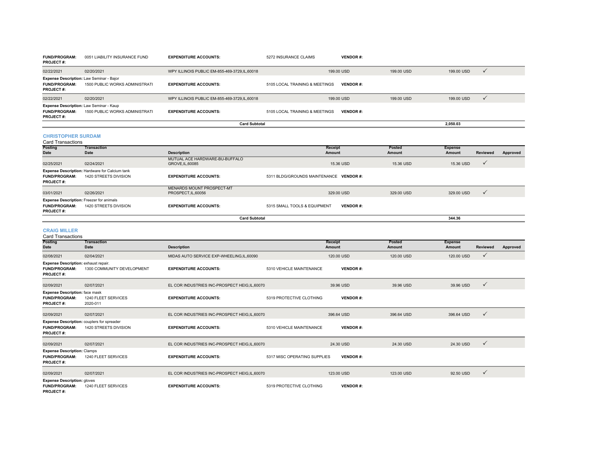| <b>FUND/PROGRAM:</b><br><b>PROJECT#:</b> | 0051 LIABILITY INSURANCE FUND                                                     | <b>EXPENDITURE ACCOUNTS:</b>                   | 5272 INSURANCE CLAIMS          | <b>VENDOR#:</b> |            |            |  |
|------------------------------------------|-----------------------------------------------------------------------------------|------------------------------------------------|--------------------------------|-----------------|------------|------------|--|
| 02/22/2021                               | 02/20/2021                                                                        | WPY ILLINOIS PUBLIC EM-855-469-3729, IL, 60018 |                                | 199.00 USD      | 199.00 USD | 199.00 USD |  |
| <b>FUND/PROGRAM:</b><br><b>PROJECT#:</b> | Expense Description: Law Seminar - Bajor<br><b>1500 PUBLIC WORKS ADMINISTRATI</b> | <b>EXPENDITURE ACCOUNTS:</b>                   | 5105 LOCAL TRAINING & MEETINGS | <b>VENDOR#:</b> |            |            |  |
| 02/22/2021                               | 02/20/2021                                                                        | WPY ILLINOIS PUBLIC EM-855-469-3729, IL, 60018 |                                | 199.00 USD      | 199.00 USD | 199.00 USD |  |
| <b>FUND/PROGRAM:</b><br><b>PROJECT#:</b> | Expense Description: Law Seminar - Kaup<br><b>1500 PUBLIC WORKS ADMINISTRATI</b>  | <b>EXPENDITURE ACCOUNTS:</b>                   | 5105 LOCAL TRAINING & MEETINGS | <b>VENDOR#:</b> |            |            |  |
|                                          |                                                                                   | <b>Card Subtotal</b>                           |                                |                 |            | 2,050.03   |  |
|                                          |                                                                                   |                                                |                                |                 |            |            |  |

# CHRISTOPHER SURDAM<br>Card Transactions

| Card Transactions                                                                           |                                                                                |                                                    |                                                 |            |                |                 |          |
|---------------------------------------------------------------------------------------------|--------------------------------------------------------------------------------|----------------------------------------------------|-------------------------------------------------|------------|----------------|-----------------|----------|
| <b>Posting</b>                                                                              | Transaction                                                                    |                                                    | Receipt                                         | Posted     | <b>Expense</b> |                 |          |
| Date                                                                                        | Date                                                                           | <b>Description</b>                                 | Amount                                          | Amount     | Amount         | <b>Reviewed</b> | Approved |
| 02/25/2021                                                                                  | 02/24/2021                                                                     | MUTUAL ACE HARDWARE-BU-BUFFALO<br>GROVE, IL, 60085 | 15.36 USD                                       | 15.36 USD  | 15.36 USD      | $\checkmark$    |          |
| <b>FUND/PROGRAM:</b><br><b>PROJECT#:</b>                                                    | <b>Expense Description: Hardware for Calcium tank</b><br>1420 STREETS DIVISION | <b>EXPENDITURE ACCOUNTS:</b>                       | 5311 BLDG/GROUNDS MAINTENANCE VENDOR #:         |            |                |                 |          |
| 03/01/2021                                                                                  | 02/26/2021                                                                     | MENARDS MOUNT PROSPECT-MT<br>PROSPECT, IL, 60056   | 329.00 USD                                      | 329,00 USD | 329.00 USD     | $\checkmark$    |          |
| <b>Expense Description: Freezer for animals</b><br><b>FUND/PROGRAM:</b><br><b>PROJECT#:</b> | 1420 STREETS DIVISION                                                          | <b>EXPENDITURE ACCOUNTS:</b>                       | 5315 SMALL TOOLS & EQUIPMENT<br><b>VENDOR#:</b> |            |                |                 |          |
|                                                                                             |                                                                                | <b>Card Subtotal</b>                               |                                                 |            | 344.36         |                 |          |

#### **CRAIG MILLER**

| <b>Card Transactions</b>                                                          |                                                                     |                                                |                              |                   |                  |                          |                 |          |
|-----------------------------------------------------------------------------------|---------------------------------------------------------------------|------------------------------------------------|------------------------------|-------------------|------------------|--------------------------|-----------------|----------|
| Posting<br><b>Date</b>                                                            | <b>Transaction</b><br>Date                                          | <b>Description</b>                             |                              | Receipt<br>Amount | Posted<br>Amount | <b>Expense</b><br>Amount | <b>Reviewed</b> | Approved |
| 02/08/2021                                                                        | 02/04/2021                                                          | MIDAS AUTO SERVICE EXP-WHEELING,IL,60090       |                              | 120.00 USD        | 120,00 USD       | 120.00 USD               | ✓               |          |
| Expense Description: exhaust repair.<br><b>FUND/PROGRAM:</b><br><b>PROJECT#:</b>  | 1300 COMMUNITY DEVELOPMENT                                          | <b>EXPENDITURE ACCOUNTS:</b>                   | 5310 VEHICLE MAINTENANCE     | <b>VENDOR#:</b>   |                  |                          |                 |          |
| 02/09/2021                                                                        | 02/07/2021                                                          | EL COR INDUSTRIES INC-PROSPECT HEIG, IL, 60070 |                              | 39.96 USD         | 39.96 USD        | 39.96 USD                | $\checkmark$    |          |
| <b>Expense Description:</b> face mask<br><b>FUND/PROGRAM:</b><br><b>PROJECT#:</b> | 1240 FLEET SERVICES<br>2020-011                                     | <b>EXPENDITURE ACCOUNTS:</b>                   | 5319 PROTECTIVE CLOTHING     | <b>VENDOR#:</b>   |                  |                          |                 |          |
| 02/09/2021                                                                        | 02/07/2021                                                          | EL COR INDUSTRIES INC-PROSPECT HEIG, IL, 60070 |                              | 396.64 USD        | 396.64 USD       | 396.64 USD               | $\checkmark$    |          |
| <b>FUND/PROGRAM:</b><br><b>PROJECT#:</b>                                          | Expense Description: couplers for spreader<br>1420 STREETS DIVISION | <b>EXPENDITURE ACCOUNTS:</b>                   | 5310 VEHICLE MAINTENANCE     | <b>VENDOR#:</b>   |                  |                          |                 |          |
| 02/09/2021                                                                        | 02/07/2021                                                          | EL COR INDUSTRIES INC-PROSPECT HEIG.IL.60070   |                              | 24.30 USD         | 24.30 USD        | 24.30 USD                | $\checkmark$    |          |
| <b>Expense Description: Clamps</b><br><b>FUND/PROGRAM:</b><br><b>PROJECT#:</b>    | 1240 FLEET SERVICES                                                 | <b>EXPENDITURE ACCOUNTS:</b>                   | 5317 MISC OPERATING SUPPLIES | <b>VENDOR#:</b>   |                  |                          |                 |          |
| 02/09/2021                                                                        | 02/07/2021                                                          | EL COR INDUSTRIES INC-PROSPECT HEIG, IL, 60070 |                              | 123,00 USD        | 123,00 USD       | 92.50 USD                | $\checkmark$    |          |
| <b>Expense Description: gloves</b><br><b>FUND/PROGRAM:</b><br><b>PROJECT#:</b>    | 1240 FLEET SERVICES                                                 | <b>EXPENDITURE ACCOUNTS:</b>                   | 5319 PROTECTIVE CLOTHING     | <b>VENDOR#:</b>   |                  |                          |                 |          |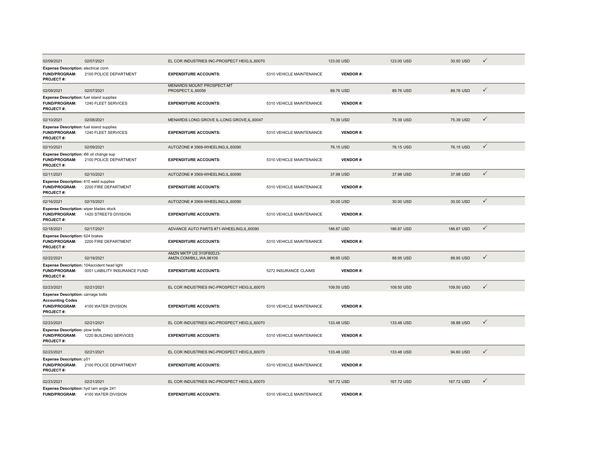| 02/09/2021                                                                                          | 02/07/2021                                                                   | EL COR INDUSTRIES INC-PROSPECT HEIG, IL, 60070          |                          | 123.00 USD      | 123.00 USD | 30.50 USD  | ✓            |
|-----------------------------------------------------------------------------------------------------|------------------------------------------------------------------------------|---------------------------------------------------------|--------------------------|-----------------|------------|------------|--------------|
| Expense Description: electrical conn<br>FUND/PROGRAM:<br><b>PROJECT#:</b>                           | 2100 POLICE DEPARTMENT                                                       | <b>EXPENDITURE ACCOUNTS:</b>                            | 5310 VEHICLE MAINTENANCE | <b>VENDOR#:</b> |            |            |              |
| 02/09/2021                                                                                          | 02/07/2021                                                                   | <b>MENARDS MOUNT PROSPECT-MT</b><br>PROSPECT, IL, 60056 |                          | 89.76 USD       | 89.76 USD  | 89.76 USD  | $\checkmark$ |
| Expense Description: fuel island supplies<br><b>FUND/PROGRAM:</b><br><b>PROJECT#:</b>               | 1240 FLEET SERVICES                                                          | <b>EXPENDITURE ACCOUNTS:</b>                            | 5310 VEHICLE MAINTENANCE | <b>VENDOR#:</b> |            |            |              |
| 02/10/2021                                                                                          | 02/08/2021                                                                   | MENARDS LONG GROVE IL-LONG GROVE, IL, 60047             |                          | 75.39 USD       | 75.39 USD  | 75.39 USD  | $\checkmark$ |
| Expense Description: fuel island supplies<br><b>FUND/PROGRAM:</b><br>PROJECT#:                      | 1240 FLEET SERVICES                                                          | <b>EXPENDITURE ACCOUNTS:</b>                            | 5310 VEHICLE MAINTENANCE | <b>VENDOR#:</b> |            |            |              |
| 02/10/2021                                                                                          | 02/09/2021                                                                   | AUTOZONE #3569-WHEELING,IL,60090                        |                          | 76.15 USD       | 76.15 USD  | 76.15 USD  | $\checkmark$ |
| Expense Description: i66 oil change sup<br><b>FUND/PROGRAM:</b><br><b>PROJECT#:</b>                 | 2100 POLICE DEPARTMENT                                                       | <b>EXPENDITURE ACCOUNTS:</b>                            | 5310 VEHICLE MAINTENANCE | <b>VENDOR#:</b> |            |            |              |
| 02/11/2021                                                                                          | 02/10/2021                                                                   | AUTOZONE #3569-WHEELING,IL,60090                        |                          | 37.98 USD       | 37.98 USD  | 37.98 USD  | $\checkmark$ |
| Expense Description: 610 weld supplies<br>FUND/PROGRAM:<br>PROJECT#:                                | 2200 FIRE DEPARTMENT                                                         | <b>EXPENDITURE ACCOUNTS:</b>                            | 5310 VEHICLE MAINTENANCE | <b>VENDOR#:</b> |            |            |              |
| 02/16/2021                                                                                          | 02/15/2021                                                                   | AUTOZONE #3569-WHEELING.IL.60090                        |                          | 30.00 USD       | 30.00 USD  | 30.00 USD  | $\checkmark$ |
| Expense Description: wiper blades stock<br><b>FUND/PROGRAM:</b><br><b>PROJECT#:</b>                 | 1420 STREETS DIVISION                                                        | <b>EXPENDITURE ACCOUNTS:</b>                            | 5310 VEHICLE MAINTENANCE | <b>VENDOR#:</b> |            |            |              |
| 02/18/2021                                                                                          | 02/17/2021                                                                   | ADVANCE AUTO PARTS #71-WHEELING,IL,60090                |                          | 186.87 USD      | 186.87 USD | 186.87 USD | $\checkmark$ |
| Expense Description: 624 brakes<br>FUND/PROGRAM:<br><b>PROJECT#:</b>                                | 2200 FIRE DEPARTMENT                                                         | <b>EXPENDITURE ACCOUNTS:</b>                            | 5310 VEHICLE MAINTENANCE | <b>VENDOR#:</b> |            |            |              |
| 02/22/2021                                                                                          | 02/19/2021                                                                   | AMZN MKTP US 3Y0F80DJ3-<br>AMZN.COM/BILL, WA, 98109     |                          | 88.95 USD       | 88.95 USD  | 88.95 USD  | $\checkmark$ |
| <b>FUND/PROGRAM:</b><br>PROJECT#:                                                                   | Expense Description: 104accident head light<br>0051 LIABILITY INSURANCE FUND | <b>EXPENDITURE ACCOUNTS:</b>                            | 5272 INSURANCE CLAIMS    | <b>VENDOR#:</b> |            |            |              |
| 02/23/2021                                                                                          | 02/21/2021                                                                   | EL COR INDUSTRIES INC-PROSPECT HEIG, IL, 60070          |                          | 109.50 USD      | 109.50 USD | 109.50 USD | $\checkmark$ |
| Expense Description: carriage bolts<br><b>Accounting Codes</b><br><b>FUND/PROGRAM:</b><br>PROJECT#: | 4100 WATER DIVISION                                                          | <b>EXPENDITURE ACCOUNTS:</b>                            | 5310 VEHICLE MAINTENANCE | <b>VENDOR#:</b> |            |            |              |
| 02/23/2021                                                                                          | 02/21/2021                                                                   | EL COR INDUSTRIES INC-PROSPECT HEIG, IL, 60070          |                          | 133.48 USD      | 133.48 USD | 38.88 USD  | $\checkmark$ |
| <b>Expense Description: plow bolts</b><br><b>FUND/PROGRAM:</b><br><b>PROJECT#:</b>                  | 1220 BUILDING SERVICES                                                       | <b>EXPENDITURE ACCOUNTS:</b>                            | 5310 VEHICLE MAINTENANCE | <b>VENDOR#:</b> |            |            |              |
| 02/23/2021                                                                                          | 02/21/2021                                                                   | EL COR INDUSTRIES INC-PROSPECT HEIG, IL, 60070          |                          | 133.48 USD      | 133.48 USD | 94.60 USD  | $\checkmark$ |
| <b>Expense Description: p51</b><br><b>FUND/PROGRAM:</b><br><b>PROJECT#:</b>                         | 2100 POLICE DEPARTMENT                                                       | <b>EXPENDITURE ACCOUNTS:</b>                            | 5310 VEHICLE MAINTENANCE | <b>VENDOR#:</b> |            |            |              |
| 02/23/2021                                                                                          | 02/21/2021                                                                   | EL COR INDUSTRIES INC-PROSPECT HEIG, IL, 60070          |                          | 167.72 USD      | 167.72 USD | 167.72 USD | $\checkmark$ |
| Expense Description: hyd ram angle 241<br>FUND/PROGRAM:                                             | 4100 WATER DIVISION                                                          | <b>EXPENDITURE ACCOUNTS:</b>                            | 5310 VEHICLE MAINTENANCE | <b>VENDOR#:</b> |            |            |              |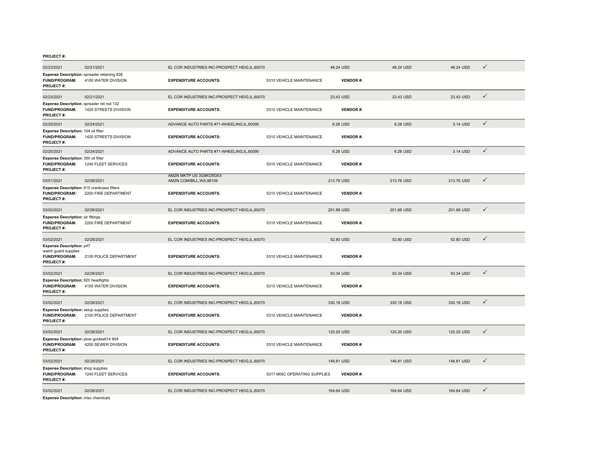| 02/23/2021                                                                                   | 02/21/2021             | EL COR INDUSTRIES INC-PROSPECT HEIG, IL, 60070      |                              | 48.24 USD       | 48.24 USD  | 48.24 USD  | $\checkmark$ |
|----------------------------------------------------------------------------------------------|------------------------|-----------------------------------------------------|------------------------------|-----------------|------------|------------|--------------|
| Expense Description: spreader retaining 838<br><b>FUND/PROGRAM:</b><br><b>PROJECT#:</b>      | 4100 WATER DIVISION    | <b>EXPENDITURE ACCOUNTS:</b>                        | 5310 VEHICLE MAINTENANCE     | <b>VENDOR#:</b> |            |            |              |
| 02/23/2021                                                                                   | 02/21/2021             | EL COR INDUSTRIES INC-PROSPECT HEIG,IL,60070        |                              | 23.43 USD       | 23.43 USD  | 23.43 USD  | $\checkmark$ |
| Expense Description: spreader ret rod 132<br>FUND/PROGRAM:<br><b>PROJECT#:</b>               | 1420 STREETS DIVISION  | <b>EXPENDITURE ACCOUNTS:</b>                        | 5310 VEHICLE MAINTENANCE     | <b>VENDOR#:</b> |            |            |              |
| 02/25/2021                                                                                   | 02/24/2021             | ADVANCE AUTO PARTS #71-WHEELING,IL,60090            |                              | 6.28 USD        | 6.28 USD   | 3.14 USD   | $\checkmark$ |
| Expense Description: 104 oil filter<br><b>FUND/PROGRAM:</b><br><b>PROJECT#:</b>              | 1420 STREETS DIVISION  | <b>EXPENDITURE ACCOUNTS:</b>                        | 5310 VEHICLE MAINTENANCE     | <b>VENDOR#:</b> |            |            |              |
| 02/25/2021                                                                                   | 02/24/2021             | ADVANCE AUTO PARTS #71-WHEELING.IL.60090            |                              | 6.28 USD        | 6.28 USD   | 3.14 USD   | $\checkmark$ |
| Expense Description: 350 oil filter<br><b>FUND/PROGRAM:</b><br><b>PROJECT#:</b>              | 1240 FLEET SERVICES    | <b>EXPENDITURE ACCOUNTS:</b>                        | 5310 VEHICLE MAINTENANCE     | <b>VENDOR#:</b> |            |            |              |
| 03/01/2021                                                                                   | 02/28/2021             | AMZN MKTP US 3G9KO5G63-<br>AMZN.COM/BILL, WA, 98109 |                              | 213.76 USD      | 213.76 USD | 213.76 USD | $\checkmark$ |
| Expense Description: 610 crankcase filters<br><b>FUND/PROGRAM:</b><br>PROJECT#:              | 2200 FIRE DEPARTMENT   | <b>EXPENDITURE ACCOUNTS:</b>                        | 5310 VEHICLE MAINTENANCE     | <b>VENDOR#:</b> |            |            |              |
| 03/02/2021                                                                                   | 02/28/2021             | EL COR INDUSTRIES INC-PROSPECT HEIG, IL, 60070      |                              | 201.88 USD      | 201.88 USD | 201.88 USD | $\checkmark$ |
| <b>Expense Description: air fittings</b><br><b>FUND/PROGRAM:</b><br><b>PROJECT#:</b>         | 2200 FIRE DEPARTMENT   | <b>EXPENDITURE ACCOUNTS:</b>                        | 5310 VEHICLE MAINTENANCE     | <b>VENDOR#:</b> |            |            |              |
| 03/02/2021                                                                                   | 02/28/2021             | EL COR INDUSTRIES INC-PROSPECT HEIG, IL, 60070      |                              | 52.80 USD       | 52.80 USD  | 52.80 USD  | $\checkmark$ |
| <b>Expense Description: p47</b><br>watch guard supplies<br>FUND/PROGRAM:<br><b>PROJECT#:</b> | 2100 POLICE DEPARTMENT | <b>EXPENDITURE ACCOUNTS:</b>                        | 5310 VEHICLE MAINTENANCE     | <b>VENDOR#:</b> |            |            |              |
| 03/02/2021                                                                                   | 02/28/2021             | EL COR INDUSTRIES INC-PROSPECT HEIG, IL, 60070      |                              | 93.34 USD       | 93.34 USD  | 93.34 USD  | $\checkmark$ |
| <b>Expense Description: 820 headlights</b><br><b>FUND/PROGRAM:</b><br>PROJECT#:              | 4100 WATER DIVISION    | <b>EXPENDITURE ACCOUNTS:</b>                        | 5310 VEHICLE MAINTENANCE     | <b>VENDOR#:</b> |            |            |              |
| 03/02/2021                                                                                   | 02/28/2021             | EL COR INDUSTRIES INC-PROSPECT HEIG,IL,60070        |                              | 330.18 USD      | 330.18 USD | 330.18 USD | $\checkmark$ |
| <b>Expense Description:</b> setup supplies<br><b>FUND/PROGRAM:</b><br><b>PROJECT#:</b>       | 2100 POLICE DEPARTMENT | <b>EXPENDITURE ACCOUNTS:</b>                        | 5310 VEHICLE MAINTENANCE     | <b>VENDOR#:</b> |            |            |              |
| 03/02/2021                                                                                   | 02/28/2021             | EL COR INDUSTRIES INC-PROSPECT HEIG, IL, 60070      |                              | 120.20 USD      | 120.20 USD | 120.20 USD | $\checkmark$ |
| Expense Description: plow guides914 904<br><b>FUND/PROGRAM:</b><br>PROJECT#:                 | 4200 SEWER DIVISION    | <b>EXPENDITURE ACCOUNTS:</b>                        | 5310 VEHICLE MAINTENANCE     | <b>VENDOR#:</b> |            |            |              |
| 03/02/2021                                                                                   | 02/28/2021             | EL COR INDUSTRIES INC-PROSPECT HEIG, IL, 60070      |                              | 146.81 USD      | 146.81 USD | 146.81 USD | $\checkmark$ |
| <b>Expense Description:</b> shop supplies<br><b>FUND/PROGRAM:</b><br>PROJECT#:               | 1240 FLEET SERVICES    | <b>EXPENDITURE ACCOUNTS:</b>                        | 5317 MISC OPERATING SUPPLIES | <b>VENDOR#:</b> |            |            |              |
| 03/02/2021<br><b>Expense Description:</b> misc chemicals                                     | 02/28/2021             | EL COR INDUSTRIES INC-PROSPECT HEIG,IL,60070        |                              | 164.64 USD      | 164.64 USD | 164.64 USD | $\checkmark$ |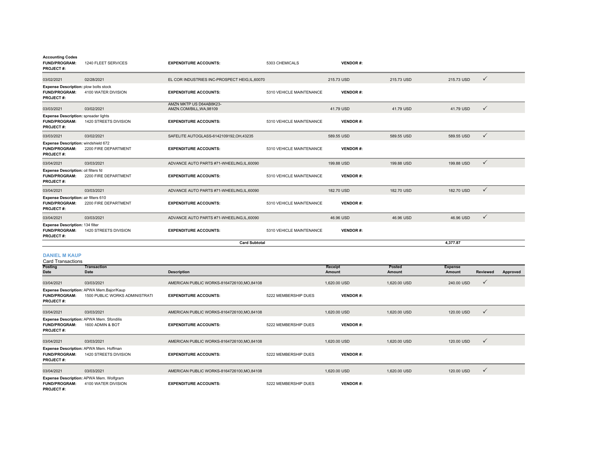| <b>Accounting Codes</b><br><b>FUND/PROGRAM:</b><br><b>PROJECT#:</b>                      | 1240 FLEET SERVICES   | <b>EXPENDITURE ACCOUNTS:</b>                        | 5303 CHEMICALS           | <b>VENDOR#:</b> |            |            |              |
|------------------------------------------------------------------------------------------|-----------------------|-----------------------------------------------------|--------------------------|-----------------|------------|------------|--------------|
| 03/02/2021                                                                               | 02/28/2021            | EL COR INDUSTRIES INC-PROSPECT HEIG, IL, 60070      |                          | 215.73 USD      | 215.73 USD | 215.73 USD | $\checkmark$ |
| <b>Expense Description: plow bolts stock</b><br><b>FUND/PROGRAM:</b><br><b>PROJECT#:</b> | 4100 WATER DIVISION   | <b>EXPENDITURE ACCOUNTS:</b>                        | 5310 VEHICLE MAINTENANCE | <b>VENDOR#:</b> |            |            |              |
| 03/03/2021                                                                               | 03/02/2021            | AMZN MKTP US D64AB8K23-<br>AMZN.COM/BILL, WA, 98109 |                          | 41.79 USD       | 41.79 USD  | 41.79 USD  | $\checkmark$ |
| <b>Expense Description: spreader lights</b><br><b>FUND/PROGRAM:</b><br><b>PROJECT#:</b>  | 1420 STREETS DIVISION | <b>EXPENDITURE ACCOUNTS:</b>                        | 5310 VEHICLE MAINTENANCE | <b>VENDOR#:</b> |            |            |              |
| 03/03/2021                                                                               | 03/02/2021            | SAFELITE AUTOGLASS-6142109192, OH, 43235            |                          | 589.55 USD      | 589.55 USD | 589.55 USD | $\checkmark$ |
| Expense Description: windshield 672<br><b>FUND/PROGRAM:</b><br><b>PROJECT#:</b>          | 2200 FIRE DEPARTMENT  | <b>EXPENDITURE ACCOUNTS:</b>                        | 5310 VEHICLE MAINTENANCE | <b>VENDOR#:</b> |            |            |              |
| 03/04/2021                                                                               | 03/03/2021            | ADVANCE AUTO PARTS #71-WHEELING,IL,60090            |                          | 199.88 USD      | 199.88 USD | 199.88 USD | $\checkmark$ |
| Expense Description: oil filters fd<br><b>FUND/PROGRAM:</b><br><b>PROJECT#:</b>          | 2200 FIRE DEPARTMENT  | <b>EXPENDITURE ACCOUNTS:</b>                        | 5310 VEHICLE MAINTENANCE | <b>VENDOR#:</b> |            |            |              |
| 03/04/2021                                                                               | 03/03/2021            | ADVANCE AUTO PARTS #71-WHEELING,IL,60090            |                          | 182.70 USD      | 182.70 USD | 182.70 USD | $\checkmark$ |
| Expense Description: air filters 610<br><b>FUND/PROGRAM:</b><br><b>PROJECT#:</b>         | 2200 FIRE DEPARTMENT  | <b>EXPENDITURE ACCOUNTS:</b>                        | 5310 VEHICLE MAINTENANCE | <b>VENDOR#:</b> |            |            |              |
| 03/04/2021                                                                               | 03/03/2021            | ADVANCE AUTO PARTS #71-WHEELING,IL,60090            |                          | 46.96 USD       | 46.96 USD  | 46.96 USD  | $\checkmark$ |
| Expense Description: 134 filter<br><b>FUND/PROGRAM:</b><br><b>PROJECT#:</b>              | 1420 STREETS DIVISION | <b>EXPENDITURE ACCOUNTS:</b>                        | 5310 VEHICLE MAINTENANCE | <b>VENDOR#:</b> |            |            |              |
|                                                                                          |                       | <b>Card Subtotal</b>                                |                          |                 |            | 4.377.87   |              |

#### **DANIEL M KAUP**

Card Transactions

| <b>Posting</b>                           | Transaction                                                                |                                             |                      | <b>Receipt</b>  | Posted       | <b>Expense</b> |              |          |
|------------------------------------------|----------------------------------------------------------------------------|---------------------------------------------|----------------------|-----------------|--------------|----------------|--------------|----------|
| Date                                     | <b>Date</b>                                                                | <b>Description</b>                          |                      | Amount          | Amount       | Amount         | Reviewed     | Approved |
| 03/04/2021                               | 03/03/2021                                                                 | AMERICAN PUBLIC WORKS-8164726100, MO, 84108 |                      | 1,620.00 USD    | 1,620.00 USD | 240.00 USD     | $\checkmark$ |          |
| <b>FUND/PROGRAM:</b><br><b>PROJECT#:</b> | Expense Description: APWA Mem.Bajor/Kaup<br>1500 PUBLIC WORKS ADMINISTRATI | <b>EXPENDITURE ACCOUNTS:</b>                | 5222 MEMBERSHIP DUES | <b>VENDOR#:</b> |              |                |              |          |
| 03/04/2021                               | 03/03/2021                                                                 | AMERICAN PUBLIC WORKS-8164726100, MO, 84108 |                      | 1.620.00 USD    | 1,620.00 USD | 120.00 USD     | $\checkmark$ |          |
| <b>FUND/PROGRAM:</b><br><b>PROJECT#:</b> | Expense Description: APWA Mem. Sfondilis<br>1600 ADMIN & BOT               | <b>EXPENDITURE ACCOUNTS:</b>                | 5222 MEMBERSHIP DUES | <b>VENDOR#:</b> |              |                |              |          |
| 03/04/2021                               | 03/03/2021                                                                 | AMERICAN PUBLIC WORKS-8164726100, MO, 84108 |                      | 1,620.00 USD    | 1,620.00 USD | 120.00 USD     | $\checkmark$ |          |
| <b>FUND/PROGRAM:</b><br><b>PROJECT#:</b> | Expense Description: APWA Mem. Hoffman<br>1420 STREETS DIVISION            | <b>EXPENDITURE ACCOUNTS:</b>                | 5222 MEMBERSHIP DUES | <b>VENDOR#:</b> |              |                |              |          |
| 03/04/2021                               | 03/03/2021                                                                 | AMERICAN PUBLIC WORKS-8164726100, MO, 84108 |                      | 1,620.00 USD    | 1,620.00 USD | 120.00 USD     | $\checkmark$ |          |
| <b>FUND/PROGRAM:</b><br><b>PROJECT#:</b> | Expense Description: APWA Mem. Wolfgram<br>4100 WATER DIVISION             | <b>EXPENDITURE ACCOUNTS:</b>                | 5222 MEMBERSHIP DUES | <b>VENDOR#:</b> |              |                |              |          |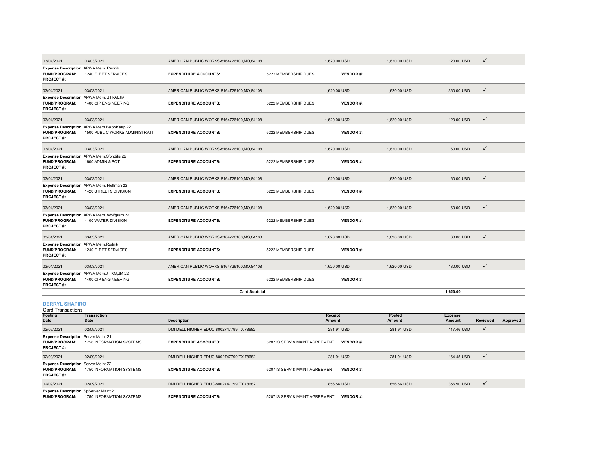| 03/04/2021                                                                        | 03/03/2021                                                                    | AMERICAN PUBLIC WORKS-8164726100.MO.84108   |                                | 1.620.00 USD      |                 | 1.620.00 USD     | 120.00 USD               | ✓            |          |
|-----------------------------------------------------------------------------------|-------------------------------------------------------------------------------|---------------------------------------------|--------------------------------|-------------------|-----------------|------------------|--------------------------|--------------|----------|
| Expense Description: APWA Mem. Rudnik<br><b>FUND/PROGRAM:</b><br><b>PROJECT#:</b> | 1240 FLEET SERVICES                                                           | <b>EXPENDITURE ACCOUNTS:</b>                | 5222 MEMBERSHIP DUES           |                   | <b>VENDOR#:</b> |                  |                          |              |          |
| 03/04/2021                                                                        | 03/03/2021                                                                    | AMERICAN PUBLIC WORKS-8164726100.MO.84108   |                                | 1,620.00 USD      |                 | 1,620.00 USD     | 360,00 USD               | $\checkmark$ |          |
| FUND/PROGRAM:<br><b>PROJECT#:</b>                                                 | Expense Description: APWA Mem. JT,KG,JM<br>1400 CIP ENGINEERING               | <b>EXPENDITURE ACCOUNTS:</b>                | 5222 MEMBERSHIP DUES           |                   | <b>VENDOR#:</b> |                  |                          |              |          |
| 03/04/2021                                                                        | 03/03/2021                                                                    | AMERICAN PUBLIC WORKS-8164726100, MO, 84108 |                                | 1,620.00 USD      |                 | 1,620.00 USD     | 120.00 USD               | ✓            |          |
| <b>FUND/PROGRAM:</b><br><b>PROJECT#:</b>                                          | Expense Description: APWA Mem.Bajor/Kaup 22<br>1500 PUBLIC WORKS ADMINISTRATI | <b>EXPENDITURE ACCOUNTS:</b>                | 5222 MEMBERSHIP DUES           |                   | <b>VENDOR#:</b> |                  |                          |              |          |
| 03/04/2021                                                                        | 03/03/2021                                                                    | AMERICAN PUBLIC WORKS-8164726100, MO, 84108 |                                | 1,620.00 USD      |                 | 1,620.00 USD     | 60.00 USD                | $\checkmark$ |          |
| <b>FUND/PROGRAM:</b><br>PROJECT#:                                                 | Expense Description: APWA Mem.Sfondilis 22<br>1600 ADMIN & BOT                | <b>EXPENDITURE ACCOUNTS:</b>                | 5222 MEMBERSHIP DUES           |                   | <b>VENDOR#:</b> |                  |                          |              |          |
| 03/04/2021                                                                        | 03/03/2021                                                                    | AMERICAN PUBLIC WORKS-8164726100, MO, 84108 |                                | 1,620.00 USD      |                 | 1,620.00 USD     | 60.00 USD                | $\checkmark$ |          |
| <b>FUND/PROGRAM:</b><br>PROJECT#:                                                 | Expense Description: APWA Mem. Hoffman 22<br>1420 STREETS DIVISION            | <b>EXPENDITURE ACCOUNTS:</b>                | 5222 MEMBERSHIP DUES           |                   | <b>VENDOR#:</b> |                  |                          |              |          |
| 03/04/2021                                                                        | 03/03/2021                                                                    | AMERICAN PUBLIC WORKS-8164726100, MO, 84108 |                                | 1,620.00 USD      |                 | 1,620.00 USD     | 60.00 USD                | ✓            |          |
| <b>FUND/PROGRAM:</b><br>PROJECT#:                                                 | Expense Description: APWA Mem. Wolfgram 22<br>4100 WATER DIVISION             | <b>EXPENDITURE ACCOUNTS:</b>                | 5222 MEMBERSHIP DUES           |                   | <b>VENDOR#:</b> |                  |                          |              |          |
| 03/04/2021                                                                        | 03/03/2021                                                                    | AMERICAN PUBLIC WORKS-8164726100.MO.84108   |                                | 1,620.00 USD      |                 | 1.620.00 USD     | 60.00 USD                | $\checkmark$ |          |
| Expense Description: APWA Mem.Rudnik<br><b>FUND/PROGRAM:</b><br><b>PROJECT#:</b>  | 1240 FLEET SERVICES                                                           | <b>EXPENDITURE ACCOUNTS:</b>                | 5222 MEMBERSHIP DUES           |                   | <b>VENDOR#:</b> |                  |                          |              |          |
| 03/04/2021                                                                        | 03/03/2021                                                                    | AMERICAN PUBLIC WORKS-8164726100, MO, 84108 |                                | 1,620.00 USD      |                 | 1,620.00 USD     | 180.00 USD               | $\checkmark$ |          |
| <b>FUND/PROGRAM:</b><br><b>PROJECT#:</b>                                          | Expense Description: APWA Mem.JT,KG,JM 22<br>1400 CIP ENGINEERING             | <b>EXPENDITURE ACCOUNTS:</b>                | 5222 MEMBERSHIP DUES           |                   | <b>VENDOR#:</b> |                  |                          |              |          |
|                                                                                   |                                                                               | <b>Card Subtotal</b>                        |                                |                   |                 |                  | 1,620.00                 |              |          |
| <b>DERRYL SHAPIRO</b><br><b>Card Transactions</b>                                 |                                                                               |                                             |                                |                   |                 |                  |                          |              |          |
| <b>Posting</b><br>Date                                                            | <b>Transaction</b><br>Date                                                    | <b>Description</b>                          |                                | Receipt<br>Amount |                 | Posted<br>Amount | <b>Expense</b><br>Amount | Reviewed     | Approved |
| 02/09/2021                                                                        | 02/09/2021                                                                    | DMI DELL HIGHER EDUC-8002747799,TX,78682    |                                | 281.91 USD        |                 | 281.91 USD       | 117.46 USD               | $\checkmark$ |          |
| Expense Description: Server Maint 21<br><b>FUND/PROGRAM:</b><br><b>PROJECT#:</b>  | 1750 INFORMATION SYSTEMS                                                      | <b>EXPENDITURE ACCOUNTS:</b>                | 5207 IS SERV & MAINT AGREEMENT |                   | <b>VENDOR#:</b> |                  |                          |              |          |
| 02/09/2021                                                                        | 02/09/2021                                                                    | DMI DELL HIGHER EDUC-8002747799,TX,78682    |                                | 281.91 USD        |                 | 281.91 USD       | 164.45 USD               | $\checkmark$ |          |
| <b>Expense Description: Server Maint 22</b><br><b>FUND/PROGRAM:</b><br>PROJECT#:  | 1750 INFORMATION SYSTEMS                                                      | <b>EXPENDITURE ACCOUNTS:</b>                | 5207 IS SERV & MAINT AGREEMENT |                   | <b>VENDOR#:</b> |                  |                          |              |          |
| 02/09/2021                                                                        | 02/09/2021                                                                    | DMI DELL HIGHER EDUC-8002747799,TX,78682    |                                | 856.56 USD        |                 | 856.56 USD       | 356.90 USD               | ✓            |          |

**FUND/PROGRAM:** 1750 INFORMATION SYSTEMS**Expense Description:** SpServer Maint 21

**EXPENDITURE ACCOUNTS:** 5207 IS SERV & MAINT AGREEMENT **VENDOR #:**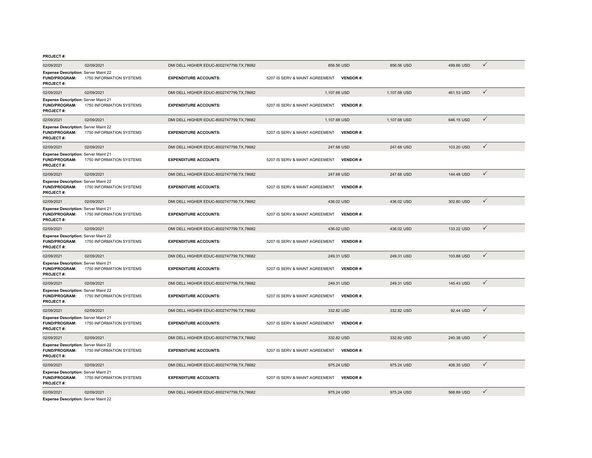| 02/09/2021                                                                              | 02/09/2021               | DMI DELL HIGHER EDUC-8002747799,TX,78682   |                                | 856.56 USD      | 856.56 USD   | 499.66 USD | ✓            |
|-----------------------------------------------------------------------------------------|--------------------------|--------------------------------------------|--------------------------------|-----------------|--------------|------------|--------------|
| <b>Expense Description: Server Maint 22</b><br><b>FUND/PROGRAM:</b><br><b>PROJECT#:</b> | 1750 INFORMATION SYSTEMS | <b>EXPENDITURE ACCOUNTS:</b>               | 5207 IS SERV & MAINT AGREEMENT | <b>VENDOR#:</b> |              |            |              |
| 02/09/2021                                                                              | 02/09/2021               | DMI DELL HIGHER EDUC-8002747799, TX, 78682 | 1,107.68 USD                   |                 | 1,107.68 USD | 461.53 USD | $\checkmark$ |
| Expense Description: Server Maint 21<br><b>FUND/PROGRAM:</b><br><b>PROJECT#:</b>        | 1750 INFORMATION SYSTEMS | <b>EXPENDITURE ACCOUNTS:</b>               | 5207 IS SERV & MAINT AGREEMENT | <b>VENDOR#:</b> |              |            |              |
| 02/09/2021                                                                              | 02/09/2021               | DMI DELL HIGHER EDUC-8002747799, TX, 78682 | 1,107.68 USD                   |                 | 1,107.68 USD | 646.15 USD | $\checkmark$ |
| Expense Description: Server Maint 22<br><b>FUND/PROGRAM:</b><br>PROJECT#:               | 1750 INFORMATION SYSTEMS | <b>EXPENDITURE ACCOUNTS:</b>               | 5207 IS SERV & MAINT AGREEMENT | <b>VENDOR#:</b> |              |            |              |
| 02/09/2021                                                                              | 02/09/2021               | DMI DELL HIGHER EDUC-8002747799,TX,78682   |                                | 247.68 USD      | 247.68 USD   | 103.20 USD | $\checkmark$ |
| Expense Description: Server Maint 21<br><b>FUND/PROGRAM:</b><br><b>PROJECT#:</b>        | 1750 INFORMATION SYSTEMS | <b>EXPENDITURE ACCOUNTS:</b>               | 5207 IS SERV & MAINT AGREEMENT | <b>VENDOR#:</b> |              |            |              |
| 02/09/2021                                                                              | 02/09/2021               | DMI DELL HIGHER EDUC-8002747799,TX,78682   |                                | 247.68 USD      | 247.68 USD   | 144.48 USD | $\checkmark$ |
| <b>Expense Description: Server Maint 22</b><br><b>FUND/PROGRAM:</b><br><b>PROJECT#:</b> | 1750 INFORMATION SYSTEMS | <b>EXPENDITURE ACCOUNTS:</b>               | 5207 IS SERV & MAINT AGREEMENT | <b>VENDOR#:</b> |              |            |              |
| 02/09/2021                                                                              | 02/09/2021               | DMI DELL HIGHER EDUC-8002747799, TX, 78682 |                                | 436.02 USD      | 436.02 USD   | 302.80 USD | $\checkmark$ |
| <b>Expense Description: Server Maint 21</b><br><b>FUND/PROGRAM:</b><br><b>PROJECT#:</b> | 1750 INFORMATION SYSTEMS | <b>EXPENDITURE ACCOUNTS:</b>               | 5207 IS SERV & MAINT AGREEMENT | <b>VENDOR#:</b> |              |            |              |
| 02/09/2021                                                                              | 02/09/2021               | DMI DELL HIGHER EDUC-8002747799.TX.78682   |                                | 436.02 USD      | 436.02 USD   | 133.22 USD | $\checkmark$ |
| <b>Expense Description: Server Maint 22</b><br><b>FUND/PROGRAM:</b><br>PROJECT#:        | 1750 INFORMATION SYSTEMS | <b>EXPENDITURE ACCOUNTS:</b>               | 5207 IS SERV & MAINT AGREEMENT | <b>VENDOR#:</b> |              |            |              |
| 02/09/2021                                                                              | 02/09/2021               | DMI DELL HIGHER EDUC-8002747799, TX, 78682 |                                | 249.31 USD      | 249.31 USD   | 103.88 USD | $\checkmark$ |
| <b>Expense Description: Server Maint 21</b><br><b>FUND/PROGRAM:</b><br>PROJECT#:        | 1750 INFORMATION SYSTEMS | <b>EXPENDITURE ACCOUNTS:</b>               | 5207 IS SERV & MAINT AGREEMENT | <b>VENDOR#:</b> |              |            |              |
| 02/09/2021                                                                              | 02/09/2021               | DMI DELL HIGHER EDUC-8002747799,TX,78682   |                                | 249.31 USD      | 249.31 USD   | 145.43 USD | $\checkmark$ |
| <b>Expense Description: Server Maint 22</b><br><b>FUND/PROGRAM:</b><br>PROJECT#:        | 1750 INFORMATION SYSTEMS | <b>EXPENDITURE ACCOUNTS:</b>               | 5207 IS SERV & MAINT AGREEMENT | <b>VENDOR#:</b> |              |            |              |
| 02/09/2021                                                                              | 02/09/2021               | DMI DELL HIGHER EDUC-8002747799.TX.78682   |                                | 332.82 USD      | 332.82 USD   | 92.44 USD  | $\checkmark$ |
| <b>Expense Description: Server Maint 21</b><br><b>FUND/PROGRAM:</b><br>PROJECT#:        | 1750 INFORMATION SYSTEMS | <b>EXPENDITURE ACCOUNTS:</b>               | 5207 IS SERV & MAINT AGREEMENT | <b>VENDOR#:</b> |              |            |              |
| 02/09/2021                                                                              | 02/09/2021               | DMI DELL HIGHER EDUC-8002747799.TX.78682   |                                | 332.82 USD      | 332.82 USD   | 240.38 USD | $\checkmark$ |
| Expense Description: Server Maint 22<br>FUND/PROGRAM:<br>PROJECT#:                      | 1750 INFORMATION SYSTEMS | <b>EXPENDITURE ACCOUNTS:</b>               | 5207 IS SERV & MAINT AGREEMENT | <b>VENDOR#:</b> |              |            |              |
| 02/09/2021                                                                              | 02/09/2021               | DMI DELL HIGHER EDUC-8002747799.TX.78682   |                                | 975.24 USD      | 975.24 USD   | 406.35 USD | $\checkmark$ |
| <b>Expense Description: Server Maint 21</b><br>FUND/PROGRAM:<br>PROJECT#:               | 1750 INFORMATION SYSTEMS | <b>EXPENDITURE ACCOUNTS:</b>               | 5207 IS SERV & MAINT AGREEMENT | <b>VENDOR#:</b> |              |            |              |
| 02/09/2021                                                                              | 02/09/2021               | DMI DELL HIGHER EDUC-8002747799,TX,78682   |                                | 975.24 USD      | 975.24 USD   | 568.89 USD | $\checkmark$ |
|                                                                                         |                          |                                            |                                |                 |              |            |              |

**Expense Description:** Server Maint 22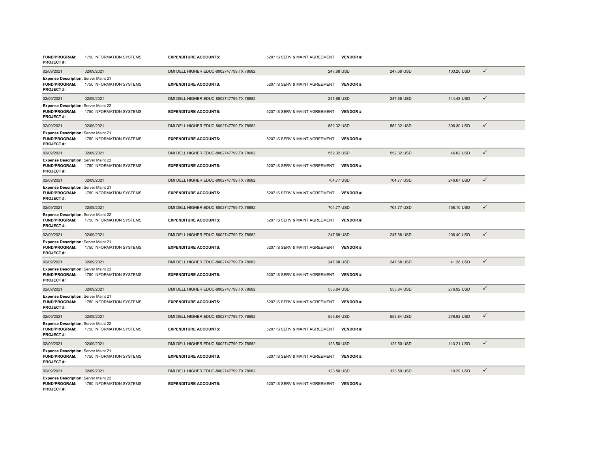| FUND/PROGRAM:<br><b>PROJECT#:</b>                                                       | 1750 INFORMATION SYSTEMS | <b>EXPENDITURE ACCOUNTS:</b>               | 5207 IS SERV & MAINT AGREEMENT | <b>VENDOR#:</b> |            |            |              |
|-----------------------------------------------------------------------------------------|--------------------------|--------------------------------------------|--------------------------------|-----------------|------------|------------|--------------|
| 02/09/2021                                                                              | 02/09/2021               | DMI DELL HIGHER EDUC-8002747799.TX.78682   |                                | 247.68 USD      | 247.68 USD | 103.20 USD | $\checkmark$ |
| Expense Description: Server Maint 21<br>FUND/PROGRAM:<br><b>PROJECT#:</b>               | 1750 INFORMATION SYSTEMS | <b>EXPENDITURE ACCOUNTS:</b>               | 5207 IS SERV & MAINT AGREEMENT | <b>VENDOR#:</b> |            |            |              |
| 02/09/2021                                                                              | 02/09/2021               | DMI DELL HIGHER EDUC-8002747799.TX.78682   |                                | 247.68 USD      | 247.68 USD | 144.48 USD | $\checkmark$ |
| <b>Expense Description: Server Maint 22</b><br>FUND/PROGRAM:<br><b>PROJECT#:</b>        | 1750 INFORMATION SYSTEMS | <b>EXPENDITURE ACCOUNTS:</b>               | 5207 IS SERV & MAINT AGREEMENT | <b>VENDOR#:</b> |            |            |              |
| 02/09/2021                                                                              | 02/09/2021               | DMI DELL HIGHER EDUC-8002747799,TX,78682   |                                | 552.32 USD      | 552.32 USD | 506.30 USD | $\checkmark$ |
| <b>Expense Description: Server Maint 21</b><br><b>FUND/PROGRAM:</b><br><b>PROJECT#:</b> | 1750 INFORMATION SYSTEMS | <b>EXPENDITURE ACCOUNTS:</b>               | 5207 IS SERV & MAINT AGREEMENT | <b>VENDOR#:</b> |            |            |              |
| 02/09/2021                                                                              | 02/09/2021               | DMI DELL HIGHER EDUC-8002747799.TX.78682   |                                | 552.32 USD      | 552.32 USD | 46.02 USD  | $\checkmark$ |
| Expense Description: Server Maint 22<br>FUND/PROGRAM:<br><b>PROJECT#:</b>               | 1750 INFORMATION SYSTEMS | <b>EXPENDITURE ACCOUNTS:</b>               | 5207 IS SERV & MAINT AGREEMENT | <b>VENDOR#:</b> |            |            |              |
| 02/09/2021                                                                              | 02/09/2021               | DMI DELL HIGHER EDUC-8002747799.TX.78682   |                                | 704.77 USD      | 704.77 USD | 246.67 USD | $\checkmark$ |
| Expense Description: Server Maint 21<br>FUND/PROGRAM:<br><b>PROJECT#:</b>               | 1750 INFORMATION SYSTEMS | <b>EXPENDITURE ACCOUNTS:</b>               | 5207 IS SERV & MAINT AGREEMENT | <b>VENDOR#:</b> |            |            |              |
| 02/09/2021                                                                              | 02/09/2021               | DMI DELL HIGHER EDUC-8002747799,TX,78682   |                                | 704.77 USD      | 704.77 USD | 458.10 USD | $\checkmark$ |
| <b>Expense Description: Server Maint 22</b><br>FUND/PROGRAM:<br><b>PROJECT#:</b>        | 1750 INFORMATION SYSTEMS | <b>EXPENDITURE ACCOUNTS:</b>               | 5207 IS SERV & MAINT AGREEMENT | VENDOR#:        |            |            |              |
| 02/09/2021                                                                              | 02/09/2021               | DMI DELL HIGHER EDUC-8002747799,TX,78682   |                                | 247.68 USD      | 247.68 USD | 206.40 USD | $\checkmark$ |
| Expense Description: Server Maint 21<br><b>FUND/PROGRAM:</b><br><b>PROJECT#:</b>        | 1750 INFORMATION SYSTEMS | <b>EXPENDITURE ACCOUNTS:</b>               | 5207 IS SERV & MAINT AGREEMENT | <b>VENDOR#:</b> |            |            |              |
| 02/09/2021                                                                              | 02/09/2021               | DMI DELL HIGHER EDUC-8002747799.TX.78682   |                                | 247.68 USD      | 247.68 USD | 41.28 USD  | $\checkmark$ |
| Expense Description: Server Maint 22<br>FUND/PROGRAM:<br><b>PROJECT#:</b>               | 1750 INFORMATION SYSTEMS | <b>EXPENDITURE ACCOUNTS:</b>               | 5207 IS SERV & MAINT AGREEMENT | <b>VENDOR#:</b> |            |            |              |
| 02/09/2021                                                                              | 02/09/2021               | DMI DELL HIGHER EDUC-8002747799,TX,78682   |                                | 553.84 USD      | 553.84 USD | 276.92 USD | $\checkmark$ |
| <b>Expense Description: Server Maint 21</b><br>FUND/PROGRAM:<br><b>PROJECT#:</b>        | 1750 INFORMATION SYSTEMS | <b>EXPENDITURE ACCOUNTS:</b>               | 5207 IS SERV & MAINT AGREEMENT | <b>VENDOR#:</b> |            |            |              |
| 02/09/2021                                                                              | 02/09/2021               | DMI DELL HIGHER EDUC-8002747799, TX, 78682 |                                | 553.84 USD      | 553.84 USD | 276.92 USD | $\checkmark$ |
| <b>Expense Description: Server Maint 22</b><br>FUND/PROGRAM:<br><b>PROJECT#:</b>        | 1750 INFORMATION SYSTEMS | <b>EXPENDITURE ACCOUNTS:</b>               | 5207 IS SERV & MAINT AGREEMENT | <b>VENDOR#:</b> |            |            |              |
| 02/09/2021                                                                              | 02/09/2021               | DMI DELL HIGHER EDUC-8002747799, TX, 78682 |                                | 123.50 USD      | 123.50 USD | 113.21 USD | $\checkmark$ |
| Expense Description: Server Maint 21<br>FUND/PROGRAM:<br><b>PROJECT#:</b>               | 1750 INFORMATION SYSTEMS | <b>EXPENDITURE ACCOUNTS:</b>               | 5207 IS SERV & MAINT AGREEMENT | <b>VENDOR#:</b> |            |            |              |
| 02/09/2021                                                                              | 02/09/2021               | DMI DELL HIGHER EDUC-8002747799,TX,78682   |                                | 123.50 USD      | 123.50 USD | 10.29 USD  | $\checkmark$ |
| <b>Expense Description: Server Maint 22</b><br><b>FUND/PROGRAM:</b><br><b>PROJECT#:</b> | 1750 INFORMATION SYSTEMS | <b>EXPENDITURE ACCOUNTS:</b>               | 5207 IS SERV & MAINT AGREEMENT | <b>VENDOR#:</b> |            |            |              |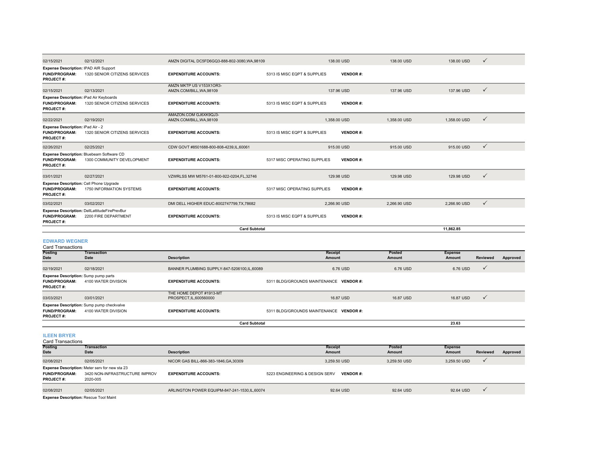| 02/15/2021                                                                           | 02/12/2021                                                              | AMZN DIGITAL DC5FD6GQ3-888-802-3080.WA.98109        |                              | 138,00 USD      | 138,00 USD   | 138,00 USD   | $\checkmark$ |
|--------------------------------------------------------------------------------------|-------------------------------------------------------------------------|-----------------------------------------------------|------------------------------|-----------------|--------------|--------------|--------------|
| Expense Description: IPAD AIR Support<br><b>FUND/PROGRAM:</b><br><b>PROJECT#:</b>    | 1320 SENIOR CITIZENS SERVICES                                           | <b>EXPENDITURE ACCOUNTS:</b>                        | 5313 IS MISC EQPT & SUPPLIES | <b>VENDOR#:</b> |              |              |              |
| 02/15/2021                                                                           | 02/13/2021                                                              | AMZN MKTP US V153X1OR3-<br>AMZN.COM/BILL, WA, 98109 |                              | 137.96 USD      | 137.96 USD   | 137.96 USD   | ✓            |
| Expense Description: iPad Air Keyboards<br><b>FUND/PROGRAM:</b><br><b>PROJECT#:</b>  | 1320 SENIOR CITIZENS SERVICES                                           | <b>EXPENDITURE ACCOUNTS:</b>                        | 5313 IS MISC EQPT & SUPPLIES | <b>VENDOR#:</b> |              |              |              |
| 02/22/2021                                                                           | 02/19/2021                                                              | AMAZON.COM GJ6XK9QJ3-<br>AMZN.COM/BILL, WA, 98109   |                              | 1,358.00 USD    | 1,358.00 USD | 1,358.00 USD | ✓            |
| <b>Expense Description: iPad Air - 2</b><br><b>FUND/PROGRAM:</b><br><b>PROJECT#:</b> | 1320 SENIOR CITIZENS SERVICES                                           | <b>EXPENDITURE ACCOUNTS:</b>                        | 5313 IS MISC EQPT & SUPPLIES | <b>VENDOR#:</b> |              |              |              |
| 02/26/2021                                                                           | 02/25/2021                                                              | CDW GOVT #8501688-800-808-4239,IL,60061             |                              | 915,00 USD      | 915,00 USD   | 915.00 USD   | $\checkmark$ |
| <b>FUND/PROGRAM:</b><br><b>PROJECT#:</b>                                             | Expense Description: Bluebeam Software CD<br>1300 COMMUNITY DEVELOPMENT | <b>EXPENDITURE ACCOUNTS:</b>                        | 5317 MISC OPERATING SUPPLIES | <b>VENDOR#:</b> |              |              |              |
| 03/01/2021                                                                           | 02/27/2021                                                              | VZWRLSS MW M5761-01-800-922-0204.FL.32746           |                              | 129.98 USD      | 129.98 USD   | 129.98 USD   | ✓            |
| Expense Description: Cell Phone Upgrade<br><b>FUND/PROGRAM:</b><br><b>PROJECT#:</b>  | 1750 INFORMATION SYSTEMS                                                | <b>EXPENDITURE ACCOUNTS:</b>                        | 5317 MISC OPERATING SUPPLIES | <b>VENDOR#:</b> |              |              |              |
| 03/02/2021                                                                           | 03/02/2021                                                              | DMI DELL HIGHER EDUC-8002747799,TX,78682            |                              | 2.266.90 USD    | 2.266.90 USD | 2,266.90 USD | $\checkmark$ |
| <b>FUND/PROGRAM:</b><br><b>PROJECT#:</b>                                             | Expense Description: DellLattitudeFirePrevBur<br>2200 FIRE DEPARTMENT   | <b>EXPENDITURE ACCOUNTS:</b>                        | 5313 IS MISC EQPT & SUPPLIES | <b>VENDOR#:</b> |              |              |              |
|                                                                                      |                                                                         | <b>Card Subtotal</b>                                |                              |                 |              | 11,862.85    |              |
|                                                                                      |                                                                         |                                                     |                              |                 |              |              |              |

#### **EDWARD WEGNER**

| <b>Card Transactions</b>                                                                |                                                                         |                                                  |                                         |               |                |                 |          |
|-----------------------------------------------------------------------------------------|-------------------------------------------------------------------------|--------------------------------------------------|-----------------------------------------|---------------|----------------|-----------------|----------|
| <b>Posting</b>                                                                          | <b>Transaction</b>                                                      |                                                  | Receipt                                 | <b>Posted</b> | <b>Expense</b> |                 |          |
| Date                                                                                    | Date                                                                    | <b>Description</b>                               | Amount                                  | Amount        | Amount         | <b>Reviewed</b> | Approved |
| 02/19/2021                                                                              | 02/18/2021                                                              | BANNER PLUMBING SUPPLY-847-5206100, IL, 60089    | 6.76 USD                                | 6.76 USD      | 6.76 USD       | $\checkmark$    |          |
| <b>Expense Description:</b> Sump pump parts<br><b>FUND/PROGRAM:</b><br><b>PROJECT#:</b> | 4100 WATER DIVISION                                                     | <b>EXPENDITURE ACCOUNTS:</b>                     | 5311 BLDG/GROUNDS MAINTENANCE VENDOR #: |               |                |                 |          |
| 03/03/2021                                                                              | 03/01/2021                                                              | THE HOME DEPOT #1913-MT<br>PROSPECT.IL.600560000 | 16.87 USD                               | 16.87 USD     | 16.87 USD      | $\checkmark$    |          |
| <b>FUND/PROGRAM:</b><br><b>PROJECT#:</b>                                                | <b>Expense Description:</b> Sump pump checkvalve<br>4100 WATER DIVISION | <b>EXPENDITURE ACCOUNTS:</b>                     | 5311 BLDG/GROUNDS MAINTENANCE VENDOR #: |               |                |                 |          |
|                                                                                         |                                                                         | <b>Card Subtotal</b>                             |                                         |               | 23.63          |                 |          |

**ILEEN BRYER**

| Card Transactions                             |                                                                                                     |                                              |                                |                 |                |          |          |
|-----------------------------------------------|-----------------------------------------------------------------------------------------------------|----------------------------------------------|--------------------------------|-----------------|----------------|----------|----------|
| <b>Posting</b>                                | Transaction                                                                                         |                                              | <b>Receipt</b>                 | Posted          | <b>Expense</b> |          |          |
| <b>Date</b>                                   | Date                                                                                                | <b>Description</b>                           | Amount                         | Amount          | Amount         | Reviewed | Approved |
| 02/08/2021                                    | 02/05/2021                                                                                          | NICOR GAS BILL-866-383-1846, GA, 30309       | 3.259.50 USD                   | 3.259.50 USD    | 3,259.50 USD   |          |          |
| <b>FUND/PROGRAM:</b><br><b>PROJECT#:</b>      | <b>Expense Description:</b> Meter serv for new sta 23<br>3420 NON-INFRASTRUCTURE IMPROV<br>2020-005 | <b>EXPENDITURE ACCOUNTS:</b>                 | 5223 ENGINEERING & DESIGN SERV | <b>VENDOR#:</b> |                |          |          |
| 02/08/2021                                    | 02/05/2021                                                                                          | ARLINGTON POWER EQUIPM-847-241-1530.IL.60074 | 92.64 USD                      | 92.64 USD       | 92.64 USD      |          |          |
| <b>Expense Description: Rescue Tool Maint</b> |                                                                                                     |                                              |                                |                 |                |          |          |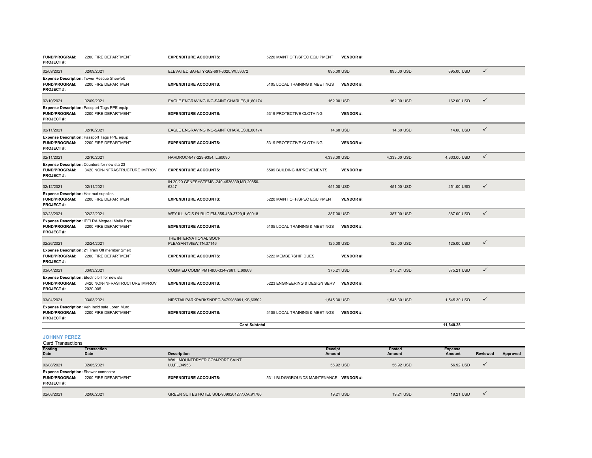| <b>FUND/PROGRAM:</b><br><b>PROJECT#:</b>                                          | 2200 FIRE DEPARTMENT                                                                         | <b>EXPENDITURE ACCOUNTS:</b>                        | 5220 MAINT OFF/SPEC EQUIPMENT  | <b>VENDOR#:</b> |              |              |              |
|-----------------------------------------------------------------------------------|----------------------------------------------------------------------------------------------|-----------------------------------------------------|--------------------------------|-----------------|--------------|--------------|--------------|
| 02/09/2021                                                                        | 02/09/2021                                                                                   | ELEVATED SAFETY-262-691-3320, WI,53072              |                                | 895.00 USD      | 895.00 USD   | 895.00 USD   | $\checkmark$ |
| <b>FUND/PROGRAM:</b><br><b>PROJECT#:</b>                                          | <b>Expense Description: Tower Rescue Shewfelt</b><br>2200 FIRE DEPARTMENT                    | <b>EXPENDITURE ACCOUNTS:</b>                        | 5105 LOCAL TRAINING & MEETINGS | <b>VENDOR#:</b> |              |              |              |
| 02/10/2021                                                                        | 02/09/2021                                                                                   | EAGLE ENGRAVING INC-SAINT CHARLES, IL, 60174        |                                | 162.00 USD      | 162.00 USD   | 162.00 USD   | $\checkmark$ |
| <b>FUND/PROGRAM:</b><br><b>PROJECT#:</b>                                          | Expense Description: Passport Tags PPE equip<br>2200 FIRE DEPARTMENT                         | <b>EXPENDITURE ACCOUNTS:</b>                        | 5319 PROTECTIVE CLOTHING       | <b>VENDOR#:</b> |              |              |              |
| 02/11/2021                                                                        | 02/10/2021                                                                                   | EAGLE ENGRAVING INC-SAINT CHARLES, IL, 60174        |                                | 14.60 USD       | 14.60 USD    | 14.60 USD    | $\checkmark$ |
| <b>FUND/PROGRAM:</b><br><b>PROJECT#:</b>                                          | Expense Description: Passport Tags PPE equip<br>2200 FIRE DEPARTMENT                         | <b>EXPENDITURE ACCOUNTS:</b>                        | 5319 PROTECTIVE CLOTHING       | <b>VENDOR#:</b> |              |              |              |
| 02/11/2021                                                                        | 02/10/2021                                                                                   | HARDROC-847-229-9354,IL,60090                       | 4,333.00 USD                   |                 | 4.333.00 USD | 4,333.00 USD | $\checkmark$ |
| <b>FUND/PROGRAM:</b><br><b>PROJECT#:</b>                                          | Expense Description: Counters for new sta 23<br>3420 NON-INFRASTRUCTURE IMPROV               | <b>EXPENDITURE ACCOUNTS:</b>                        | 5509 BUILDING IMPROVEMENTS     | <b>VENDOR#:</b> |              |              |              |
| 02/12/2021                                                                        | 02/11/2021                                                                                   | IN 20/20 GENESYSTEMS,-240-4536339,MD,20850-<br>6347 |                                | 451.00 USD      | 451.00 USD   | 451.00 USD   | $\checkmark$ |
| Expense Description: Haz mat supplies<br><b>FUND/PROGRAM:</b><br><b>PROJECT#:</b> | 2200 FIRE DEPARTMENT                                                                         | <b>EXPENDITURE ACCOUNTS:</b>                        | 5220 MAINT OFF/SPEC EQUIPMENT  | <b>VENDOR#:</b> |              |              |              |
| 02/23/2021                                                                        | 02/22/2021                                                                                   | WPY ILLINOIS PUBLIC EM-855-469-3729, IL, 60018      |                                | 387.00 USD      | 387.00 USD   | 387.00 USD   | $\checkmark$ |
| <b>FUND/PROGRAM:</b><br><b>PROJECT#:</b>                                          | Expense Description: IPELRA Mcgreal Mella Brye<br>2200 FIRE DEPARTMENT                       | <b>EXPENDITURE ACCOUNTS:</b>                        | 5105 LOCAL TRAINING & MEETINGS | <b>VENDOR#:</b> |              |              |              |
| 02/26/2021                                                                        | 02/24/2021                                                                                   | THE INTERNATIONAL SOCI-<br>PLEASANTVIEW, TN, 37146  |                                | 125,00 USD      | 125,00 USD   | 125.00 USD   | $\checkmark$ |
| <b>FUND/PROGRAM:</b><br><b>PROJECT#:</b>                                          | Expense Description: 21 Train Off member Smelt<br>2200 FIRE DEPARTMENT                       | <b>EXPENDITURE ACCOUNTS:</b>                        | 5222 MEMBERSHIP DUES           | <b>VENDOR#:</b> |              |              |              |
| 03/04/2021                                                                        | 03/03/2021                                                                                   | COMM ED COMM PMT-800-334-7661, IL, 60603            |                                | 375.21 USD      | 375.21 USD   | 375.21 USD   | $\checkmark$ |
| <b>FUND/PROGRAM:</b><br><b>PROJECT#:</b>                                          | Expense Description: Electric bill for new sta<br>3420 NON-INFRASTRUCTURE IMPROV<br>2020-005 | <b>EXPENDITURE ACCOUNTS:</b>                        | 5223 ENGINEERING & DESIGN SERV | <b>VENDOR#:</b> |              |              |              |
| 03/04/2021                                                                        | 03/03/2021                                                                                   | NIPSTAILPARKPARKSNREC-8479988091,KS,66502           | 1,545.30 USD                   |                 | 1.545.30 USD | 1,545.30 USD | $\checkmark$ |
| <b>FUND/PROGRAM:</b><br><b>PROJECT#:</b>                                          | Expense Description: Veh Incid safe Loren Murd<br>2200 FIRE DEPARTMENT                       | <b>EXPENDITURE ACCOUNTS:</b>                        | 5105 LOCAL TRAINING & MEETINGS | <b>VENDOR#:</b> |              |              |              |
|                                                                                   |                                                                                              | <b>Card Subtotal</b>                                |                                |                 |              | 11,640.25    |              |
| <b>IOHNNY PEREZ</b>                                                               |                                                                                              |                                                     |                                |                 |              |              |              |

**JOHNNY PEREZ** Card Transactions

| <b>UGIU HUIBUUUID</b>                                                                    |                      |                                                |                                         |           |                |                 |          |
|------------------------------------------------------------------------------------------|----------------------|------------------------------------------------|-----------------------------------------|-----------|----------------|-----------------|----------|
| <b>Posting</b>                                                                           | <b>Transaction</b>   |                                                | Receipt                                 | Posted    | <b>Expense</b> |                 |          |
| <b>Date</b>                                                                              | Date                 | <b>Description</b>                             | Amount                                  | Amount    | Amount         | <b>Reviewed</b> | Approved |
| 02/08/2021                                                                               | 02/05/2021           | WALLMOUNTDRYER COM-PORT SAINT<br>LU, FL, 34953 | 56.92 USD                               | 56.92 USD | 56.92 USD      |                 |          |
| <b>Expense Description: Shower connector</b><br><b>FUND/PROGRAM:</b><br><b>PROJECT#:</b> | 2200 FIRE DEPARTMENT | <b>EXPENDITURE ACCOUNTS:</b>                   | 5311 BLDG/GROUNDS MAINTENANCE VENDOR #: |           |                |                 |          |
| 02/08/2021                                                                               | 02/06/2021           | GREEN SUITES HOTEL SOL-9099201277.CA.91786     | 19.21 USD                               | 19.21 USD | 19.21 USD      |                 |          |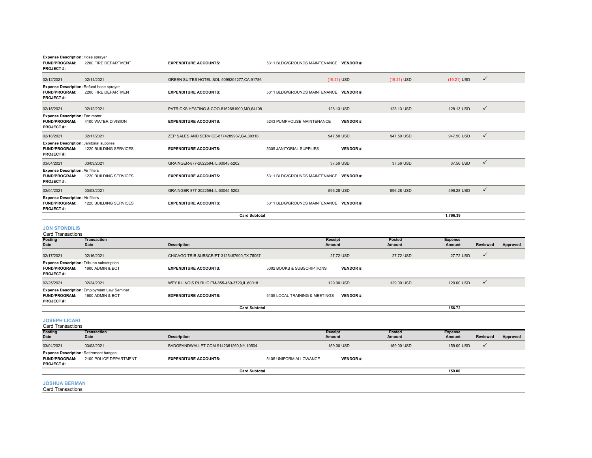| <b>Expense Description: Hose sprayer</b>                                             |                                   |                                              |                                         |                 |                  |                                 |              |          |
|--------------------------------------------------------------------------------------|-----------------------------------|----------------------------------------------|-----------------------------------------|-----------------|------------------|---------------------------------|--------------|----------|
| <b>FUND/PROGRAM:</b><br><b>PROJECT#:</b>                                             | 2200 FIRE DEPARTMENT              | <b>EXPENDITURE ACCOUNTS:</b>                 | 5311 BLDG/GROUNDS MAINTENANCE VENDOR#:  |                 |                  |                                 |              |          |
| 02/12/2021                                                                           | 02/11/2021                        | GREEN SUITES HOTEL SOL-9099201277, CA, 91786 |                                         | (19.21) USD     | (19.21) USD      | (19.21) USD                     | $\checkmark$ |          |
| Expense Description: Refund hose sprayer                                             |                                   |                                              |                                         |                 |                  |                                 |              |          |
| <b>FUND/PROGRAM:</b><br>PROJECT#:                                                    | 2200 FIRE DEPARTMENT              | <b>EXPENDITURE ACCOUNTS:</b>                 | 5311 BLDG/GROUNDS MAINTENANCE VENDOR#:  |                 |                  |                                 |              |          |
| 02/15/2021                                                                           | 02/12/2021                        | PATRICKS HEATING & COO-8162681900.MO.64108   |                                         | 128.13 USD      | 128.13 USD       | 128.13 USD                      | ✓            |          |
| Expense Description: Fan motor<br><b>FUND/PROGRAM:</b><br><b>PROJECT#:</b>           | 4100 WATER DIVISION               | <b>EXPENDITURE ACCOUNTS:</b>                 | 5243 PUMPHOUSE MAINTENANCE              | <b>VENDOR#:</b> |                  |                                 |              |          |
| 02/18/2021                                                                           | 02/17/2021                        | ZEP SALES AND SERVICE-8774289937, GA, 30318  |                                         | 947.50 USD      | 947.50 USD       | 947.50 USD                      | $\checkmark$ |          |
| <b>Expense Description: Janitorial supplies</b><br><b>FUND/PROGRAM:</b><br>PROJECT#: | 1220 BUILDING SERVICES            | <b>EXPENDITURE ACCOUNTS:</b>                 | 5309 JANITORIAL SUPPLIES                | <b>VENDOR#:</b> |                  |                                 |              |          |
| 03/04/2021                                                                           | 03/03/2021                        | GRAINGER-877-2022594,IL,60045-5202           |                                         | 37.56 USD       | 37.56 USD        | 37.56 USD                       | $\checkmark$ |          |
| <b>Expense Description: Air filters</b><br><b>FUND/PROGRAM:</b><br>PROJECT#:         | 1220 BUILDING SERVICES            | <b>EXPENDITURE ACCOUNTS:</b>                 | 5311 BLDG/GROUNDS MAINTENANCE VENDOR #: |                 |                  |                                 |              |          |
| 03/04/2021                                                                           | 03/03/2021                        | GRAINGER-877-2022594,IL,60045-5202           |                                         | 596.28 USD      | 596.28 USD       | 596.28 USD                      | $\checkmark$ |          |
| <b>Expense Description: Air filters</b><br>FUND/PROGRAM:<br><b>PROJECT#:</b>         | 1220 BUILDING SERVICES            | <b>EXPENDITURE ACCOUNTS:</b>                 | 5311 BLDG/GROUNDS MAINTENANCE VENDOR #: |                 |                  |                                 |              |          |
|                                                                                      |                                   | <b>Card Subtotal</b>                         |                                         |                 |                  | 1.766.39                        |              |          |
| <b>JON SFONDILIS</b><br><b>Card Transactions</b>                                     |                                   |                                              |                                         |                 |                  |                                 |              |          |
| Posting<br><b>Date</b>                                                               | <b>Transaction</b><br><b>Date</b> | <b>Description</b>                           | Receipt<br>Amount                       |                 | Posted<br>Amount | <b>Expense</b><br><b>Amount</b> | Reviewed     | Approved |
| 02/17/2021<br>Expense Description: Tribune subscription.                             | 02/16/2021                        | CHICAGO TRIB SUBSCRIPT-3125467900, TX, 75067 |                                         | 27.72 USD       | 27.72 USD        | 27.72 USD                       | ✓            |          |

**FUND/PROGRAM:** 1600 ADMIN & BOT **EXPENDITURE ACCOUNTS:** 5302 BOOKS & SUBSCRIPTIONS **VENDOR #: PROJECT #:** 02/25/2021 02/24/2021 WPY ILLINOIS PUBLIC EM-855-469-3729,IL,60018 129.00 USD 129.00 USD 129.00 USD **FUND/PROGRAM:** 1600 ADMIN & BOT **EXPENDITURE ACCOUNTS:** 5105 LOCAL TRAINING & MEETINGS **VENDOR #: PROJECT #: Expense Description:** Employment Law Seminar **Card Subtotal**156.72

**156.72**

**JOSEPH LICARI**

**Posting Date TransactionDate Description Receipt Amount Posted Amount Expense Amount Reviewed Approved** 03/04/2021 03/03/2021 03/03/2021 BADGEANDWALLET.COM-9142361260,NY,10504 159.00 USD 159.00 USD 159.00 USD 159.00 USD √ **FUND/PROGRAM:** 2100 POLICE DEPARTMENT**EXPENDITURE ACCOUNTS:** 5106 UNIFORM ALLOWANCE **VENDOR #: PROJECT #:** Card Transactions **Expense Description:** Retirement badges **Card Subtotal 159.00** $159.00$ 

## **JOSHUA BERMAN**

Card Transactions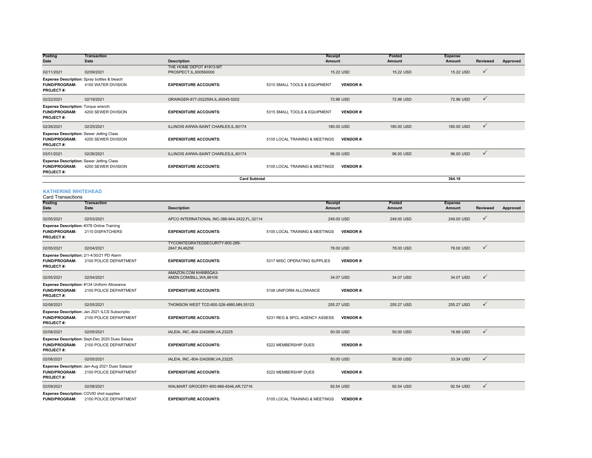| Posting<br>Date                                                                       | <b>Transaction</b><br>Date                                             | <b>Description</b>                                 | Receipt<br>Amount              |                 | Posted<br>Amount | <b>Expense</b><br>Amount | <b>Reviewed</b> | Approved |
|---------------------------------------------------------------------------------------|------------------------------------------------------------------------|----------------------------------------------------|--------------------------------|-----------------|------------------|--------------------------|-----------------|----------|
| 02/11/2021                                                                            | 02/09/2021                                                             | THE HOME DEPOT #1913-MT<br>PROSPECT, IL, 600560000 |                                | 15.22 USD       | 15.22 USD        | 15.22 USD                | $\checkmark$    |          |
| <b>FUND/PROGRAM:</b><br><b>PROJECT#:</b>                                              | Expense Description: Spray bottles & bleach<br>4100 WATER DIVISION     | <b>EXPENDITURE ACCOUNTS:</b>                       | 5315 SMALL TOOLS & EQUIPMENT   | <b>VENDOR#:</b> |                  |                          |                 |          |
| 02/22/2021                                                                            | 02/19/2021                                                             | GRAINGER-877-2022594,IL,60045-5202                 |                                | 72.96 USD       | 72.96 USD        | 72.96 USD                | $\checkmark$    |          |
| <b>Expense Description: Torque wrench</b><br><b>FUND/PROGRAM:</b><br><b>PROJECT#:</b> | 4200 SEWER DIVISION                                                    | <b>EXPENDITURE ACCOUNTS:</b>                       | 5315 SMALL TOOLS & EQUIPMENT   | <b>VENDOR#:</b> |                  |                          |                 |          |
| 02/26/2021                                                                            | 02/25/2021                                                             | ILLINOIS AWWA-SAINT CHARLES, IL, 60174             |                                | 180,00 USD      | 180,00 USD       | 180,00 USD               | $\checkmark$    |          |
| <b>FUND/PROGRAM:</b><br><b>PROJECT#:</b>                                              | <b>Expense Description: Sewer Jetting Class</b><br>4200 SEWER DIVISION | <b>EXPENDITURE ACCOUNTS:</b>                       | 5105 LOCAL TRAINING & MEETINGS | <b>VENDOR#:</b> |                  |                          |                 |          |
| 03/01/2021                                                                            | 02/26/2021                                                             | ILLINOIS AWWA-SAINT CHARLES, IL, 60174             |                                | 96.00 USD       | 96.00 USD        | 96.00 USD                | $\checkmark$    |          |
| <b>FUND/PROGRAM:</b><br><b>PROJECT#:</b>                                              | <b>Expense Description: Sewer Jetting Class</b><br>4200 SEWER DIVISION | <b>EXPENDITURE ACCOUNTS:</b>                       | 5105 LOCAL TRAINING & MEETINGS | <b>VENDOR#:</b> |                  |                          |                 |          |
|                                                                                       |                                                                        | <b>Card Subtotal</b>                               |                                |                 |                  | 364.18                   |                 |          |

#### **KATHERINE WHITEHEAD**

| <b>Card Transactions</b>                                                              |                                                                          |                                                    |                                |                 |                                |                          |                 |          |
|---------------------------------------------------------------------------------------|--------------------------------------------------------------------------|----------------------------------------------------|--------------------------------|-----------------|--------------------------------|--------------------------|-----------------|----------|
| <b>Posting</b><br><b>Date</b>                                                         | <b>Transaction</b><br>Date                                               | <b>Description</b>                                 | <b>Receipt</b><br>Amount       |                 | <b>Posted</b><br><b>Amount</b> | <b>Expense</b><br>Amount | <b>Reviewed</b> | Approved |
| 02/05/2021                                                                            | 02/03/2021                                                               | APCO INTERNATIONAL INC-386-944-2422, FL, 32114     |                                | 249.00 USD      | 249.00 USD                     | 249.00 USD               | $\checkmark$    |          |
| Expense Description: #378 Online Training<br><b>FUND/PROGRAM:</b><br><b>PROJECT#:</b> | 2110 DISPATCHERS                                                         | <b>EXPENDITURE ACCOUNTS:</b>                       | 5105 LOCAL TRAINING & MEETINGS | <b>VENDOR#:</b> |                                |                          |                 |          |
| 02/05/2021                                                                            | 02/04/2021                                                               | TYCOINTEGRATEDSECURITY-800-289-<br>2647, IN, 46256 |                                | 78,00 USD       | 78,00 USD                      | 78,00 USD                | $\checkmark$    |          |
| <b>FUND/PROGRAM:</b><br><b>PROJECT#:</b>                                              | Expense Description: 2/1-4/30/21 PD Alarm<br>2100 POLICE DEPARTMENT      | <b>EXPENDITURE ACCOUNTS:</b>                       | 5317 MISC OPERATING SUPPLIES   | <b>VENDOR#:</b> |                                |                          |                 |          |
| 02/05/2021                                                                            | 02/04/2021                                                               | AMAZON.COM KH8IB5QA3-<br>AMZN.COM/BILL, WA, 98109  |                                | 34.07 USD       | 34.07 USD                      | 34.07 USD                | $\checkmark$    |          |
| <b>FUND/PROGRAM:</b><br><b>PROJECT#:</b>                                              | Expense Description: #134 Uniform Allowance<br>2100 POLICE DEPARTMENT    | <b>EXPENDITURE ACCOUNTS:</b>                       | 5106 UNIFORM ALLOWANCE         | <b>VENDOR#:</b> |                                |                          |                 |          |
| 02/08/2021                                                                            | 02/05/2021                                                               | THOMSON WEST TCD-800-328-4880, MN, 55123           |                                | 255.27 USD      | 255.27 USD                     | 255.27 USD               | $\checkmark$    |          |
| <b>FUND/PROGRAM:</b><br><b>PROJECT#:</b>                                              | Expense Description: Jan 2021 ILCS Subscriptio<br>2100 POLICE DEPARTMENT | <b>EXPENDITURE ACCOUNTS:</b>                       | 5231 REG & SPCL AGENCY ASSESS  | <b>VENDOR#:</b> |                                |                          |                 |          |
| 02/08/2021                                                                            | 02/05/2021                                                               | IALEIA, INC.-804-3342696, VA, 23225                |                                | 50.00 USD       | 50.00 USD                      | 16.66 USD                | $\checkmark$    |          |
| <b>FUND/PROGRAM:</b><br><b>PROJECT#:</b>                                              | Expense Description: Sept-Dec 2020 Dues Salaza<br>2100 POLICE DEPARTMENT | <b>EXPENDITURE ACCOUNTS:</b>                       | 5222 MEMBERSHIP DUES           | <b>VENDOR#:</b> |                                |                          |                 |          |
| 02/08/2021                                                                            | 02/05/2021                                                               | IALEIA, INC.-804-3342696, VA, 23225                |                                | 50.00 USD       | 50.00 USD                      | 33.34 USD                | $\checkmark$    |          |
| <b>FUND/PROGRAM:</b><br><b>PROJECT#:</b>                                              | Expense Description: Jan-Aug 2021 Dues Salazar<br>2100 POLICE DEPARTMENT | <b>EXPENDITURE ACCOUNTS:</b>                       | 5222 MEMBERSHIP DUES           | <b>VENDOR#:</b> |                                |                          |                 |          |
| 02/09/2021                                                                            | 02/08/2021                                                               | WALMART GROCERY-800-966-6546, AR, 72716            |                                | 92.54 USD       | 92.54 USD                      | 92.54 USD                | $\checkmark$    |          |
| <b>FUND/PROGRAM:</b>                                                                  | Expense Description: COVID shot supplies<br>2100 POLICE DEPARTMENT       | <b>EXPENDITURE ACCOUNTS:</b>                       | 5105 LOCAL TRAINING & MEETINGS | <b>VENDOR#:</b> |                                |                          |                 |          |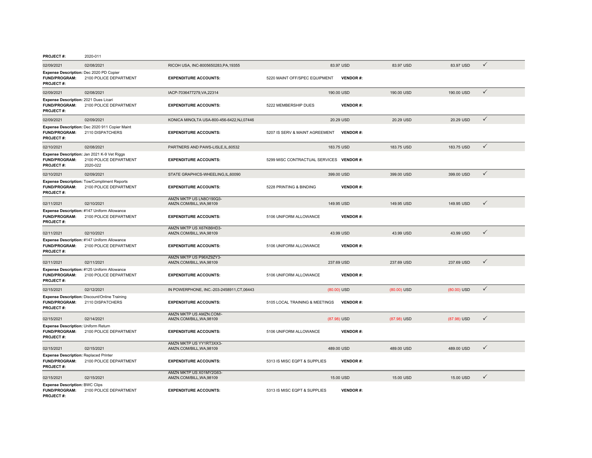| 02/09/2021                                                                          | 02/08/2021                                                                        | RICOH USA, INC-8005650283, PA, 19355       |                                          | 83.97 USD       | 83.97 USD  | 83.97 USD  | $\checkmark$ |
|-------------------------------------------------------------------------------------|-----------------------------------------------------------------------------------|--------------------------------------------|------------------------------------------|-----------------|------------|------------|--------------|
| Expense Description: Dec 2020 PD Copier<br><b>FUND/PROGRAM:</b><br><b>PROJECT#:</b> | 2100 POLICE DEPARTMENT                                                            | <b>EXPENDITURE ACCOUNTS:</b>               | 5220 MAINT OFF/SPEC EQUIPMENT            | <b>VENDOR#:</b> |            |            |              |
| 02/09/2021                                                                          | 02/08/2021                                                                        | IACP-7036477279, VA, 22314                 |                                          | 190,00 USD      | 190.00 USD | 190.00 USD | $\checkmark$ |
| Expense Description: 2021 Dues Licari<br><b>FUND/PROGRAM:</b><br><b>PROJECT#:</b>   | 2100 POLICE DEPARTMENT                                                            | <b>EXPENDITURE ACCOUNTS:</b>               | 5222 MEMBERSHIP DUES                     | <b>VENDOR#:</b> |            |            |              |
| 02/09/2021                                                                          | 02/09/2021                                                                        | KONICA MINOLTA USA-800-456-6422, NJ, 07446 |                                          | 20.29 USD       | 20.29 USD  | 20.29 USD  | $\checkmark$ |
| <b>FUND/PROGRAM:</b><br>PROJECT#:                                                   | Expense Description: Dec 2020 911 Copier Maint<br>2110 DISPATCHERS                | <b>EXPENDITURE ACCOUNTS:</b>               | 5207 IS SERV & MAINT AGREEMENT           | <b>VENDOR#:</b> |            |            |              |
| 02/10/2021                                                                          | 02/08/2021                                                                        | PARTNERS AND PAWS-LISLE, IL, 60532         |                                          | 183.75 USD      | 183.75 USD | 183.75 USD | $\checkmark$ |
| <b>FUND/PROGRAM:</b><br><b>PROJECT#:</b>                                            | Expense Description: Jan 2021 K-9 Vet Riggs<br>2100 POLICE DEPARTMENT<br>2020-022 | <b>EXPENDITURE ACCOUNTS:</b>               | 5299 MISC CONTRACTUAL SERVICES VENDOR #: |                 |            |            |              |
| 02/10/2021                                                                          | 02/09/2021                                                                        | STATE GRAPHICS-WHEELING, IL, 60090         |                                          | 399.00 USD      | 399.00 USD | 399.00 USD | $\checkmark$ |
| <b>Expense Description: Tow/Compliment Reports</b>                                  |                                                                                   |                                            |                                          |                 |            |            |              |

| <b>FUND/PROGRAM:</b><br><b>PROJECT#:</b>                                                 | Expense Description: Dec 2020 911 Copier Maint<br>2110 DISPATCHERS                | <b>EXPENDITURE ACCOUNTS:</b>                        | 5207 IS SERV & MAINT AGREEMENT           | <b>VENDOR#:</b> |               |               |              |
|------------------------------------------------------------------------------------------|-----------------------------------------------------------------------------------|-----------------------------------------------------|------------------------------------------|-----------------|---------------|---------------|--------------|
| 02/10/2021                                                                               | 02/08/2021                                                                        | PARTNERS AND PAWS-LISLE, IL, 60532                  |                                          | 183.75 USD      | 183.75 USD    | 183.75 USD    | $\checkmark$ |
| <b>FUND/PROGRAM:</b><br><b>PROJECT#:</b>                                                 | Expense Description: Jan 2021 K-9 Vet Riggs<br>2100 POLICE DEPARTMENT<br>2020-022 | <b>EXPENDITURE ACCOUNTS:</b>                        | 5299 MISC CONTRACTUAL SERVICES VENDOR #: |                 |               |               |              |
| 02/10/2021                                                                               | 02/09/2021                                                                        | STATE GRAPHICS-WHEELING, IL, 60090                  |                                          | 399.00 USD      | 399.00 USD    | 399.00 USD    | $\checkmark$ |
| <b>FUND/PROGRAM:</b><br><b>PROJECT#:</b>                                                 | <b>Expense Description: Tow/Compliment Reports</b><br>2100 POLICE DEPARTMENT      | <b>EXPENDITURE ACCOUNTS:</b>                        | 5228 PRINTING & BINDING                  | <b>VENDOR#:</b> |               |               |              |
| 02/11/2021                                                                               | 02/10/2021                                                                        | AMZN MKTP US LN8O190Q3-<br>AMZN.COM/BILL, WA, 98109 |                                          | 149.95 USD      | 149.95 USD    | 149.95 USD    | $\checkmark$ |
| FUND/PROGRAM:<br><b>PROJECT#:</b>                                                        | Expense Description: #147 Uniform Allowance<br>2100 POLICE DEPARTMENT             | <b>EXPENDITURE ACCOUNTS:</b>                        | 5106 UNIFORM ALLOWANCE                   | <b>VENDOR#:</b> |               |               |              |
| 02/11/2021                                                                               | 02/10/2021                                                                        | AMZN MKTP US X67K86HD3-<br>AMZN.COM/BILL.WA.98109   |                                          | 43.99 USD       | 43.99 USD     | 43.99 USD     | $\checkmark$ |
| FUND/PROGRAM:<br><b>PROJECT#:</b>                                                        | Expense Description: #147 Uniform Allowance<br>2100 POLICE DEPARTMENT             | <b>EXPENDITURE ACCOUNTS:</b>                        | 5106 UNIFORM ALLOWANCE                   | <b>VENDOR#:</b> |               |               |              |
| 02/11/2021                                                                               | 02/11/2021                                                                        | AMZN MKTP US P96XZ9ZY3-<br>AMZN.COM/BILL, WA, 98109 |                                          | 237.69 USD      | 237.69 USD    | 237.69 USD    | $\checkmark$ |
| <b>FUND/PROGRAM:</b><br><b>PROJECT#:</b>                                                 | Expense Description: #125 Uniform Allowance<br>2100 POLICE DEPARTMENT             | <b>EXPENDITURE ACCOUNTS:</b>                        | 5106 UNIFORM ALLOWANCE                   | <b>VENDOR#:</b> |               |               |              |
| 02/15/2021                                                                               | 02/12/2021                                                                        | IN POWERPHONE, INC.-203-2458911, CT, 06443          |                                          | $(80.00)$ USD   | $(80.00)$ USD | $(80.00)$ USD | $\checkmark$ |
| <b>FUND/PROGRAM:</b><br><b>PROJECT#:</b>                                                 | Expense Description: Discount/Online Training<br>2110 DISPATCHERS                 | <b>EXPENDITURE ACCOUNTS:</b>                        | 5105 LOCAL TRAINING & MEETINGS           | <b>VENDOR#:</b> |               |               |              |
| 02/15/2021                                                                               | 02/14/2021                                                                        | AMZN MKTP US AMZN.COM/-<br>AMZN.COM/BILL, WA, 98109 |                                          | (87.98) USD     | (87.98) USD   | (87.98) USD   | $\checkmark$ |
| Expense Description: Uniform Return<br><b>FUND/PROGRAM:</b><br><b>PROJECT#:</b>          | 2100 POLICE DEPARTMENT                                                            | <b>EXPENDITURE ACCOUNTS:</b>                        | 5106 UNIFORM ALLOWANCE                   | <b>VENDOR#:</b> |               |               |              |
| 02/15/2021                                                                               | 02/15/2021                                                                        | AMZN MKTP US YY1RT3XX3-<br>AMZN.COM/BILL.WA.98109   |                                          | 489.00 USD      | 489.00 USD    | 489,00 USD    | $\checkmark$ |
| <b>Expense Description: Replaced Printer</b><br><b>FUND/PROGRAM:</b><br><b>PROJECT#:</b> | 2100 POLICE DEPARTMENT                                                            | <b>EXPENDITURE ACCOUNTS:</b>                        | 5313 IS MISC EQPT & SUPPLIES             | <b>VENDOR#:</b> |               |               |              |
| 02/15/2021                                                                               | 02/15/2021                                                                        | AMZN MKTP US X01MY2G63-<br>AMZN.COM/BILL, WA, 98109 |                                          | 15.00 USD       | 15.00 USD     | 15.00 USD     | $\checkmark$ |
| <b>Expense Description: BWC Clips</b><br><b>FUND/PROGRAM:</b><br><b>PROJECT#:</b>        | 2100 POLICE DEPARTMENT                                                            | <b>EXPENDITURE ACCOUNTS:</b>                        | 5313 IS MISC EQPT & SUPPLIES             | <b>VENDOR#:</b> |               |               |              |

**PROJECT #:**2020-011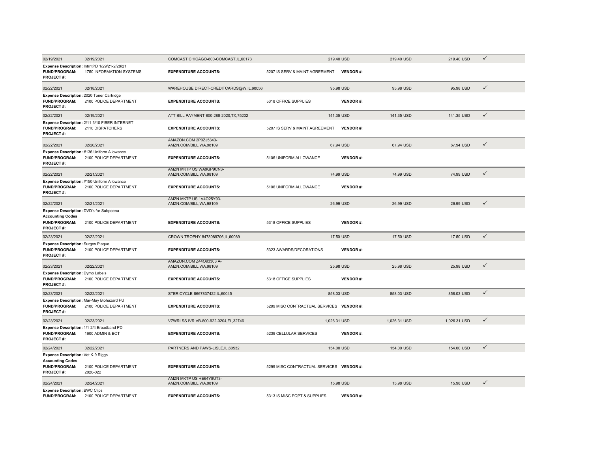| 02/19/2021                                                                                                     | 02/19/2021                                                                | COMCAST CHICAGO-800-COMCAST, IL, 60173              |                                          | 219.40 USD   |                 | 219.40 USD   | 219.40 USD   | $\checkmark$ |
|----------------------------------------------------------------------------------------------------------------|---------------------------------------------------------------------------|-----------------------------------------------------|------------------------------------------|--------------|-----------------|--------------|--------------|--------------|
| <b>FUND/PROGRAM:</b><br><b>PROJECT#:</b>                                                                       | Expense Description: IntrntPD 1/29/21-2/28/21<br>1750 INFORMATION SYSTEMS | <b>EXPENDITURE ACCOUNTS:</b>                        | 5207 IS SERV & MAINT AGREEMENT           |              | <b>VENDOR#:</b> |              |              |              |
| 02/22/2021                                                                                                     | 02/18/2021                                                                | WAREHOUSE DIRECT-CREDITCARDS@W,IL,60056             |                                          | 95.98 USD    |                 | 95.98 USD    | 95.98 USD    | $\checkmark$ |
| Expense Description: 2020 Toner Cartridge<br><b>FUND/PROGRAM:</b><br><b>PROJECT#:</b>                          | 2100 POLICE DEPARTMENT                                                    | <b>EXPENDITURE ACCOUNTS:</b>                        | 5318 OFFICE SUPPLIES                     |              | <b>VENDOR#:</b> |              |              |              |
| 02/22/2021                                                                                                     | 02/19/2021                                                                | ATT BILL PAYMENT-800-288-2020, TX, 75202            |                                          | 141.35 USD   |                 | 141.35 USD   | 141.35 USD   | $\checkmark$ |
| <b>FUND/PROGRAM:</b><br>PROJECT#:                                                                              | Expense Description: 2/11-3/10 FIBER INTERNET<br>2110 DISPATCHERS         | <b>EXPENDITURE ACCOUNTS:</b>                        | 5207 IS SERV & MAINT AGREEMENT           |              | <b>VENDOR#:</b> |              |              |              |
| 02/22/2021                                                                                                     | 02/20/2021                                                                | AMAZON.COM 2P0ZJ5343-<br>AMZN.COM/BILL, WA, 98109   |                                          | 67.94 USD    |                 | 67.94 USD    | 67.94 USD    | $\checkmark$ |
| FUND/PROGRAM:<br><b>PROJECT#:</b>                                                                              | Expense Description: #136 Uniform Allowance<br>2100 POLICE DEPARTMENT     | <b>EXPENDITURE ACCOUNTS:</b>                        | 5106 UNIFORM ALLOWANCE                   |              | <b>VENDOR#:</b> |              |              |              |
| 02/22/2021                                                                                                     | 02/21/2021                                                                | AMZN MKTP US WA9GP9CN3-<br>AMZN.COM/BILL, WA, 98109 |                                          | 74.99 USD    |                 | 74.99 USD    | 74.99 USD    | $\checkmark$ |
| <b>FUND/PROGRAM:</b><br><b>PROJECT#:</b>                                                                       | Expense Description: #150 Uniform Allowance<br>2100 POLICE DEPARTMENT     | <b>EXPENDITURE ACCOUNTS:</b>                        | 5106 UNIFORM ALLOWANCE                   |              | <b>VENDOR#:</b> |              |              |              |
| 02/22/2021                                                                                                     | 02/21/2021                                                                | AMZN MKTP US 1V4O25Y93-<br>AMZN.COM/BILL, WA, 98109 |                                          | 26.99 USD    |                 | 26.99 USD    | 26.99 USD    | ✓            |
| Expense Description: DVD's for Subpoena<br><b>Accounting Codes</b><br><b>FUND/PROGRAM:</b><br><b>PROJECT#:</b> | 2100 POLICE DEPARTMENT                                                    | <b>EXPENDITURE ACCOUNTS:</b>                        | 5318 OFFICE SUPPLIES                     |              | <b>VENDOR#:</b> |              |              |              |
| 02/23/2021                                                                                                     | 02/22/2021                                                                | CROWN TROPHY-8478089706,IL,60089                    |                                          | 17.50 USD    |                 | 17.50 USD    | 17.50 USD    | $\checkmark$ |
| <b>Expense Description: Surges Plaque</b><br><b>FUND/PROGRAM:</b><br><b>PROJECT#:</b>                          | 2100 POLICE DEPARTMENT                                                    | <b>EXPENDITURE ACCOUNTS:</b>                        | 5323 AWARDS/DECORATIONS                  |              | <b>VENDOR#:</b> |              |              |              |
| 02/23/2021                                                                                                     | 02/22/2021                                                                | AMAZON.COM Z44O93303 A-<br>AMZN.COM/BILL.WA.98109   |                                          | 25.98 USD    |                 | 25.98 USD    | 25.98 USD    | $\checkmark$ |
| Expense Description: Dymo Labels<br><b>FUND/PROGRAM:</b><br><b>PROJECT#:</b>                                   | 2100 POLICE DEPARTMENT                                                    | <b>EXPENDITURE ACCOUNTS:</b>                        | 5318 OFFICE SUPPLIES                     |              | <b>VENDOR#:</b> |              |              |              |
| 02/23/2021                                                                                                     | 02/22/2021                                                                | STERICYCLE-8667837422.IL.60045                      |                                          | 858.03 USD   |                 | 858.03 USD   | 858.03 USD   | $\checkmark$ |
| <b>FUND/PROGRAM:</b><br><b>PROJECT#:</b>                                                                       | Expense Description: Mar-May Biohazard PU<br>2100 POLICE DEPARTMENT       | <b>EXPENDITURE ACCOUNTS:</b>                        | 5299 MISC CONTRACTUAL SERVICES VENDOR #: |              |                 |              |              |              |
| 02/23/2021                                                                                                     | 02/23/2021                                                                | VZWRLSS IVR VB-800-922-0204,FL,32746                |                                          | 1,026.31 USD |                 | 1,026.31 USD | 1,026.31 USD | $\checkmark$ |
| Expense Description: 1/1-2/4 Broadband PD<br><b>FUND/PROGRAM:</b><br><b>PROJECT#:</b>                          | 1600 ADMIN & BOT                                                          | <b>EXPENDITURE ACCOUNTS:</b>                        | 5239 CELLULAR SERVICES                   |              | <b>VENDOR#:</b> |              |              |              |
| 02/24/2021                                                                                                     | 02/22/2021                                                                | PARTNERS AND PAWS-LISLE, IL, 60532                  |                                          | 154.00 USD   |                 | 154.00 USD   | 154.00 USD   | $\checkmark$ |
| <b>Expense Description: Vet K-9 Riggs</b><br><b>Accounting Codes</b><br><b>FUND/PROGRAM:</b><br>PROJECT#:      | 2100 POLICE DEPARTMENT<br>2020-022                                        | <b>EXPENDITURE ACCOUNTS:</b>                        | 5299 MISC CONTRACTUAL SERVICES VENDOR #: |              |                 |              |              |              |
| 02/24/2021                                                                                                     | 02/24/2021                                                                | AMZN MKTP US HE64Y8UT3-<br>AMZN.COM/BILL.WA.98109   |                                          | 15.98 USD    |                 | 15.98 USD    | 15.98 USD    | $\checkmark$ |
| <b>Expense Description: BWC Clips</b><br><b>FUND/PROGRAM:</b>                                                  | 2100 POLICE DEPARTMENT                                                    | <b>EXPENDITURE ACCOUNTS:</b>                        | 5313 IS MISC EQPT & SUPPLIES             |              | <b>VENDOR#:</b> |              |              |              |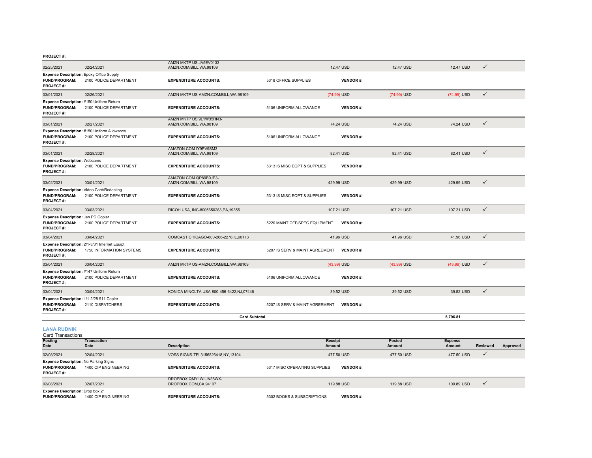|                                                                                      |                                                                           | <b>Card Subtotal</b>                                |                                |                 |             | 5.796.81    |              |
|--------------------------------------------------------------------------------------|---------------------------------------------------------------------------|-----------------------------------------------------|--------------------------------|-----------------|-------------|-------------|--------------|
| Expense Description: 1/1-2/28 911 Copier<br><b>FUND/PROGRAM:</b><br><b>PROJECT#:</b> | 2110 DISPATCHERS                                                          | <b>EXPENDITURE ACCOUNTS:</b>                        | 5207 IS SERV & MAINT AGREEMENT | <b>VENDOR#:</b> |             |             |              |
| 03/04/2021                                                                           | 03/04/2021                                                                | KONICA MINOLTA USA-800-456-6422,NJ,07446            |                                | 39.52 USD       | 39.52 USD   | 39.52 USD   | $\checkmark$ |
| Expense Description: #147 Uniform Return<br><b>FUND/PROGRAM:</b><br><b>PROJECT#:</b> | 2100 POLICE DEPARTMENT                                                    | <b>EXPENDITURE ACCOUNTS:</b>                        | 5106 UNIFORM ALLOWANCE         | <b>VENDOR#:</b> |             |             |              |
| 03/04/2021                                                                           | 03/04/2021                                                                | AMZN MKTP US-AMZN.COM/BILL, WA, 98109               |                                | (43.99) USD     | (43.99) USD | (43.99) USD | $\checkmark$ |
| <b>FUND/PROGRAM:</b><br><b>PROJECT#:</b>                                             | Expense Description: 2/1-3/31 Internet Equipt<br>1750 INFORMATION SYSTEMS | <b>EXPENDITURE ACCOUNTS:</b>                        | 5207 IS SERV & MAINT AGREEMENT | <b>VENDOR#:</b> |             |             |              |
| 03/04/2021                                                                           | 03/04/2021                                                                | COMCAST CHICAGO-800-266-2278, IL, 60173             |                                | 41.96 USD       | 41.96 USD   | 41.96 USD   | $\checkmark$ |
| Expense Description: Jan PD Copier<br><b>FUND/PROGRAM:</b><br><b>PROJECT#:</b>       | 2100 POLICE DEPARTMENT                                                    | <b>EXPENDITURE ACCOUNTS:</b>                        | 5220 MAINT OFF/SPEC EQUIPMENT  | <b>VENDOR#:</b> |             |             |              |
| 03/04/2021                                                                           | 03/03/2021                                                                | RICOH USA, INC-8005650283, PA, 19355                |                                | 107.21 USD      | 107.21 USD  | 107.21 USD  | $\checkmark$ |
| <b>FUND/PROGRAM:</b><br><b>PROJECT#:</b>                                             | Expense Description: Video Card/Redacting<br>2100 POLICE DEPARTMENT       | <b>EXPENDITURE ACCOUNTS:</b>                        | 5313 IS MISC EQPT & SUPPLIES   | <b>VENDOR#:</b> |             |             |              |
| 03/02/2021                                                                           | 03/01/2021                                                                | AMAZON.COM QP89B0JE3-<br>AMZN.COM/BILL, WA, 98109   |                                | 429.99 USD      | 429.99 USD  | 429.99 USD  | $\checkmark$ |
| <b>Expense Description: Webcams</b><br><b>FUND/PROGRAM:</b><br><b>PROJECT#:</b>      | 2100 POLICE DEPARTMENT                                                    | <b>EXPENDITURE ACCOUNTS:</b>                        | 5313 IS MISC EQPT & SUPPLIES   | <b>VENDOR#:</b> |             |             |              |
| 03/01/2021                                                                           | 02/28/2021                                                                | AMAZON.COM IY9PV9SM3-<br>AMZN.COM/BILL, WA, 98109   |                                | 82.41 USD       | 82.41 USD   | 82.41 USD   | $\checkmark$ |
| <b>FUND/PROGRAM:</b><br><b>PROJECT#:</b>                                             | Expense Description: #150 Uniform Allowance<br>2100 POLICE DEPARTMENT     | <b>EXPENDITURE ACCOUNTS:</b>                        | 5106 UNIFORM ALLOWANCE         | <b>VENDOR#:</b> |             |             |              |
| 03/01/2021                                                                           | 02/27/2021                                                                | AMZN MKTP US 9L1W35HN3-<br>AMZN.COM/BILL, WA, 98109 |                                | 74.24 USD       | 74.24 USD   | 74.24 USD   | $\checkmark$ |
| Expense Description: #150 Uniform Return<br><b>FUND/PROGRAM:</b><br><b>PROJECT#:</b> | 2100 POLICE DEPARTMENT                                                    | <b>EXPENDITURE ACCOUNTS:</b>                        | 5106 UNIFORM ALLOWANCE         | <b>VENDOR#:</b> |             |             |              |
| 03/01/2021                                                                           | 02/26/2021                                                                | AMZN MKTP US-AMZN.COM/BILL, WA, 98109               |                                | (74.99) USD     | (74.99) USD | (74.99) USD | $\checkmark$ |
| Expense Description: Epoxy Office Supply<br><b>FUND/PROGRAM:</b><br><b>PROJECT#:</b> | 2100 POLICE DEPARTMENT                                                    | <b>EXPENDITURE ACCOUNTS:</b>                        | 5318 OFFICE SUPPLIES           | <b>VENDOR#:</b> |             |             |              |
| 02/25/2021                                                                           | 02/24/2021                                                                | AMZN MKTP US JA5EV0133-<br>AMZN.COM/BILL, WA, 98109 |                                | 12.47 USD       | 12.47 USD   | 12.47 USD   | $\checkmark$ |

#### Card Transactions**LANA RUDNIK**

| oura manoavuono                              |                      |                                   |                                                 |            |                |                 |          |
|----------------------------------------------|----------------------|-----------------------------------|-------------------------------------------------|------------|----------------|-----------------|----------|
| <b>Posting</b>                               | <b>Transaction</b>   |                                   | <b>Receipt</b>                                  | Posted     | <b>Expense</b> |                 |          |
| <b>Date</b>                                  | Date                 | <b>Description</b>                | Amount                                          | Amount     | Amount         | <b>Reviewed</b> | Approved |
| 02/08/2021                                   | 02/04/2021           | VOSS SIGNS-TEL3156826418,NY,13104 | 477.50 USD                                      | 477.50 USD | 477,50 USD     |                 |          |
| <b>Expense Description: No Parking Signs</b> |                      |                                   |                                                 |            |                |                 |          |
| <b>FUND/PROGRAM:</b>                         | 1400 CIP ENGINEERING | <b>EXPENDITURE ACCOUNTS:</b>      | 5317 MISC OPERATING SUPPLIES<br><b>VENDOR#:</b> |            |                |                 |          |
| <b>PROJECT#:</b>                             |                      |                                   |                                                 |            |                |                 |          |
|                                              |                      | DROPBOX QMYLWLJN38WX-             |                                                 |            |                |                 |          |
| 02/08/2021                                   | 02/07/2021           | DROPBOX.COM,CA,94107              | 119,88 USD                                      | 119,88 USD | 109.89 USD     | $\mathbf v$     |          |
| Expense Description: Drop box 21             |                      |                                   |                                                 |            |                |                 |          |
| <b>FUND/PROGRAM:</b>                         | 1400 CIP ENGINEERING | <b>EXPENDITURE ACCOUNTS:</b>      | 5302 BOOKS & SUBSCRIPTIONS<br><b>VENDOR#:</b>   |            |                |                 |          |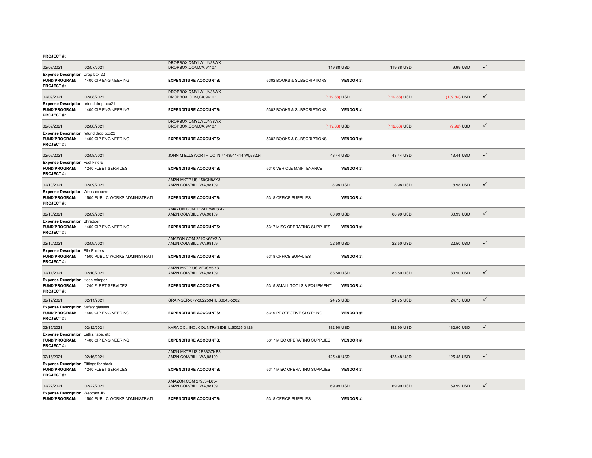| 02/08/2021                                                                                 | 02/07/2021                     | DROPBOX QMYLWLJN38WX-<br>DROPBOX.COM.CA.94107       |                              | 119,88 USD      | 119,88 USD   | 9.99 USD     | ✓            |  |
|--------------------------------------------------------------------------------------------|--------------------------------|-----------------------------------------------------|------------------------------|-----------------|--------------|--------------|--------------|--|
| Expense Description: Drop box 22                                                           |                                |                                                     |                              |                 |              |              |              |  |
| <b>FUND/PROGRAM:</b><br><b>PROJECT#:</b>                                                   | 1400 CIP ENGINEERING           | <b>EXPENDITURE ACCOUNTS:</b>                        | 5302 BOOKS & SUBSCRIPTIONS   | <b>VENDOR#:</b> |              |              |              |  |
| 02/09/2021                                                                                 | 02/08/2021                     | DROPBOX QMYLWLJN38WX-<br>DROPBOX.COM,CA,94107       |                              | (119.88) USD    | (119.88) USD | (109.89) USD | $\checkmark$ |  |
| Expense Description: refund drop box21<br><b>FUND/PROGRAM:</b><br><b>PROJECT#:</b>         | 1400 CIP ENGINEERING           | <b>EXPENDITURE ACCOUNTS:</b>                        | 5302 BOOKS & SUBSCRIPTIONS   | <b>VENDOR#:</b> |              |              |              |  |
| 02/09/2021                                                                                 | 02/08/2021                     | DROPBOX QMYLWLJN38WX-<br>DROPBOX.COM,CA,94107       |                              | (119.88) USD    | (119.88) USD | $(9.99)$ USD | $\checkmark$ |  |
| Expense Description: refund drop box22<br><b>FUND/PROGRAM:</b><br><b>PROJECT#:</b>         | 1400 CIP ENGINEERING           | <b>EXPENDITURE ACCOUNTS:</b>                        | 5302 BOOKS & SUBSCRIPTIONS   | <b>VENDOR#:</b> |              |              |              |  |
| 02/09/2021                                                                                 | 02/08/2021                     | JOHN M ELLSWORTH CO IN-4143541414, WI,53224         |                              | 43.44 USD       | 43.44 USD    | 43.44 USD    | $\checkmark$ |  |
| <b>Expense Description: Fuel Filters</b><br>FUND/PROGRAM:<br><b>PROJECT#:</b>              | 1240 FLEET SERVICES            | <b>EXPENDITURE ACCOUNTS:</b>                        | 5310 VEHICLE MAINTENANCE     | <b>VENDOR#:</b> |              |              |              |  |
| 02/10/2021                                                                                 | 02/09/2021                     | AMZN MKTP US 159CH8AY3-<br>AMZN.COM/BILL, WA, 98109 |                              | 8.98 USD        | 8.98 USD     | 8.98 USD     | $\checkmark$ |  |
| <b>Expense Description: Webcam cover</b><br><b>FUND/PROGRAM:</b><br><b>PROJECT#:</b>       | 1500 PUBLIC WORKS ADMINISTRATI | <b>EXPENDITURE ACCOUNTS:</b>                        | 5318 OFFICE SUPPLIES         | <b>VENDOR#:</b> |              |              |              |  |
| 02/10/2021                                                                                 | 02/09/2021                     | AMAZON COM TF2AT3WU3 A-<br>AMZN.COM/BILL, WA, 98109 |                              | 60.99 USD       | 60.99 USD    | 60.99 USD    | $\checkmark$ |  |
| <b>Expense Description: Shredder</b><br><b>FUND/PROGRAM:</b><br>PROJECT#:                  | 1400 CIP ENGINEERING           | <b>EXPENDITURE ACCOUNTS:</b>                        | 5317 MISC OPERATING SUPPLIES | <b>VENDOR#:</b> |              |              |              |  |
| 02/10/2021                                                                                 | 02/09/2021                     | AMAZON.COM 251CN65V3 A-<br>AMZN.COM/BILL, WA, 98109 |                              | 22.50 USD       | 22.50 USD    | 22.50 USD    | $\checkmark$ |  |
| <b>Expense Description: File Folders</b><br><b>FUND/PROGRAM:</b><br>PROJECT#:              | 1500 PUBLIC WORKS ADMINISTRATI | <b>EXPENDITURE ACCOUNTS:</b>                        | 5318 OFFICE SUPPLIES         | <b>VENDOR#:</b> |              |              |              |  |
| 02/11/2021                                                                                 | 02/10/2021                     | AMZN MKTP US VE0SV6I73-<br>AMZN.COM/BILL.WA.98109   |                              | 83.50 USD       | 83.50 USD    | 83.50 USD    | $\checkmark$ |  |
| Expense Description: Hose crimper<br><b>FUND/PROGRAM:</b><br><b>PROJECT#:</b>              | 1240 FLEET SERVICES            | <b>EXPENDITURE ACCOUNTS:</b>                        | 5315 SMALL TOOLS & EQUIPMENT | <b>VENDOR#:</b> |              |              |              |  |
| 02/12/2021                                                                                 | 02/11/2021                     | GRAINGER-877-2022594,IL,60045-5202                  |                              | 24.75 USD       | 24.75 USD    | 24.75 USD    | $\checkmark$ |  |
| <b>Expense Description: Safety glasses</b><br><b>FUND/PROGRAM:</b><br><b>PROJECT#:</b>     | 1400 CIP ENGINEERING           | <b>EXPENDITURE ACCOUNTS:</b>                        | 5319 PROTECTIVE CLOTHING     | <b>VENDOR#:</b> |              |              |              |  |
| 02/15/2021                                                                                 | 02/12/2021                     | KARA CO., INC.-COUNTRYSIDE, IL, 60525-3123          |                              | 182.90 USD      | 182.90 USD   | 182.90 USD   | $\checkmark$ |  |
| Expense Description: Laths, tape, etc.<br><b>FUND/PROGRAM:</b><br><b>PROJECT#:</b>         | 1400 CIP ENGINEERING           | <b>EXPENDITURE ACCOUNTS:</b>                        | 5317 MISC OPERATING SUPPLIES | VENDOR#:        |              |              |              |  |
| 02/16/2021                                                                                 | 02/16/2021                     | AMZN MKTP US 2E88G7NP3-<br>AMZN.COM/BILL, WA, 98109 |                              | 125.48 USD      | 125.48 USD   | 125.48 USD   | $\checkmark$ |  |
| <b>Expense Description: Fittings for stock</b><br><b>FUND/PROGRAM:</b><br><b>PROJECT#:</b> | 1240 FLEET SERVICES            | <b>EXPENDITURE ACCOUNTS:</b>                        | 5317 MISC OPERATING SUPPLIES | <b>VENDOR#:</b> |              |              |              |  |
| 02/22/2021                                                                                 | 02/22/2021                     | AMAZON.COM 279J34L63-<br>AMZN.COM/BILL, WA, 98109   |                              | 69.99 USD       | 69.99 USD    | 69.99 USD    | $\checkmark$ |  |
| Expense Description: Webcam JB<br><b>FUND/PROGRAM:</b>                                     | 1500 PUBLIC WORKS ADMINISTRATI | <b>EXPENDITURE ACCOUNTS:</b>                        | 5318 OFFICE SUPPLIES         | <b>VENDOR#:</b> |              |              |              |  |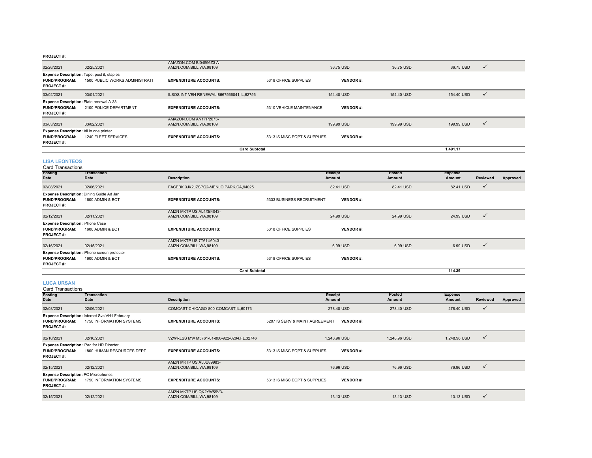|                                                                                            |                                                                                      | <b>Card Subtotal</b>                              |                              |                 |            | 1,491.17   |              |
|--------------------------------------------------------------------------------------------|--------------------------------------------------------------------------------------|---------------------------------------------------|------------------------------|-----------------|------------|------------|--------------|
| Expense Description: All in one printer<br><b>FUND/PROGRAM:</b><br><b>PROJECT#:</b>        | 1240 FLEET SERVICES                                                                  | <b>EXPENDITURE ACCOUNTS:</b>                      | 5313 IS MISC EQPT & SUPPLIES | <b>VENDOR#:</b> |            |            |              |
| 03/03/2021                                                                                 | 03/02/2021                                                                           | AMAZON.COM AN1PP2073-<br>AMZN.COM/BILL, WA, 98109 |                              | 199.99 USD      | 199.99 USD | 199.99 USD | $\checkmark$ |
| <b>Expense Description: Plate renewal A-33</b><br><b>FUND/PROGRAM:</b><br><b>PROJECT#:</b> | 2100 POLICE DEPARTMENT                                                               | <b>EXPENDITURE ACCOUNTS:</b>                      | 5310 VEHICLE MAINTENANCE     | <b>VENDOR#:</b> |            |            |              |
| 03/02/2021                                                                                 | 03/01/2021                                                                           | ILSOS INT VEH RENEWAL-8667566041.IL.62756         |                              | 154,40 USD      | 154,40 USD | 154,40 USD |              |
| <b>FUND/PROGRAM:</b><br><b>PROJECT#:</b>                                                   | <b>Expense Description: Tape, post it, staples</b><br>1500 PUBLIC WORKS ADMINISTRATI | <b>EXPENDITURE ACCOUNTS:</b>                      | 5318 OFFICE SUPPLIES         | <b>VENDOR#:</b> |            |            |              |
| 02/26/2021                                                                                 | 02/25/2021                                                                           | AMAZON.COM BI04596Z3 A-<br>AMZN.COM/BILL.WA.98109 |                              | 36.75 USD       | 36.75 USD  | 36.75 USD  | $\checkmark$ |

#### **LISA LEONTEOS**

#### Card Transactions

| <b>Posting</b><br>Date                                                              | Transaction<br>Date                                              | <b>Description</b>                                  |                           | Receipt<br>Amount | Posted<br>Amount | <b>Expense</b><br>Amount | Reviewed     | Approved |
|-------------------------------------------------------------------------------------|------------------------------------------------------------------|-----------------------------------------------------|---------------------------|-------------------|------------------|--------------------------|--------------|----------|
| 02/08/2021                                                                          | 02/06/2021                                                       | FACEBK 3JK2JZSPQ2-MENLO PARK,CA,94025               |                           | 82.41 USD         | 82.41 USD        | 82.41 USD                | $\checkmark$ |          |
| <b>FUND/PROGRAM:</b><br><b>PROJECT#:</b>                                            | Expense Description: Dining Guide Ad Jan<br>1600 ADMIN & BOT     | <b>EXPENDITURE ACCOUNTS:</b>                        | 5333 BUSINESS RECRUITMENT | <b>VENDOR#:</b>   |                  |                          |              |          |
| 02/12/2021                                                                          | 02/11/2021                                                       | AMZN MKTP US AL4XB4043-<br>AMZN.COM/BILL, WA, 98109 |                           | 24.99 USD         | 24.99 USD        | 24.99 USD                | $\checkmark$ |          |
| <b>Expense Description: iPhone Case</b><br><b>FUND/PROGRAM:</b><br><b>PROJECT#:</b> | 1600 ADMIN & BOT                                                 | <b>EXPENDITURE ACCOUNTS:</b>                        | 5318 OFFICE SUPPLIES      | <b>VENDOR#:</b>   |                  |                          |              |          |
| 02/16/2021                                                                          | 02/15/2021                                                       | AMZN MKTP US 7T61U6043-<br>AMZN.COM/BILL, WA, 98109 |                           | 6.99 USD          | 6.99 USD         | 6.99 USD                 | $\checkmark$ |          |
| <b>FUND/PROGRAM:</b><br><b>PROJECT#:</b>                                            | Expense Description: iPhone screen protector<br>1600 ADMIN & BOT | <b>EXPENDITURE ACCOUNTS:</b>                        | 5318 OFFICE SUPPLIES      | <b>VENDOR#:</b>   |                  |                          |              |          |
|                                                                                     |                                                                  | <b>Card Subtotal</b>                                |                           |                   |                  | 114.39                   |              |          |

#### **LUCA URSAN**

## Card Transactions

| Posting<br>Date                                                                        | Transaction<br>Date                                                        | <b>Description</b>                                  | Receipt<br>Amount                                 | Posted<br>Amount | <b>Expense</b><br>Amount | Reviewed     | Approved |
|----------------------------------------------------------------------------------------|----------------------------------------------------------------------------|-----------------------------------------------------|---------------------------------------------------|------------------|--------------------------|--------------|----------|
| 02/08/2021                                                                             | 02/06/2021                                                                 | COMCAST CHICAGO-800-COMCAST, IL, 60173              | 278,40 USD                                        | 278.40 USD       | 278.40 USD               | $\checkmark$ |          |
| <b>FUND/PROGRAM:</b><br><b>PROJECT#:</b>                                               | Expense Description: Internet Svc VH1 February<br>1750 INFORMATION SYSTEMS | <b>EXPENDITURE ACCOUNTS:</b>                        | 5207 IS SERV & MAINT AGREEMENT<br><b>VENDOR#:</b> |                  |                          |              |          |
| 02/10/2021                                                                             | 02/10/2021                                                                 | VZWRLSS MW M5761-01-800-922-0204, FL, 32746         | 1,248.96 USD                                      | 1,248.96 USD     | 1,248.96 USD             | $\checkmark$ |          |
| Expense Description: iPad for HR Director<br><b>FUND/PROGRAM:</b><br><b>PROJECT#:</b>  | 1800 HUMAN RESOURCES DEPT                                                  | <b>EXPENDITURE ACCOUNTS:</b>                        | <b>VENDOR#:</b><br>5313 IS MISC EQPT & SUPPLIES   |                  |                          |              |          |
| 02/15/2021                                                                             | 02/12/2021                                                                 | AMZN MKTP US A50U89983-<br>AMZN.COM/BILL, WA, 98109 | 76.96 USD                                         | 76.96 USD        | 76.96 USD                | $\checkmark$ |          |
| <b>Expense Description: PC Microphones</b><br><b>FUND/PROGRAM:</b><br><b>PROJECT#:</b> | 1750 INFORMATION SYSTEMS                                                   | <b>EXPENDITURE ACCOUNTS:</b>                        | 5313 IS MISC EQPT & SUPPLIES<br><b>VENDOR#:</b>   |                  |                          |              |          |
| 02/15/2021                                                                             | 02/12/2021                                                                 | AMZN MKTP US QK2YW55V3-<br>AMZN.COM/BILL, WA, 98109 | 13.13 USD                                         | 13.13 USD        | 13.13 USD                | $\checkmark$ |          |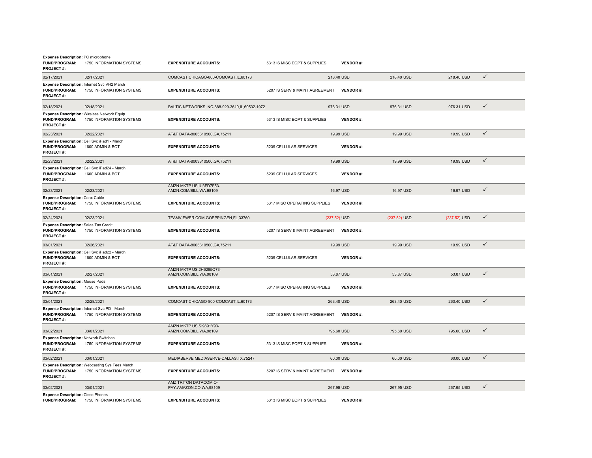| <b>Expense Description: PC microphone</b><br><b>FUND/PROGRAM:</b><br><b>PROJECT#:</b> | 1750 INFORMATION SYSTEMS                                                       | <b>EXPENDITURE ACCOUNTS:</b>                        | 5313 IS MISC EQPT & SUPPLIES   |              | <b>VENDOR#:</b> |              |              |              |
|---------------------------------------------------------------------------------------|--------------------------------------------------------------------------------|-----------------------------------------------------|--------------------------------|--------------|-----------------|--------------|--------------|--------------|
| 02/17/2021                                                                            | 02/17/2021                                                                     | COMCAST CHICAGO-800-COMCAST, IL, 60173              |                                | 218.40 USD   |                 | 218.40 USD   | 218.40 USD   | $\checkmark$ |
| <b>FUND/PROGRAM:</b><br><b>PROJECT#:</b>                                              | Expense Description: Internet Svc VH2 March<br>1750 INFORMATION SYSTEMS        | <b>EXPENDITURE ACCOUNTS:</b>                        | 5207 IS SERV & MAINT AGREEMENT |              | <b>VENDOR#:</b> |              |              |              |
| 02/18/2021                                                                            | 02/18/2021                                                                     | BALTIC NETWORKS INC-888-929-3610, IL, 60532-1972    |                                | 976.31 USD   |                 | 976.31 USD   | 976.31 USD   | ✓            |
| <b>FUND/PROGRAM:</b><br><b>PROJECT#:</b>                                              | <b>Expense Description: Wireless Network Equip</b><br>1750 INFORMATION SYSTEMS | <b>EXPENDITURE ACCOUNTS:</b>                        | 5313 IS MISC EQPT & SUPPLIES   |              | <b>VENDOR#:</b> |              |              |              |
| 02/23/2021                                                                            | 02/22/2021                                                                     | AT&T DATA-8003310500, GA, 75211                     |                                | 19.99 USD    |                 | 19.99 USD    | 19.99 USD    | $\checkmark$ |
| <b>FUND/PROGRAM:</b><br>PROJECT#:                                                     | Expense Description: Cell Svc iPad1 - March<br>1600 ADMIN & BOT                | <b>EXPENDITURE ACCOUNTS:</b>                        | 5239 CELLULAR SERVICES         |              | <b>VENDOR#:</b> |              |              |              |
| 02/23/2021                                                                            | 02/22/2021                                                                     | AT&T DATA-8003310500, GA, 75211                     |                                | 19.99 USD    |                 | 19.99 USD    | 19.99 USD    | $\checkmark$ |
| <b>FUND/PROGRAM:</b><br><b>PROJECT#:</b>                                              | Expense Description: Cell Svc iPad24 - March<br>1600 ADMIN & BOT               | <b>EXPENDITURE ACCOUNTS:</b>                        | 5239 CELLULAR SERVICES         |              | <b>VENDOR#:</b> |              |              |              |
| 02/23/2021                                                                            | 02/23/2021                                                                     | AMZN MKTP US IU3FD7F53-<br>AMZN.COM/BILL, WA, 98109 |                                | 16.97 USD    |                 | 16.97 USD    | 16.97 USD    | $\checkmark$ |
| <b>Expense Description: Coax Cable</b><br>FUND/PROGRAM:<br>PROJECT#:                  | 1750 INFORMATION SYSTEMS                                                       | <b>EXPENDITURE ACCOUNTS:</b>                        | 5317 MISC OPERATING SUPPLIES   |              | <b>VENDOR#:</b> |              |              |              |
| 02/24/2021                                                                            | 02/23/2021                                                                     | TEAMVIEWER.COM-GOEPPINGEN,FL,33760                  |                                | (237.52) USD |                 | (237.52) USD | (237.52) USD | $\checkmark$ |
| Expense Description: Sales Tax Credit<br>FUND/PROGRAM:<br><b>PROJECT#:</b>            | 1750 INFORMATION SYSTEMS                                                       | <b>EXPENDITURE ACCOUNTS:</b>                        | 5207 IS SERV & MAINT AGREEMENT |              | <b>VENDOR#:</b> |              |              |              |
| 03/01/2021                                                                            | 02/26/2021                                                                     | AT&T DATA-8003310500, GA, 75211                     |                                | 19.99 USD    |                 | 19.99 USD    | 19.99 USD    | $\checkmark$ |
| FUND/PROGRAM:<br><b>PROJECT#:</b>                                                     | Expense Description: Cell Svc iPad22 - March<br>1600 ADMIN & BOT               | <b>EXPENDITURE ACCOUNTS:</b>                        | 5239 CELLULAR SERVICES         |              | <b>VENDOR#:</b> |              |              |              |
| 03/01/2021                                                                            | 02/27/2021                                                                     | AMZN MKTP US 2H6285Q73-<br>AMZN.COM/BILL, WA, 98109 |                                | 53.87 USD    |                 | 53.87 USD    | 53.87 USD    | $\checkmark$ |
| <b>Expense Description: Mouse Pads</b><br><b>FUND/PROGRAM:</b><br><b>PROJECT#:</b>    | 1750 INFORMATION SYSTEMS                                                       | <b>EXPENDITURE ACCOUNTS:</b>                        | 5317 MISC OPERATING SUPPLIES   |              | <b>VENDOR#:</b> |              |              |              |
| 03/01/2021                                                                            | 02/28/2021                                                                     | COMCAST CHICAGO-800-COMCAST, IL, 60173              |                                | 263.40 USD   |                 | 263.40 USD   | 263.40 USD   | ✓            |
| FUND/PROGRAM:<br>PROJECT#:                                                            | Expense Description: Internet Svc PD - March<br>1750 INFORMATION SYSTEMS       | <b>EXPENDITURE ACCOUNTS:</b>                        | 5207 IS SERV & MAINT AGREEMENT |              | <b>VENDOR#:</b> |              |              |              |
| 03/02/2021                                                                            | 03/01/2021                                                                     | AMZN MKTP US SI9891Y93-<br>AMZN.COM/BILL.WA.98109   |                                | 795,60 USD   |                 | 795.60 USD   | 795,60 USD   | $\checkmark$ |
| <b>Expense Description: Network Switches</b><br><b>FUND/PROGRAM:</b><br>PROJECT#:     | 1750 INFORMATION SYSTEMS                                                       | <b>EXPENDITURE ACCOUNTS:</b>                        | 5313 IS MISC EQPT & SUPPLIES   |              | <b>VENDOR#:</b> |              |              |              |
| 03/02/2021                                                                            | 03/01/2021                                                                     | MEDIASERVE MEDIASERVE-DALLAS, TX, 75247             |                                | 60.00 USD    |                 | 60.00 USD    | 60.00 USD    | $\checkmark$ |
| <b>FUND/PROGRAM:</b><br>PROJECT#:                                                     | Expense Description: Webcasting Sys Fees March<br>1750 INFORMATION SYSTEMS     | <b>EXPENDITURE ACCOUNTS:</b>                        | 5207 IS SERV & MAINT AGREEMENT |              | <b>VENDOR#:</b> |              |              |              |
| 03/02/2021                                                                            | 03/01/2021                                                                     | AMZ TRITON DATACOM O-<br>PAY.AMAZON.CO,WA,98109     |                                | 267.95 USD   |                 | 267.95 USD   | 267.95 USD   | ✓            |
| <b>Expense Description: Cisco Phones</b><br><b>FUND/PROGRAM:</b>                      | 1750 INFORMATION SYSTEMS                                                       | <b>EXPENDITURE ACCOUNTS:</b>                        | 5313 IS MISC EQPT & SUPPLIES   |              | <b>VENDOR#:</b> |              |              |              |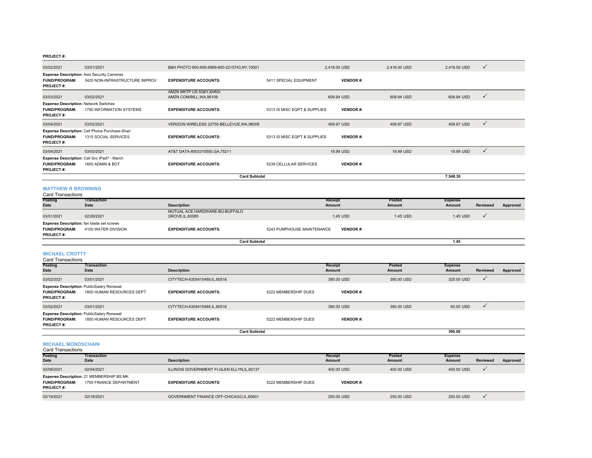| 03/02/2021                                                                        | 03/01/2021                                                                          | B&H PHOTO 800-606-6969-800-2215743,NY,10001         |                              | 2,416.00 USD             | 2,416.00 USD            | 2,416.00 USD             | ✓               |          |
|-----------------------------------------------------------------------------------|-------------------------------------------------------------------------------------|-----------------------------------------------------|------------------------------|--------------------------|-------------------------|--------------------------|-----------------|----------|
| FUND/PROGRAM:<br><b>PROJECT#:</b>                                                 | <b>Expense Description: Axis Security Cameras</b><br>3420 NON-INFRASTRUCTURE IMPROV | <b>EXPENDITURE ACCOUNTS:</b>                        | 5411 SPECIAL EQUIPMENT       | <b>VENDOR#:</b>          |                         |                          |                 |          |
| 03/03/2021                                                                        | 03/02/2021                                                                          | AMZN MKTP US 5Q6YJ04N3-<br>AMZN.COM/BILL, WA, 98109 |                              | 609.94 USD               | 609.94 USD              | 609.94 USD               | $\checkmark$    |          |
| <b>Expense Description: Network Switches</b><br>FUND/PROGRAM:<br><b>PROJECT#:</b> | 1750 INFORMATION SYSTEMS                                                            | <b>EXPENDITURE ACCOUNTS:</b>                        | 5313 IS MISC EQPT & SUPPLIES | <b>VENDOR#:</b>          |                         |                          |                 |          |
| 03/04/2021                                                                        | 03/02/2021                                                                          | VERIZON WIRELESS 22755-BELLEVUE, WA, 98008          |                              | 409.97 USD               | 409.97 USD              | 409.97 USD               | $\checkmark$    |          |
| FUND/PROGRAM:<br><b>PROJECT#:</b>                                                 | Expense Description: Cell Phone Purchase-Shari<br>1315 SOCIAL SERVICES              | <b>EXPENDITURE ACCOUNTS:</b>                        | 5313 IS MISC EQPT & SUPPLIES | <b>VENDOR#:</b>          |                         |                          |                 |          |
| 03/04/2021                                                                        | 03/03/2021                                                                          | AT&T DATA-8003310500, GA, 75211                     |                              | 19.99 USD                | 19.99 USD               | 19.99 USD                | $\checkmark$    |          |
| <b>FUND/PROGRAM:</b><br><b>PROJECT#:</b>                                          | Expense Description: Cell Svc iPad7 - March<br>1600 ADMIN & BOT                     | <b>EXPENDITURE ACCOUNTS:</b>                        | 5239 CELLULAR SERVICES       | <b>VENDOR#:</b>          |                         |                          |                 |          |
|                                                                                   |                                                                                     | <b>Card Subtotal</b>                                |                              |                          |                         | 7,548.30                 |                 |          |
| <b>MATTHEW R BROWNING</b><br><b>Card Transactions</b>                             |                                                                                     |                                                     |                              |                          |                         |                          |                 |          |
| Posting<br>Date                                                                   | <b>Transaction</b><br>Date                                                          | <b>Description</b>                                  |                              | <b>Receipt</b><br>Amount | Posted<br>Amount        | <b>Expense</b><br>Amount | Reviewed        | Approved |
|                                                                                   |                                                                                     | MUTUAL ACE HARDWARE-BU-BUFFALO                      |                              |                          |                         |                          |                 |          |
| 03/01/2021<br>Expense Description: fan blade set screws                           | 02/26/2021                                                                          | GROVE, IL, 60085                                    |                              | 1.45 USD                 | 1.45 USD                | 1.45 USD                 | $\checkmark$    |          |
| <b>FUND/PROGRAM:</b><br><b>PROJECT#:</b>                                          | 4100 WATER DIVISION                                                                 | <b>EXPENDITURE ACCOUNTS:</b>                        | 5243 PUMPHOUSE MAINTENANCE   | <b>VENDOR#:</b>          |                         |                          |                 |          |
|                                                                                   |                                                                                     | <b>Card Subtotal</b>                                |                              |                          |                         | 1.45                     |                 |          |
| <b>MICHAEL CROTTY</b><br><b>Card Transactions</b>                                 |                                                                                     |                                                     |                              |                          |                         |                          |                 |          |
| Posting<br>Date                                                                   | <b>Transaction</b><br><b>Date</b>                                                   | <b>Description</b>                                  |                              | <b>Receipt</b><br>Amount | Posted<br><b>Amount</b> | <b>Expense</b><br>Amount | <b>Reviewed</b> | Approved |
| 03/02/2021                                                                        | 03/01/2021                                                                          | CITYTECH-6305415489,IL,60516                        |                              | 390.00 USD               | 390.00 USD              | 325.00 USD               | $\checkmark$    |          |
| FUND/PROGRAM:<br><b>PROJECT#:</b>                                                 | Expense Description: PublicSalary Renewal<br>1800 HUMAN RESOURCES DEPT              | <b>EXPENDITURE ACCOUNTS:</b>                        | 5222 MEMBERSHIP DUES         | <b>VENDOR#:</b>          |                         |                          |                 |          |
| 03/02/2021                                                                        | 03/01/2021                                                                          | CITYTECH-6305415489,IL,60516                        |                              | 390.00 USD               | 390.00 USD              | 65.00 USD                | $\checkmark$    |          |
| FUND/PROGRAM:<br><b>PROJECT#:</b>                                                 | Expense Description: PublicSalary Renewal<br>1800 HUMAN RESOURCES DEPT              | <b>EXPENDITURE ACCOUNTS:</b>                        | 5222 MEMBERSHIP DUES         | <b>VENDOR#:</b>          |                         |                          |                 |          |
|                                                                                   |                                                                                     | <b>Card Subtotal</b>                                |                              |                          |                         | 390.00                   |                 |          |
| <b>MICHAEL MONDSCHAIN</b><br>Card Transactions                                    |                                                                                     |                                                     |                              |                          |                         |                          |                 |          |
| <b>Posting</b><br>Date                                                            | <b>Transaction</b><br>Date                                                          | <b>Description</b>                                  |                              | Receipt<br>Amount        | Posted<br>Amount        | <b>Expense</b><br>Amount | <b>Reviewed</b> | Approved |
| 02/08/2021                                                                        | 02/04/2021                                                                          | ILLINOIS GOVERNMENT FI-GLEN ELLYN, IL, 60137        |                              | 400.00 USD               | 400.00 USD              | 400.00 USD               | ✓               |          |
| <b>FUND/PROGRAM:</b><br>PROJECT#:                                                 | Expense Description: 21 MEMBERSHIP BS MK<br>1700 FINANCE DEPARTMENT                 | <b>EXPENDITURE ACCOUNTS:</b>                        | 5222 MEMBERSHIP DUES         | <b>VENDOR#:</b>          |                         |                          |                 |          |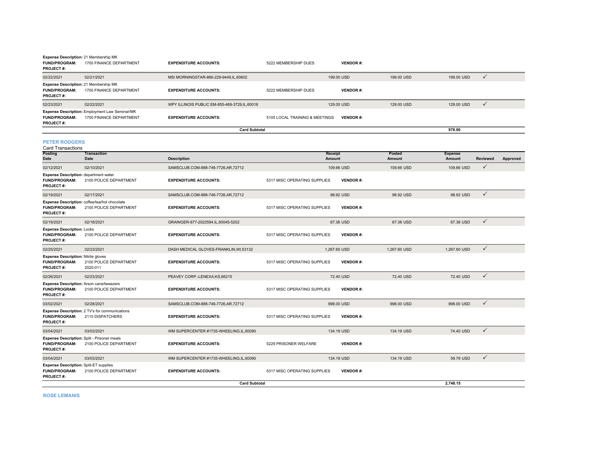|                                                                                   | Expense Description: 21 Membership MK                                     |                                                |                                |                 |            |            |              |
|-----------------------------------------------------------------------------------|---------------------------------------------------------------------------|------------------------------------------------|--------------------------------|-----------------|------------|------------|--------------|
| <b>FUND/PROGRAM:</b><br><b>PROJECT#:</b>                                          | 1700 FINANCE DEPARTMENT                                                   | <b>EXPENDITURE ACCOUNTS:</b>                   | 5222 MEMBERSHIP DUES           | <b>VENDOR#:</b> |            |            |              |
| 02/22/2021                                                                        | 02/21/2021                                                                | MSI MORNINGSTAR-866-229-9449.IL.60602          |                                | 199,00 USD      | 199.00 USD | 199.00 USD | $\checkmark$ |
| Expense Description: 21 Membership MK<br><b>FUND/PROGRAM:</b><br><b>PROJECT#:</b> | 1700 FINANCE DEPARTMENT                                                   | <b>EXPENDITURE ACCOUNTS:</b>                   | 5222 MEMBERSHIP DUES           | <b>VENDOR#:</b> |            |            |              |
| 02/23/2021                                                                        | 02/22/2021                                                                | WPY ILLINOIS PUBLIC EM-855-469-3729, IL, 60018 |                                | 129,00 USD      | 129,00 USD | 129,00 USD | $\checkmark$ |
| <b>FUND/PROGRAM:</b><br><b>PROJECT#:</b>                                          | Expense Description: Employment Law Seminar/MK<br>1700 FINANCE DEPARTMENT | <b>EXPENDITURE ACCOUNTS:</b>                   | 5105 LOCAL TRAINING & MEETINGS | <b>VENDOR#:</b> |            |            |              |
|                                                                                   |                                                                           | <b>Card Subtotal</b>                           |                                |                 |            | 978.00     |              |

**PETER RODGERS**

| <b>Card Transactions</b>                                                                  |                                                                           |                                        |                              |                 |                  |                                 |                 |          |
|-------------------------------------------------------------------------------------------|---------------------------------------------------------------------------|----------------------------------------|------------------------------|-----------------|------------------|---------------------------------|-----------------|----------|
| Posting<br>Date                                                                           | <b>Transaction</b><br>Date                                                | <b>Description</b>                     | Receipt<br>Amount            |                 | Posted<br>Amount | <b>Expense</b><br><b>Amount</b> | <b>Reviewed</b> | Approved |
| 02/12/2021                                                                                | 02/10/2021                                                                | SAMSCLUB.COM-888-746-7726.AR.72712     |                              | 109.66 USD      | 109.66 USD       | 109.66 USD                      | $\checkmark$    |          |
| <b>Expense Description: department water</b><br><b>FUND/PROGRAM:</b><br><b>PROJECT#:</b>  | 2100 POLICE DEPARTMENT                                                    | <b>EXPENDITURE ACCOUNTS:</b>           | 5317 MISC OPERATING SUPPLIES | <b>VENDOR#:</b> |                  |                                 |                 |          |
| 02/19/2021                                                                                | 02/17/2021                                                                | SAMSCLUB.COM-888-746-7726,AR,72712     |                              | 98.92 USD       | 98.92 USD        | 98.92 USD                       | $\checkmark$    |          |
| <b>FUND/PROGRAM:</b><br><b>PROJECT#:</b>                                                  | Expense Description: coffee/tea/hot chocolate<br>2100 POLICE DEPARTMENT   | <b>EXPENDITURE ACCOUNTS:</b>           | 5317 MISC OPERATING SUPPLIES | <b>VENDOR#:</b> |                  |                                 |                 |          |
| 02/19/2021                                                                                | 02/18/2021                                                                | GRAINGER-877-2022594,IL,60045-5202     |                              | 67.38 USD       | 67.38 USD        | 67.38 USD                       | $\checkmark$    |          |
| <b>Expense Description: Locks</b><br><b>FUND/PROGRAM:</b><br><b>PROJECT#:</b>             | 2100 POLICE DEPARTMENT                                                    | <b>EXPENDITURE ACCOUNTS:</b>           | 5317 MISC OPERATING SUPPLIES | <b>VENDOR#:</b> |                  |                                 |                 |          |
| 02/25/2021                                                                                | 02/23/2021                                                                | DASH MEDICAL GLOVES-FRANKLIN, WI,53132 | 1,267.60 USD                 |                 | 1,267.60 USD     | 1,267.60 USD                    | $\checkmark$    |          |
| <b>Expense Description: Nitrile gloves</b><br><b>FUND/PROGRAM:</b><br><b>PROJECT#:</b>    | 2100 POLICE DEPARTMENT<br>2020-011                                        | <b>EXPENDITURE ACCOUNTS:</b>           | 5317 MISC OPERATING SUPPLIES | <b>VENDOR#:</b> |                  |                                 |                 |          |
| 02/26/2021                                                                                | 02/23/2021                                                                | PEAVEY CORP.-LENEXA,KS,66215           |                              | 72.40 USD       | 72.40 USD        | 72.40 USD                       | $\checkmark$    |          |
| <b>FUND/PROGRAM:</b><br><b>PROJECT#:</b>                                                  | <b>Expense Description: Arson cans/tweezers</b><br>2100 POLICE DEPARTMENT | <b>EXPENDITURE ACCOUNTS:</b>           | 5317 MISC OPERATING SUPPLIES | <b>VENDOR#:</b> |                  |                                 |                 |          |
| 03/02/2021                                                                                | 02/28/2021                                                                | SAMSCLUB.COM-888-746-7726,AR,72712     |                              | 998.00 USD      | 998.00 USD       | 998.00 USD                      | $\checkmark$    |          |
| <b>FUND/PROGRAM:</b><br><b>PROJECT#:</b>                                                  | <b>Expense Description:</b> 2 TV's for communications<br>2110 DISPATCHERS | <b>EXPENDITURE ACCOUNTS:</b>           | 5317 MISC OPERATING SUPPLIES | <b>VENDOR#:</b> |                  |                                 |                 |          |
| 03/04/2021                                                                                | 03/03/2021                                                                | WM SUPERCENTER #1735-WHEELING,IL,60090 |                              | 134.19 USD      | 134.19 USD       | 74.40 USD                       | $\checkmark$    |          |
| <b>FUND/PROGRAM:</b><br><b>PROJECT#:</b>                                                  | Expense Description: Split - Prisoner meals<br>2100 POLICE DEPARTMENT     | <b>EXPENDITURE ACCOUNTS:</b>           | 5229 PRISONER WELFARE        | <b>VENDOR#:</b> |                  |                                 |                 |          |
| 03/04/2021                                                                                | 03/03/2021                                                                | WM SUPERCENTER #1735-WHEELING,IL,60090 |                              | 134.19 USD      | 134.19 USD       | 59.79 USD                       | $\checkmark$    |          |
| <b>Expense Description: Split-ET supplies</b><br><b>FUND/PROGRAM:</b><br><b>PROJECT#:</b> | 2100 POLICE DEPARTMENT                                                    | <b>EXPENDITURE ACCOUNTS:</b>           | 5317 MISC OPERATING SUPPLIES | <b>VENDOR#:</b> |                  |                                 |                 |          |
|                                                                                           |                                                                           | <b>Card Subtotal</b>                   |                              |                 |                  | 2.748.15                        |                 |          |

**ROSE LEMANIS**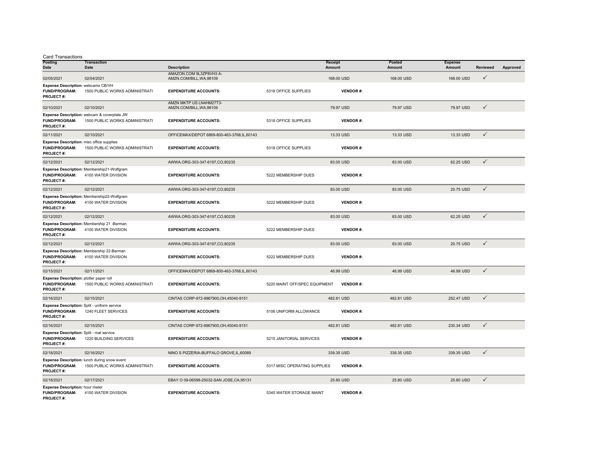| <b>Card Transactions</b> |  |  |
|--------------------------|--|--|
|                          |  |  |

| unuuvuun<br><b>Posting</b><br>Date                                                  | <b>Transaction</b><br>Date                                                     | <b>Description</b>                                  |                               | <b>Receipt</b><br>Amount | Posted<br><b>Amount</b> | <b>Expense</b><br>Amount | <b>Reviewed</b> | Approved |
|-------------------------------------------------------------------------------------|--------------------------------------------------------------------------------|-----------------------------------------------------|-------------------------------|--------------------------|-------------------------|--------------------------|-----------------|----------|
| 02/05/2021                                                                          | 02/04/2021                                                                     | AMAZON.COM 9L3ZP8VH3 A-<br>AMZN.COM/BILL.WA.98109   |                               | 168.00 USD               | 168,00 USD              | 168.00 USD               | $\checkmark$    |          |
| Expense Description: webcams CB/VH<br><b>FUND/PROGRAM:</b><br><b>PROJECT#:</b>      | 1500 PUBLIC WORKS ADMINISTRATI                                                 | <b>EXPENDITURE ACCOUNTS:</b>                        | 5318 OFFICE SUPPLIES          | <b>VENDOR#:</b>          |                         |                          |                 |          |
| 02/10/2021                                                                          | 02/10/2021                                                                     | AMZN MKTP US LN4HM27T3-<br>AMZN.COM/BILL, WA, 98109 |                               | 79.97 USD                | 79.97 USD               | 79.97 USD                | $\checkmark$    |          |
| <b>FUND/PROGRAM:</b><br><b>PROJECT#:</b>                                            | Expense Description: webcam & coverplate JW<br>1500 PUBLIC WORKS ADMINISTRATI  | <b>EXPENDITURE ACCOUNTS:</b>                        | 5318 OFFICE SUPPLIES          | <b>VENDOR#:</b>          |                         |                          |                 |          |
| 02/11/2021                                                                          | 02/10/2021                                                                     | OFFICEMAX/DEPOT 6869-800-463-3768,IL,60143          |                               | 13.33 USD                | 13.33 USD               | 13.33 USD                | $\checkmark$    |          |
| Expense Description: misc office supplies<br><b>FUND/PROGRAM:</b><br>PROJECT#:      | 1500 PUBLIC WORKS ADMINISTRATI                                                 | <b>EXPENDITURE ACCOUNTS:</b>                        | 5318 OFFICE SUPPLIES          | <b>VENDOR#:</b>          |                         |                          |                 |          |
| 02/12/2021                                                                          | 02/12/2021                                                                     | AWWA.ORG-303-347-6197,CO,80235                      |                               | 83.00 USD                | 83.00 USD               | 62.25 USD                | $\checkmark$    |          |
| <b>FUND/PROGRAM:</b><br><b>PROJECT#:</b>                                            | Expense Description: Membership21-Wolfgram<br>4100 WATER DIVISION              | <b>EXPENDITURE ACCOUNTS:</b>                        | 5222 MEMBERSHIP DUES          | <b>VENDOR#:</b>          |                         |                          |                 |          |
| 02/12/2021                                                                          | 02/12/2021                                                                     | AWWA.ORG-303-347-6197,CO,80235                      |                               | 83.00 USD                | 83.00 USD               | 20.75 USD                | $\checkmark$    |          |
| FUND/PROGRAM:<br><b>PROJECT#:</b>                                                   | Expense Description: Membership22-Wolfgram<br>4100 WATER DIVISION              | <b>EXPENDITURE ACCOUNTS:</b>                        | 5222 MEMBERSHIP DUES          | <b>VENDOR#:</b>          |                         |                          |                 |          |
| 02/12/2021                                                                          | 02/12/2021                                                                     | AWWA.ORG-303-347-6197,CO,80235                      |                               | 83.00 USD                | 83.00 USD               | 62.25 USD                | $\checkmark$    |          |
| <b>FUND/PROGRAM:</b><br><b>PROJECT#:</b>                                            | Expense Description: Membership 21 -Berman<br>4100 WATER DIVISION              | <b>EXPENDITURE ACCOUNTS:</b>                        | 5222 MEMBERSHIP DUES          | <b>VENDOR#:</b>          |                         |                          |                 |          |
| 02/12/2021                                                                          | 02/12/2021                                                                     | AWWA.ORG-303-347-6197,CO,80235                      |                               | 83.00 USD                | 83.00 USD               | 20.75 USD                | $\checkmark$    |          |
| <b>FUND/PROGRAM:</b><br><b>PROJECT#:</b>                                            | Expense Description: Membership 22-Berman<br>4100 WATER DIVISION               | <b>EXPENDITURE ACCOUNTS:</b>                        | 5222 MEMBERSHIP DUES          | <b>VENDOR#:</b>          |                         |                          |                 |          |
| 02/15/2021                                                                          | 02/11/2021                                                                     | OFFICEMAX/DEPOT 6869-800-463-3768,IL,60143          |                               | 46.99 USD                | 46.99 USD               | 46.99 USD                | $\checkmark$    |          |
| Expense Description: plotter paper roll<br><b>FUND/PROGRAM:</b><br><b>PROJECT#:</b> | 1500 PUBLIC WORKS ADMINISTRATI                                                 | <b>EXPENDITURE ACCOUNTS:</b>                        | 5220 MAINT OFF/SPEC EQUIPMENT | <b>VENDOR#:</b>          |                         |                          |                 |          |
| 02/16/2021                                                                          | 02/15/2021                                                                     | CINTAS CORP-972-9967900, OH, 45040-9151             |                               | 482.81 USD               | 482.81 USD              | 252.47 USD               | $\checkmark$    |          |
| Expense Description: Split - uniform service<br><b>FUND/PROGRAM:</b><br>PROJECT#:   | 1240 FLEET SERVICES                                                            | <b>EXPENDITURE ACCOUNTS:</b>                        | 5106 UNIFORM ALLOWANCE        | <b>VENDOR#:</b>          |                         |                          |                 |          |
| 02/16/2021                                                                          | 02/15/2021                                                                     | CINTAS CORP-972-9967900.OH.45040-9151               |                               | 482.81 USD               | 482.81 USD              | 230.34 USD               | $\checkmark$    |          |
| Expense Description: Split - mat service<br><b>FUND/PROGRAM:</b><br>PROJECT#:       | 1220 BUILDING SERVICES                                                         | <b>EXPENDITURE ACCOUNTS:</b>                        | 5215 JANITORIAL SERVICES      | <b>VENDOR#:</b>          |                         |                          |                 |          |
| 02/18/2021                                                                          | 02/16/2021                                                                     | NINO S PIZZERIA-BUFFALO GROVE.IL.60089              |                               | 339.35 USD               | 339.35 USD              | 339.35 USD               | $\checkmark$    |          |
| <b>FUND/PROGRAM:</b><br>PROJECT#:                                                   | Expense Description: lunch during snow event<br>1500 PUBLIC WORKS ADMINISTRATI | <b>EXPENDITURE ACCOUNTS:</b>                        | 5317 MISC OPERATING SUPPLIES  | <b>VENDOR#:</b>          |                         |                          |                 |          |
| 02/18/2021                                                                          | 02/17/2021                                                                     | EBAY O 09-06598-25032-SAN JOSE, CA, 95131           |                               | 25.80 USD                | 25.80 USD               | 25.80 USD                | $\checkmark$    |          |
| Expense Description: hour meter<br><b>FUND/PROGRAM:</b><br>PROJECT#:                | 4100 WATER DIVISION                                                            | <b>EXPENDITURE ACCOUNTS:</b>                        | 5345 WATER STORAGE MAINT      | <b>VENDOR#:</b>          |                         |                          |                 |          |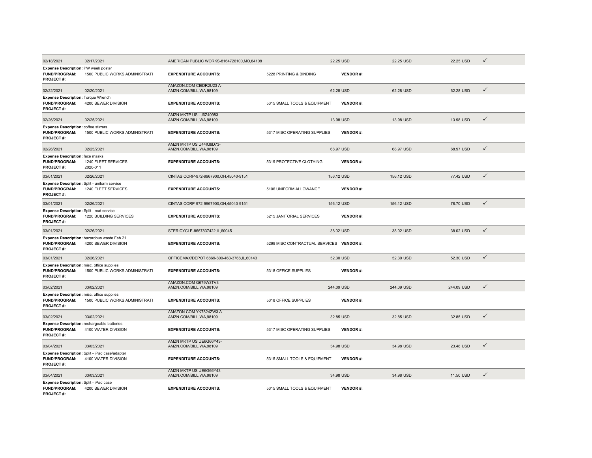| 02/18/2021                                                                               | 02/17/2021                                                            | AMERICAN PUBLIC WORKS-8164726100.MO.84108           |                                          | 22.25 USD       | 22.25 USD  | 22.25 USD  | $\checkmark$ |
|------------------------------------------------------------------------------------------|-----------------------------------------------------------------------|-----------------------------------------------------|------------------------------------------|-----------------|------------|------------|--------------|
| Expense Description: PW week poster<br>FUND/PROGRAM:<br><b>PROJECT#:</b>                 | 1500 PUBLIC WORKS ADMINISTRATI                                        | <b>EXPENDITURE ACCOUNTS:</b>                        | 5228 PRINTING & BINDING                  | <b>VENDOR#:</b> |            |            |              |
| 02/22/2021                                                                               | 02/20/2021                                                            | AMAZON.COM CI6DR2U23 A-<br>AMZN.COM/BILL, WA, 98109 |                                          | 62.28 USD       | 62.28 USD  | 62.28 USD  | $\checkmark$ |
| Expense Description: Torque Wrench<br><b>FUND/PROGRAM:</b><br><b>PROJECT#:</b>           | 4200 SEWER DIVISION                                                   | <b>EXPENDITURE ACCOUNTS:</b>                        | 5315 SMALL TOOLS & EQUIPMENT             | <b>VENDOR#:</b> |            |            |              |
| 02/26/2021                                                                               | 02/25/2021                                                            | AMZN MKTP US LJ6Z40983-<br>AMZN.COM/BILL, WA, 98109 |                                          | 13.98 USD       | 13.98 USD  | 13.98 USD  | $\checkmark$ |
| <b>Expense Description: coffee stirrers</b><br><b>FUND/PROGRAM:</b><br>PROJECT#:         | 1500 PUBLIC WORKS ADMINISTRATI                                        | <b>EXPENDITURE ACCOUNTS:</b>                        | 5317 MISC OPERATING SUPPLIES             | <b>VENDOR#:</b> |            |            |              |
| 02/26/2021                                                                               | 02/25/2021                                                            | AMZN MKTP US U44IQ8D73-<br>AMZN.COM/BILL, WA, 98109 |                                          | 68.97 USD       | 68.97 USD  | 68.97 USD  | $\checkmark$ |
| <b>Expense Description:</b> face masks<br><b>FUND/PROGRAM:</b><br><b>PROJECT#:</b>       | 1240 FLEET SERVICES<br>2020-011                                       | <b>EXPENDITURE ACCOUNTS:</b>                        | 5319 PROTECTIVE CLOTHING                 | <b>VENDOR#:</b> |            |            |              |
| 03/01/2021                                                                               | 02/26/2021                                                            | CINTAS CORP-972-9967900, OH, 45040-9151             |                                          | 156.12 USD      | 156.12 USD | 77.42 USD  | $\checkmark$ |
| Expense Description: Split - uniform service<br><b>FUND/PROGRAM:</b><br><b>PROJECT#:</b> | 1240 FLEET SERVICES                                                   | <b>EXPENDITURE ACCOUNTS:</b>                        | 5106 UNIFORM ALLOWANCE                   | VENDOR#:        |            |            |              |
| 03/01/2021                                                                               | 02/26/2021                                                            | CINTAS CORP-972-9967900.OH.45040-9151               |                                          | 156.12 USD      | 156.12 USD | 78.70 USD  | $\checkmark$ |
| Expense Description: Split - mat service<br><b>FUND/PROGRAM:</b><br><b>PROJECT#:</b>     | 1220 BUILDING SERVICES                                                | <b>EXPENDITURE ACCOUNTS:</b>                        | 5215 JANITORIAL SERVICES                 | <b>VENDOR#:</b> |            |            |              |
| 03/01/2021                                                                               | 02/26/2021                                                            | STERICYCLE-8667837422.IL.60045                      |                                          | 38.02 USD       | 38.02 USD  | 38.02 USD  | $\checkmark$ |
| <b>FUND/PROGRAM:</b><br><b>PROJECT#:</b>                                                 | Expense Description: hazardous waste Feb 21<br>4200 SEWER DIVISION    | <b>EXPENDITURE ACCOUNTS:</b>                        | 5299 MISC CONTRACTUAL SERVICES VENDOR #: |                 |            |            |              |
| 03/01/2021                                                                               | 02/26/2021                                                            | OFFICEMAX/DEPOT 6869-800-463-3768,IL,60143          |                                          | 52.30 USD       | 52.30 USD  | 52.30 USD  | $\checkmark$ |
| Expense Description: misc. office supplies<br><b>FUND/PROGRAM:</b><br><b>PROJECT#:</b>   | 1500 PUBLIC WORKS ADMINISTRATI                                        | <b>EXPENDITURE ACCOUNTS:</b>                        | 5318 OFFICE SUPPLIES                     | <b>VENDOR#:</b> |            |            |              |
| 03/02/2021                                                                               | 03/02/2021                                                            | AMAZON.COM Q679W3TV3-<br>AMZN.COM/BILL, WA, 98109   |                                          | 244.09 USD      | 244.09 USD | 244.09 USD | $\checkmark$ |
| Expense Description: misc. office supplies<br><b>FUND/PROGRAM:</b><br>PROJECT#:          | 1500 PUBLIC WORKS ADMINISTRATI                                        | <b>EXPENDITURE ACCOUNTS:</b>                        | 5318 OFFICE SUPPLIES                     | <b>VENDOR#:</b> |            |            |              |
| 03/02/2021                                                                               | 03/02/2021                                                            | AMAZON.COM YK7824ZW3 A-<br>AMZN.COM/BILL, WA, 98109 |                                          | 32.85 USD       | 32.85 USD  | 32.85 USD  | $\checkmark$ |
| <b>FUND/PROGRAM:</b><br><b>PROJECT#:</b>                                                 | Expense Description: rechargeable batteries<br>4100 WATER DIVISION    | <b>EXPENDITURE ACCOUNTS:</b>                        | 5317 MISC OPERATING SUPPLIES             | <b>VENDOR#:</b> |            |            |              |
| 03/04/2021                                                                               | 03/03/2021                                                            | AMZN MKTP US UE6G66Y43-<br>AMZN.COM/BILL, WA, 98109 |                                          | 34.98 USD       | 34.98 USD  | 23.48 USD  | $\checkmark$ |
| FUND/PROGRAM:<br><b>PROJECT#:</b>                                                        | Expense Description: Split - iPad case/adapter<br>4100 WATER DIVISION | <b>EXPENDITURE ACCOUNTS:</b>                        | 5315 SMALL TOOLS & EQUIPMENT             | <b>VENDOR#:</b> |            |            |              |
| 03/04/2021                                                                               | 03/03/2021                                                            | AMZN MKTP US UE6G66Y43-<br>AMZN.COM/BILL, WA, 98109 |                                          | 34.98 USD       | 34.98 USD  | 11.50 USD  | $\checkmark$ |
| Expense Description: Split - iPad case<br><b>FUND/PROGRAM:</b><br>PROJECT#:              | 4200 SEWER DIVISION                                                   | <b>EXPENDITURE ACCOUNTS:</b>                        | 5315 SMALL TOOLS & EQUIPMENT             | <b>VENDOR#:</b> |            |            |              |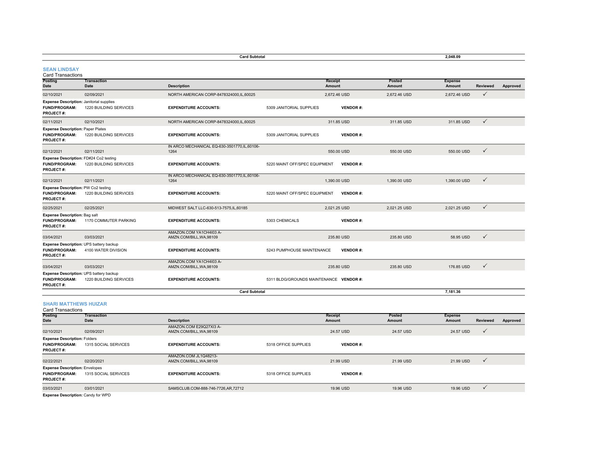| <b>Card Subtotal</b>                                                                        |                            |                                                       |                                         |                          |                         |                                 |                 |          |
|---------------------------------------------------------------------------------------------|----------------------------|-------------------------------------------------------|-----------------------------------------|--------------------------|-------------------------|---------------------------------|-----------------|----------|
| <b>SEAN LINDSAY</b><br><b>Card Transactions</b>                                             |                            |                                                       |                                         |                          |                         |                                 |                 |          |
| Posting<br><b>Date</b>                                                                      | <b>Transaction</b><br>Date | <b>Description</b>                                    |                                         | Receipt<br><b>Amount</b> | Posted<br><b>Amount</b> | <b>Expense</b><br><b>Amount</b> | <b>Reviewed</b> | Approved |
| 02/10/2021                                                                                  | 02/09/2021                 | NORTH AMERICAN CORP-8478324000,IL,60025               |                                         | 2,672.46 USD             | 2,672.46 USD            | 2,672.46 USD                    | $\checkmark$    |          |
| <b>Expense Description: Janitorial supplies</b><br><b>FUND/PROGRAM:</b><br><b>PROJECT#:</b> | 1220 BUILDING SERVICES     | <b>EXPENDITURE ACCOUNTS:</b>                          | 5309 JANITORIAL SUPPLIES                | <b>VENDOR#:</b>          |                         |                                 |                 |          |
| 02/11/2021                                                                                  | 02/10/2021                 | NORTH AMERICAN CORP-8478324000,IL,60025               |                                         | 311.85 USD               | 311.85 USD              | 311.85 USD                      | $\checkmark$    |          |
| <b>Expense Description: Paper Plates</b><br><b>FUND/PROGRAM:</b><br><b>PROJECT#:</b>        | 1220 BUILDING SERVICES     | <b>EXPENDITURE ACCOUNTS:</b>                          | 5309 JANITORIAL SUPPLIES                | <b>VENDOR#:</b>          |                         |                                 |                 |          |
| 02/12/2021                                                                                  | 02/11/2021                 | IN ARCO MECHANICAL EQ-630-3501770, IL, 60106-<br>1264 |                                         | 550.00 USD               | 550.00 USD              | 550.00 USD                      | $\checkmark$    |          |
| Expense Description: FD#24 Co2 testing<br><b>FUND/PROGRAM:</b><br><b>PROJECT#:</b>          | 1220 BUILDING SERVICES     | <b>EXPENDITURE ACCOUNTS:</b>                          | 5220 MAINT OFF/SPEC EQUIPMENT           | <b>VENDOR#:</b>          |                         |                                 |                 |          |
| 02/12/2021                                                                                  | 02/11/2021                 | IN ARCO MECHANICAL EQ-630-3501770.IL.60106-<br>1264   |                                         | 1,390.00 USD             | 1.390.00 USD            | 1.390.00 USD                    | $\checkmark$    |          |
| <b>Expense Description: PW Co2 testing</b><br><b>FUND/PROGRAM:</b><br><b>PROJECT#:</b>      | 1220 BUILDING SERVICES     | <b>EXPENDITURE ACCOUNTS:</b>                          | 5220 MAINT OFF/SPEC EQUIPMENT           | <b>VENDOR#:</b>          |                         |                                 |                 |          |
| 02/25/2021                                                                                  | 02/25/2021                 | MIDWEST SALT LLC-630-513-7575.IL.60185                |                                         | 2.021.25 USD             | 2.021.25 USD            | 2.021.25 USD                    | $\checkmark$    |          |
| <b>Expense Description: Bag salt</b><br><b>FUND/PROGRAM:</b><br><b>PROJECT#:</b>            | 1170 COMMUTER PARKING      | <b>EXPENDITURE ACCOUNTS:</b>                          | 5303 CHEMICALS                          | <b>VENDOR#:</b>          |                         |                                 |                 |          |
| 03/04/2021                                                                                  | 03/03/2021                 | AMAZON.COM YA1CH4I03 A-<br>AMZN.COM/BILL, WA, 98109   |                                         | 235.80 USD               | 235.80 USD              | 58.95 USD                       | $\checkmark$    |          |
| Expense Description: UPS battery backup<br><b>FUND/PROGRAM:</b><br><b>PROJECT#:</b>         | 4100 WATER DIVISION        | <b>EXPENDITURE ACCOUNTS:</b>                          | 5243 PUMPHOUSE MAINTENANCE              | <b>VENDOR#:</b>          |                         |                                 |                 |          |
| 03/04/2021                                                                                  | 03/03/2021                 | AMAZON.COM YA1CH4I03 A-<br>AMZN.COM/BILL, WA, 98109   |                                         | 235.80 USD               | 235.80 USD              | 176.85 USD                      | $\checkmark$    |          |
| Expense Description: UPS battery backup<br><b>FUND/PROGRAM:</b><br><b>PROJECT#:</b>         | 1220 BUILDING SERVICES     | <b>EXPENDITURE ACCOUNTS:</b>                          | 5311 BLDG/GROUNDS MAINTENANCE VENDOR #: |                          |                         |                                 |                 |          |
|                                                                                             |                            | <b>Card Subtotal</b>                                  |                                         |                          |                         | 7.181.36                        |                 |          |

#### **SHARI MATTHEWS HUIZAR**

| <b>Card Transactions</b>                                                          |                      |                                                     |                      |                 |           |                |              |          |  |  |  |
|-----------------------------------------------------------------------------------|----------------------|-----------------------------------------------------|----------------------|-----------------|-----------|----------------|--------------|----------|--|--|--|
| <b>Posting</b>                                                                    | Transaction          |                                                     |                      | Receipt         | Posted    | <b>Expense</b> |              |          |  |  |  |
| Date                                                                              | <b>Date</b>          | <b>Description</b>                                  |                      | Amount          | Amount    | Amount         | Reviewed     | Approved |  |  |  |
| 02/10/2021                                                                        | 02/09/2021           | AMAZON.COM E29Q27XI3 A-<br>AMZN.COM/BILL, WA, 98109 |                      | 24.57 USD       | 24.57 USD | 24.57 USD      | $\checkmark$ |          |  |  |  |
| <b>Expense Description: Folders</b><br><b>FUND/PROGRAM:</b><br><b>PROJECT#:</b>   | 1315 SOCIAL SERVICES | <b>EXPENDITURE ACCOUNTS:</b>                        | 5318 OFFICE SUPPLIES | <b>VENDOR#:</b> |           |                |              |          |  |  |  |
| 02/22/2021                                                                        | 02/20/2021           | AMAZON.COM JL1Q48213-<br>AMZN.COM/BILL, WA, 98109   |                      | 21.99 USD       | 21.99 USD | 21.99 USD      | $\checkmark$ |          |  |  |  |
| <b>Expense Description: Envelopes</b><br><b>FUND/PROGRAM:</b><br><b>PROJECT#:</b> | 1315 SOCIAL SERVICES | <b>EXPENDITURE ACCOUNTS:</b>                        | 5318 OFFICE SUPPLIES | <b>VENDOR#:</b> |           |                |              |          |  |  |  |
| 03/03/2021                                                                        | 03/01/2021           | SAMSCLUB.COM-888-746-7726.AR.72712                  |                      | 19.96 USD       | 19.96 USD | 19.96 USD      | $\checkmark$ |          |  |  |  |

**Expense Description:** Candy for WPD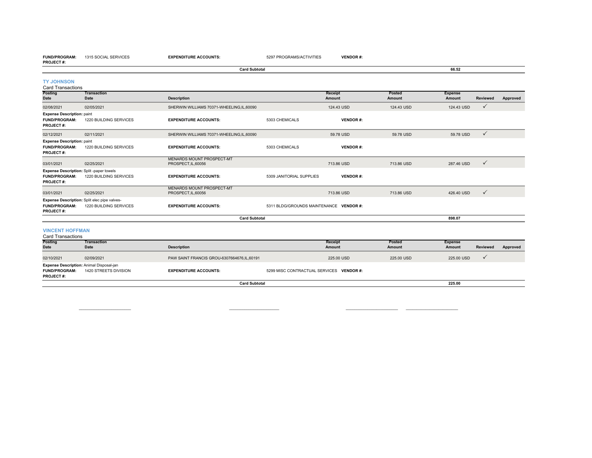**FUND/PROGRAM:** 1315 SOCIAL SERVICES

**EXPENDITURE ACCOUNTS:** 5297 PROGRAMS/ACTIVITIES **VENDOR #:**

|                                                                                     |                                                                        | <b>Card Subtotal</b>                                    |                                         |                   |                  | 66.52                    |                 |          |
|-------------------------------------------------------------------------------------|------------------------------------------------------------------------|---------------------------------------------------------|-----------------------------------------|-------------------|------------------|--------------------------|-----------------|----------|
| <b>TY JOHNSON</b><br><b>Card Transactions</b>                                       |                                                                        |                                                         |                                         |                   |                  |                          |                 |          |
| Posting<br>Date                                                                     | <b>Transaction</b><br>Date                                             | <b>Description</b>                                      |                                         | Receipt<br>Amount | Posted<br>Amount | <b>Expense</b><br>Amount | <b>Reviewed</b> | Approved |
| 02/08/2021                                                                          | 02/05/2021                                                             | SHERWIN WILLIAMS 70371-WHEELING,IL,60090                |                                         | 124.43 USD        | 124.43 USD       | 124.43 USD               | $\checkmark$    |          |
| <b>Expense Description: paint</b><br><b>FUND/PROGRAM:</b><br><b>PROJECT#:</b>       | 1220 BUILDING SERVICES                                                 | <b>EXPENDITURE ACCOUNTS:</b>                            | 5303 CHEMICALS                          | <b>VENDOR#:</b>   |                  |                          |                 |          |
| 02/12/2021                                                                          | 02/11/2021                                                             | SHERWIN WILLIAMS 70371-WHEELING,IL,60090                |                                         | 59.78 USD         | 59.78 USD        | 59.78 USD                | $\checkmark$    |          |
| <b>Expense Description: paint</b><br><b>FUND/PROGRAM:</b><br><b>PROJECT#:</b>       | 1220 BUILDING SERVICES                                                 | <b>EXPENDITURE ACCOUNTS:</b>                            | 5303 CHEMICALS                          | <b>VENDOR#:</b>   |                  |                          |                 |          |
| 03/01/2021                                                                          | 02/25/2021                                                             | <b>MENARDS MOUNT PROSPECT-MT</b><br>PROSPECT, IL, 60056 |                                         | 713.86 USD        | 713.86 USD       | 287.46 USD               | $\checkmark$    |          |
| Expense Description: Split-paper towels<br><b>FUND/PROGRAM:</b><br><b>PROJECT#:</b> | 1220 BUILDING SERVICES                                                 | <b>EXPENDITURE ACCOUNTS:</b>                            | 5309 JANITORIAL SUPPLIES                | <b>VENDOR#:</b>   |                  |                          |                 |          |
| 03/01/2021                                                                          | 02/25/2021                                                             | MENARDS MOUNT PROSPECT-MT<br>PROSPECT, IL, 60056        |                                         | 713.86 USD        | 713.86 USD       | 426,40 USD               | $\checkmark$    |          |
| <b>FUND/PROGRAM:</b><br><b>PROJECT#:</b>                                            | Expense Description: Split elec pipe valves-<br>1220 BUILDING SERVICES | <b>EXPENDITURE ACCOUNTS:</b>                            | 5311 BLDG/GROUNDS MAINTENANCE VENDOR #: |                   |                  |                          |                 |          |
|                                                                                     |                                                                        | <b>Card Subtotal</b>                                    |                                         |                   |                  | 898.07                   |                 |          |
| <b>VINCENT HOFFMAN</b>                                                              |                                                                        |                                                         |                                         |                   |                  |                          |                 |          |

|        |  |  | VINCENT NUFFMAN |  |
|--------|--|--|-----------------|--|
| $\sim$ |  |  |                 |  |

| <b>Card Transactions</b>                                                             |                       |                                              |                                          |            |                                 |                 |          |  |  |  |  |
|--------------------------------------------------------------------------------------|-----------------------|----------------------------------------------|------------------------------------------|------------|---------------------------------|-----------------|----------|--|--|--|--|
| <b>Posting</b>                                                                       | <b>Transaction</b>    |                                              | <b>Receipt</b>                           |            | <b>Posted</b><br><b>Expense</b> |                 |          |  |  |  |  |
| <b>Date</b>                                                                          | <b>Date</b>           | <b>Description</b>                           | Amount                                   | Amount     | Amount                          | <b>Reviewed</b> | Approved |  |  |  |  |
| 02/10/2021                                                                           | 02/09/2021            | PAW SAINT FRANCIS GROU-6307664676, IL, 60191 |                                          | 225.00 USD | 225,00 USD                      | 225,00 USD      |          |  |  |  |  |
| Expense Description: Animal Disposal-jan<br><b>FUND/PROGRAM:</b><br><b>PROJECT#:</b> | 1420 STREETS DIVISION | <b>EXPENDITURE ACCOUNTS:</b>                 | 5299 MISC CONTRACTUAL SERVICES VENDOR #: |            |                                 |                 |          |  |  |  |  |
|                                                                                      |                       | <b>Card Subtotal</b>                         |                                          |            | 225.00                          |                 |          |  |  |  |  |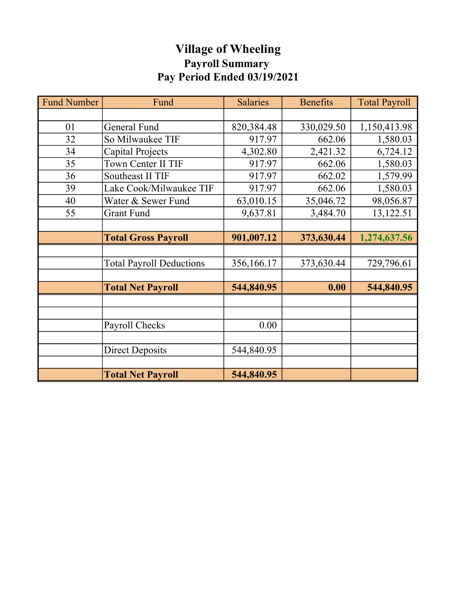# Village of Wheeling Payroll Summary Pay Period Ended 03/19/2021

| <b>Fund Number</b> | Fund                            | <b>Salaries</b> | <b>Benefits</b> | <b>Total Payroll</b> |
|--------------------|---------------------------------|-----------------|-----------------|----------------------|
|                    |                                 |                 |                 |                      |
| 01                 | General Fund                    | 820,384.48      | 330,029.50      | 1,150,413.98         |
| 32                 | So Milwaukee TIF                | 917.97          | 662.06          | 1,580.03             |
| 34                 | Capital Projects                | 4,302.80        | 2,421.32        | 6,724.12             |
| 35                 | Town Center II TIF              | 917.97          | 662.06          | 1,580.03             |
| 36                 | Southeast II TIF                | 917.97          | 662.02          | 1,579.99             |
| 39                 | Lake Cook/Milwaukee TIF         | 917.97          | 662.06          | 1,580.03             |
| 40                 | Water & Sewer Fund              | 63,010.15       | 35,046.72       | 98,056.87            |
| 55                 | <b>Grant Fund</b>               | 9,637.81        | 3,484.70        | 13,122.51            |
|                    |                                 |                 |                 |                      |
|                    | <b>Total Gross Payroll</b>      | 901,007.12      | 373,630.44      | 1,274,637.56         |
|                    |                                 |                 |                 |                      |
|                    | <b>Total Payroll Deductions</b> | 356,166.17      | 373,630.44      | 729,796.61           |
|                    |                                 |                 |                 |                      |
|                    | <b>Total Net Payroll</b>        | 544,840.95      | 0.00            | 544,840.95           |
|                    |                                 |                 |                 |                      |
|                    |                                 |                 |                 |                      |
|                    | Payroll Checks                  | 0.00            |                 |                      |
|                    |                                 |                 |                 |                      |
|                    | <b>Direct Deposits</b>          | 544,840.95      |                 |                      |
|                    |                                 |                 |                 |                      |
|                    | <b>Total Net Payroll</b>        | 544,840.95      |                 |                      |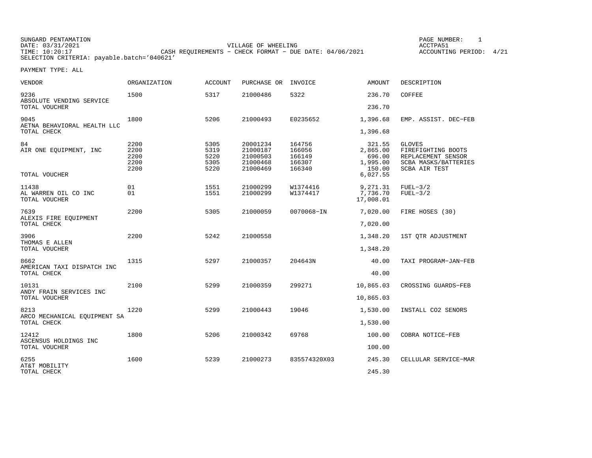SUNGARD PENTAMATION SUNGARD PENTAMATION SUNGARD PAGE NUMBER: 1 DATE: 03/31/2021 VILLAGE OF WHEELING ACCTPA51TIME: 04/06/2021 CASH REQUIREMENTS − CHECK FORMAT - DUE DATE: 04/06/2021 SELECTION CRITERIA: payable.batch='040621'

ACCOUNTING PERIOD: 4/21

| <b>VENDOR</b>                                      | <b>ORGANIZATION</b>                  | <b>ACCOUNT</b>                       | PURCHASE OR                                              | INVOICE                                        | <b>AMOUNT</b>                                                  | DESCRIPTION                                                                                                      |
|----------------------------------------------------|--------------------------------------|--------------------------------------|----------------------------------------------------------|------------------------------------------------|----------------------------------------------------------------|------------------------------------------------------------------------------------------------------------------|
| 9236<br>ABSOLUTE VENDING SERVICE                   | 1500                                 | 5317                                 | 21000486                                                 | 5322                                           | 236.70                                                         | COFFEE                                                                                                           |
| TOTAL VOUCHER                                      |                                      |                                      |                                                          |                                                | 236.70                                                         |                                                                                                                  |
| 9045<br>AETNA BEHAVIORAL HEALTH LLC<br>TOTAL CHECK | 1800                                 | 5206                                 | 21000493                                                 | E0235652                                       | 1,396.68<br>1,396.68                                           | EMP. ASSIST. DEC-FEB                                                                                             |
| 84<br>AIR ONE EQUIPMENT, INC<br>TOTAL VOUCHER      | 2200<br>2200<br>2200<br>2200<br>2200 | 5305<br>5319<br>5220<br>5305<br>5220 | 20001234<br>21000187<br>21000503<br>21000468<br>21000469 | 164756<br>166056<br>166149<br>166307<br>166340 | 321.55<br>2,865.00<br>696.00<br>1,995.00<br>150.00<br>6,027.55 | <b>GLOVES</b><br>FIREFIGHTING BOOTS<br>REPLACEMENT SENSOR<br><b>SCBA MASKS/BATTERIES</b><br><b>SCBA AIR TEST</b> |
| 11438<br>AL WARREN OIL CO INC<br>TOTAL VOUCHER     | 01<br>01                             | 1551<br>1551                         | 21000299<br>21000299                                     | W1374416<br>W1374417                           | 9,271.31<br>7,736.70<br>17,008.01                              | $FUEL-3/2$<br>$FUEL-3/2$                                                                                         |
| 7639<br>ALEXIS FIRE EQUIPMENT                      | 2200                                 | 5305                                 | 21000059                                                 | $0070068 - IN$                                 | 7,020.00                                                       | FIRE HOSES (30)                                                                                                  |
| TOTAL CHECK                                        |                                      |                                      |                                                          |                                                | 7,020.00                                                       |                                                                                                                  |
| 3906<br>THOMAS E ALLEN                             | 2200                                 | 5242                                 | 21000558                                                 |                                                | 1,348.20                                                       | 1ST OTR ADJUSTMENT                                                                                               |
| TOTAL VOUCHER                                      |                                      |                                      |                                                          |                                                | 1,348.20                                                       |                                                                                                                  |
| 8662<br>AMERICAN TAXI DISPATCH INC                 | 1315                                 | 5297                                 | 21000357                                                 | 204643N                                        | 40.00                                                          | TAXI PROGRAM-JAN-FEB                                                                                             |
| TOTAL CHECK                                        |                                      |                                      |                                                          |                                                | 40.00                                                          |                                                                                                                  |
| 10131<br>ANDY FRAIN SERVICES INC                   | 2100                                 | 5299                                 | 21000359                                                 | 299271                                         | 10,865.03                                                      | CROSSING GUARDS-FEB                                                                                              |
| TOTAL VOUCHER                                      |                                      |                                      |                                                          |                                                | 10,865.03                                                      |                                                                                                                  |
| 8213                                               | 1220                                 | 5299                                 | 21000443                                                 | 19046                                          | 1,530.00                                                       | INSTALL CO2 SENORS                                                                                               |
| ARCO MECHANICAL EOUIPMENT SA<br>TOTAL CHECK        |                                      |                                      |                                                          |                                                | 1,530.00                                                       |                                                                                                                  |
| 12412                                              | 1800                                 | 5206                                 | 21000342                                                 | 69768                                          | 100.00                                                         | COBRA NOTICE-FEB                                                                                                 |
| ASCENSUS HOLDINGS INC<br>TOTAL VOUCHER             |                                      |                                      |                                                          |                                                | 100.00                                                         |                                                                                                                  |
| 6255                                               | 1600                                 | 5239                                 | 21000273                                                 | 835574320X03                                   | 245.30                                                         | CELLULAR SERVICE-MAR                                                                                             |
| AT&T MOBILITY<br>TOTAL CHECK                       |                                      |                                      |                                                          |                                                | 245.30                                                         |                                                                                                                  |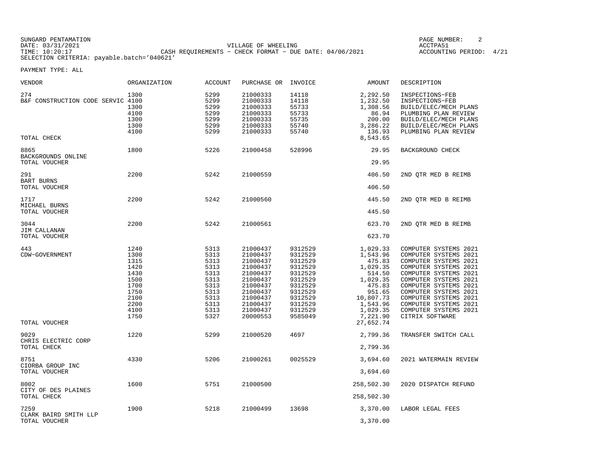| SUNGARD PENTAMATION                        |                                                           | PAGE NUMBER:       |      |
|--------------------------------------------|-----------------------------------------------------------|--------------------|------|
| DATE: 03/31/2021                           | VILLAGE OF WHEELING                                       | ACCTPA5.           |      |
| TIME: 10:20:17                             | CASH REOUIREMENTS - CHECK FORMAT - DUE DATE: $04/06/2021$ | ACCOUNTING PERIOD: | 4/21 |
| SELECTION CRITERIA: payable.batch='040621' |                                                           |                    |      |

| VENDOR                                                  | ORGANIZATION                                                                                 | <b>ACCOUNT</b>                                                                               | PURCHASE OR                                                                                                                                  | INVOICE                                                                                                                          | <b>AMOUNT</b>                                                                                                                         | DESCRIPTION                                                                                                                                                                                                                                                                                        |
|---------------------------------------------------------|----------------------------------------------------------------------------------------------|----------------------------------------------------------------------------------------------|----------------------------------------------------------------------------------------------------------------------------------------------|----------------------------------------------------------------------------------------------------------------------------------|---------------------------------------------------------------------------------------------------------------------------------------|----------------------------------------------------------------------------------------------------------------------------------------------------------------------------------------------------------------------------------------------------------------------------------------------------|
| 274<br>B&F CONSTRUCTION CODE SERVIC 4100<br>TOTAL CHECK | 1300<br>1300<br>4100<br>1300<br>1300<br>4100                                                 | 5299<br>5299<br>5299<br>5299<br>5299<br>5299<br>5299                                         | 21000333<br>21000333<br>21000333<br>21000333<br>21000333<br>21000333<br>21000333                                                             | 14118<br>14118<br>55733<br>55733<br>55735<br>55740<br>55740                                                                      | 2,292.50<br>1,232.50<br>1,308.56<br>86.94<br>200.00<br>3,286.22<br>136.93<br>8,543.65                                                 | INSPECTIONS-FEB<br>INSPECTIONS-FEB<br>BUILD/ELEC/MECH PLANS<br>PLUMBING PLAN REVIEW<br>BUILD/ELEC/MECH PLANS<br>BUILD/ELEC/MECH PLANS<br>PLUMBING PLAN REVIEW                                                                                                                                      |
| 8865                                                    | 1800                                                                                         | 5226                                                                                         | 21000458                                                                                                                                     | 528996                                                                                                                           | 29.95                                                                                                                                 | BACKGROUND CHECK                                                                                                                                                                                                                                                                                   |
| BACKGROUNDS ONLINE<br>TOTAL VOUCHER                     |                                                                                              |                                                                                              |                                                                                                                                              |                                                                                                                                  | 29.95                                                                                                                                 |                                                                                                                                                                                                                                                                                                    |
| 291<br><b>BART BURNS</b>                                | 2200                                                                                         | 5242                                                                                         | 21000559                                                                                                                                     |                                                                                                                                  | 406.50                                                                                                                                | 2ND QTR MED B REIMB                                                                                                                                                                                                                                                                                |
| TOTAL VOUCHER                                           |                                                                                              |                                                                                              |                                                                                                                                              |                                                                                                                                  | 406.50                                                                                                                                |                                                                                                                                                                                                                                                                                                    |
| 1717<br>MICHAEL BURNS                                   | 2200                                                                                         | 5242                                                                                         | 21000560                                                                                                                                     |                                                                                                                                  | 445.50                                                                                                                                | 2ND QTR MED B REIMB                                                                                                                                                                                                                                                                                |
| TOTAL VOUCHER                                           |                                                                                              |                                                                                              |                                                                                                                                              |                                                                                                                                  | 445.50                                                                                                                                |                                                                                                                                                                                                                                                                                                    |
| 3044<br>JIM CALLANAN                                    | 2200                                                                                         | 5242                                                                                         | 21000561                                                                                                                                     |                                                                                                                                  | 623.70                                                                                                                                | 2ND QTR MED B REIMB                                                                                                                                                                                                                                                                                |
| TOTAL VOUCHER                                           |                                                                                              |                                                                                              |                                                                                                                                              |                                                                                                                                  | 623.70                                                                                                                                |                                                                                                                                                                                                                                                                                                    |
| 443<br>CDW-GOVERNMENT                                   | 1240<br>1300<br>1315<br>1420<br>1430<br>1500<br>1700<br>1750<br>2100<br>2200<br>4100<br>1750 | 5313<br>5313<br>5313<br>5313<br>5313<br>5313<br>5313<br>5313<br>5313<br>5313<br>5313<br>5327 | 21000437<br>21000437<br>21000437<br>21000437<br>21000437<br>21000437<br>21000437<br>21000437<br>21000437<br>21000437<br>21000437<br>20000553 | 9312529<br>9312529<br>9312529<br>9312529<br>9312529<br>9312529<br>9312529<br>9312529<br>9312529<br>9312529<br>9312529<br>9585049 | 1,029.33<br>1,543.96<br>475.83<br>1,029.35<br>514.50<br>1,029.35<br>475.83<br>951.65<br>10,807.73<br>1,543.96<br>1,029.35<br>7,221.90 | COMPUTER SYSTEMS 2021<br>COMPUTER SYSTEMS 2021<br>COMPUTER SYSTEMS 2021<br>COMPUTER SYSTEMS 2021<br>COMPUTER SYSTEMS 2021<br>COMPUTER SYSTEMS 2021<br>COMPUTER SYSTEMS 2021<br>COMPUTER SYSTEMS 2021<br>COMPUTER SYSTEMS 2021<br>COMPUTER SYSTEMS 2021<br>COMPUTER SYSTEMS 2021<br>CITRIX SOFTWARE |
| TOTAL VOUCHER                                           |                                                                                              |                                                                                              |                                                                                                                                              |                                                                                                                                  | 27,652.74                                                                                                                             |                                                                                                                                                                                                                                                                                                    |
| 9029<br>CHRIS ELECTRIC CORP<br>TOTAL CHECK              | 1220                                                                                         | 5299                                                                                         | 21000520                                                                                                                                     | 4697                                                                                                                             | 2,799.36<br>2,799.36                                                                                                                  | TRANSFER SWITCH CALL                                                                                                                                                                                                                                                                               |
| 8751<br>CIORBA GROUP INC<br>TOTAL VOUCHER               | 4330                                                                                         | 5206                                                                                         | 21000261                                                                                                                                     | 0025529                                                                                                                          | 3,694.60<br>3,694.60                                                                                                                  | 2021 WATERMAIN REVIEW                                                                                                                                                                                                                                                                              |
| 8002<br>CITY OF DES PLAINES<br>TOTAL CHECK              | 1600                                                                                         | 5751                                                                                         | 21000500                                                                                                                                     |                                                                                                                                  | 258,502.30<br>258,502.30                                                                                                              | 2020 DISPATCH REFUND                                                                                                                                                                                                                                                                               |
| 7259<br>CLARK BAIRD SMITH LLP<br>TOTAL VOUCHER          | 1900                                                                                         | 5218                                                                                         | 21000499                                                                                                                                     | 13698                                                                                                                            | 3,370.00<br>3,370.00                                                                                                                  | LABOR LEGAL FEES                                                                                                                                                                                                                                                                                   |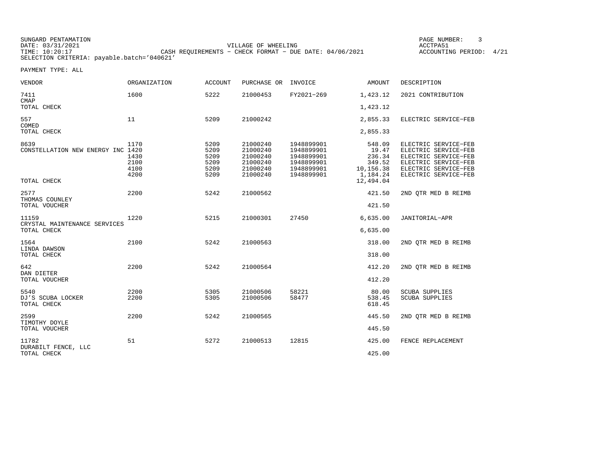| SUNGARD PENTAMATION                        |                                                           |                     | PAGE NUMBER:            |  |
|--------------------------------------------|-----------------------------------------------------------|---------------------|-------------------------|--|
| DATE: 03/31/2021                           |                                                           | VILLAGE OF WHEELING | ACCTPA51                |  |
| TIME: 10:20:17                             | CASH REOUIREMENTS - CHECK FORMAT - DUE DATE: $04/06/2021$ |                     | ACCOUNTING PERIOD: 4/21 |  |
| SELECTION CRITERIA: payable.batch='040621' |                                                           |                     |                         |  |

| <b>VENDOR</b>                                        | <b>ORGANIZATION</b>                  | <b>ACCOUNT</b>                               | PURCHASE OR                                                          | INVOICE                                                                          | AMOUNT                                                       | DESCRIPTION                                                                                                                                  |
|------------------------------------------------------|--------------------------------------|----------------------------------------------|----------------------------------------------------------------------|----------------------------------------------------------------------------------|--------------------------------------------------------------|----------------------------------------------------------------------------------------------------------------------------------------------|
| 7411<br><b>CMAP</b>                                  | 1600                                 | 5222                                         | 21000453                                                             | FY2021-269                                                                       | 1,423.12                                                     | 2021 CONTRIBUTION                                                                                                                            |
| TOTAL CHECK                                          |                                      |                                              |                                                                      |                                                                                  | 1,423.12                                                     |                                                                                                                                              |
| 557<br>COMED                                         | 11                                   | 5209                                         | 21000242                                                             |                                                                                  | 2,855.33                                                     | ELECTRIC SERVICE-FEB                                                                                                                         |
| TOTAL CHECK                                          |                                      |                                              |                                                                      |                                                                                  | 2,855.33                                                     |                                                                                                                                              |
| 8639<br>CONSTELLATION NEW ENERGY INC 1420            | 1170<br>1430<br>2100<br>4100<br>4200 | 5209<br>5209<br>5209<br>5209<br>5209<br>5209 | 21000240<br>21000240<br>21000240<br>21000240<br>21000240<br>21000240 | 1948899901<br>1948899901<br>1948899901<br>1948899901<br>1948899901<br>1948899901 | 548.09<br>19.47<br>236.34<br>349.52<br>10,156.38<br>1,184.24 | ELECTRIC SERVICE-FEB<br>ELECTRIC SERVICE-FEB<br>ELECTRIC SERVICE-FEB<br>ELECTRIC SERVICE-FEB<br>ELECTRIC SERVICE-FEB<br>ELECTRIC SERVICE-FEB |
| TOTAL CHECK                                          |                                      |                                              |                                                                      |                                                                                  | 12,494.04                                                    |                                                                                                                                              |
| 2577<br>THOMAS COUNLEY                               | 2200                                 | 5242                                         | 21000562                                                             |                                                                                  | 421.50                                                       | 2ND OTR MED B REIMB                                                                                                                          |
| TOTAL VOUCHER                                        |                                      |                                              |                                                                      |                                                                                  | 421.50                                                       |                                                                                                                                              |
| 11159<br>CRYSTAL MAINTENANCE SERVICES<br>TOTAL CHECK | 1220                                 | 5215                                         | 21000301                                                             | 27450                                                                            | 6,635.00<br>6,635.00                                         | JANITORIAL-APR                                                                                                                               |
| 1564                                                 | 2100                                 | 5242                                         | 21000563                                                             |                                                                                  | 318.00                                                       | 2ND OTR MED B REIMB                                                                                                                          |
| LINDA DAWSON<br>TOTAL CHECK                          |                                      |                                              |                                                                      |                                                                                  | 318.00                                                       |                                                                                                                                              |
| 642<br>DAN DIETER                                    | 2200                                 | 5242                                         | 21000564                                                             |                                                                                  | 412.20                                                       | 2ND OTR MED B REIMB                                                                                                                          |
| TOTAL VOUCHER                                        |                                      |                                              |                                                                      |                                                                                  | 412.20                                                       |                                                                                                                                              |
| 5540<br>DJ'S SCUBA LOCKER<br>TOTAL CHECK             | 2200<br>2200                         | 5305<br>5305                                 | 21000506<br>21000506                                                 | 58221<br>58477                                                                   | 80.00<br>538.45<br>618.45                                    | <b>SCUBA SUPPLIES</b><br><b>SCUBA SUPPLIES</b>                                                                                               |
| 2599<br>TIMOTHY DOYLE                                | 2200                                 | 5242                                         | 21000565                                                             |                                                                                  | 445.50                                                       | 2ND QTR MED B REIMB                                                                                                                          |
| TOTAL VOUCHER                                        |                                      |                                              |                                                                      |                                                                                  | 445.50                                                       |                                                                                                                                              |
| 11782<br>DURABILT FENCE, LLC                         | 51                                   | 5272                                         | 21000513                                                             | 12815                                                                            | 425.00                                                       | FENCE REPLACEMENT                                                                                                                            |
| TOTAL CHECK                                          |                                      |                                              |                                                                      |                                                                                  | 425.00                                                       |                                                                                                                                              |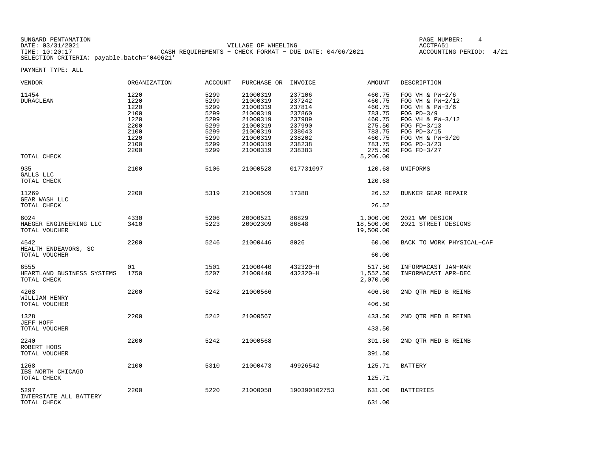| SUNGARD PENTAMATION                        |                                                           | PAGE NUMBER:            |  |
|--------------------------------------------|-----------------------------------------------------------|-------------------------|--|
| DATE: 03/31/2021                           | VILLAGE OF WHEELING                                       | ACCTPA51                |  |
| TIME: 10:20:17                             | CASH REOUIREMENTS - CHECK FORMAT - DUE DATE: $04/06/2021$ | ACCOUNTING PERIOD: 4/21 |  |
| SELECTION CRITERIA: payable.batch='040621' |                                                           |                         |  |

| VENDOR                                            | ORGANIZATION                                                                 | ACCOUNT                                                                      | PURCHASE OR                                                                                                          | INVOICE                                                                                          | AMOUNT                                                                                                       | DESCRIPTION                                                                                                                                                                        |
|---------------------------------------------------|------------------------------------------------------------------------------|------------------------------------------------------------------------------|----------------------------------------------------------------------------------------------------------------------|--------------------------------------------------------------------------------------------------|--------------------------------------------------------------------------------------------------------------|------------------------------------------------------------------------------------------------------------------------------------------------------------------------------------|
| 11454<br><b>DURACLEAN</b><br>TOTAL CHECK          | 1220<br>1220<br>1220<br>2100<br>1220<br>2200<br>2100<br>1220<br>2100<br>2200 | 5299<br>5299<br>5299<br>5299<br>5299<br>5299<br>5299<br>5299<br>5299<br>5299 | 21000319<br>21000319<br>21000319<br>21000319<br>21000319<br>21000319<br>21000319<br>21000319<br>21000319<br>21000319 | 237106<br>237242<br>237814<br>237860<br>237989<br>237990<br>238043<br>238202<br>238238<br>238383 | 460.75<br>460.75<br>460.75<br>783.75<br>460.75<br>275.50<br>783.75<br>460.75<br>783.75<br>275.50<br>5,206.00 | FOG VH & $PW-2/6$<br>FOG VH & $PW-2/12$<br>FOG VH & $PW-3/6$<br>FOG $PD-3/9$<br>FOG VH & PW-3/12<br>FOG $FD-3/13$<br>FOG PD-3/15<br>FOG VH & PW-3/20<br>FOG PD-3/23<br>FOG FD-3/27 |
| 935<br>GALLS LLC<br>TOTAL CHECK                   | 2100                                                                         | 5106                                                                         | 21000528                                                                                                             | 017731097                                                                                        | 120.68<br>120.68                                                                                             | UNIFORMS                                                                                                                                                                           |
| 11269<br>GEAR WASH LLC<br>TOTAL CHECK             | 2200                                                                         | 5319                                                                         | 21000509                                                                                                             | 17388                                                                                            | 26.52<br>26.52                                                                                               | BUNKER GEAR REPAIR                                                                                                                                                                 |
| 6024<br>HAEGER ENGINEERING LLC<br>TOTAL VOUCHER   | 4330<br>3410                                                                 | 5206<br>5223                                                                 | 20000521<br>20002309                                                                                                 | 86829<br>86848                                                                                   | 1,000.00<br>18,500.00<br>19,500.00                                                                           | 2021 WM DESIGN<br>2021 STREET DESIGNS                                                                                                                                              |
| 4542<br>HEALTH ENDEAVORS, SC<br>TOTAL VOUCHER     | 2200                                                                         | 5246                                                                         | 21000446                                                                                                             | 8026                                                                                             | 60.00<br>60.00                                                                                               | BACK TO WORK PHYSICAL-CAF                                                                                                                                                          |
| 6555<br>HEARTLAND BUSINESS SYSTEMS<br>TOTAL CHECK | 01<br>1750                                                                   | 1501<br>5207                                                                 | 21000440<br>21000440                                                                                                 | 432320-H<br>432320-H                                                                             | 517.50<br>1,552.50<br>2,070.00                                                                               | INFORMACAST JAN-MAR<br>INFORMACAST APR-DEC                                                                                                                                         |
| 4268<br>WILLIAM HENRY<br>TOTAL VOUCHER            | 2200                                                                         | 5242                                                                         | 21000566                                                                                                             |                                                                                                  | 406.50<br>406.50                                                                                             | 2ND OTR MED B REIMB                                                                                                                                                                |
| 1328<br>JEFF HOFF<br>TOTAL VOUCHER                | 2200                                                                         | 5242                                                                         | 21000567                                                                                                             |                                                                                                  | 433.50<br>433.50                                                                                             | 2ND QTR MED B REIMB                                                                                                                                                                |
| 2240<br>ROBERT HOOS<br>TOTAL VOUCHER              | 2200                                                                         | 5242                                                                         | 21000568                                                                                                             |                                                                                                  | 391.50<br>391.50                                                                                             | 2ND QTR MED B REIMB                                                                                                                                                                |
| 1268<br>IBS NORTH CHICAGO<br>TOTAL CHECK          | 2100                                                                         | 5310                                                                         | 21000473                                                                                                             | 49926542                                                                                         | 125.71<br>125.71                                                                                             | <b>BATTERY</b>                                                                                                                                                                     |
| 5297<br>INTERSTATE ALL BATTERY<br>TOTAL CHECK     | 2200                                                                         | 5220                                                                         | 21000058                                                                                                             | 190390102753                                                                                     | 631.00<br>631.00                                                                                             | <b>BATTERIES</b>                                                                                                                                                                   |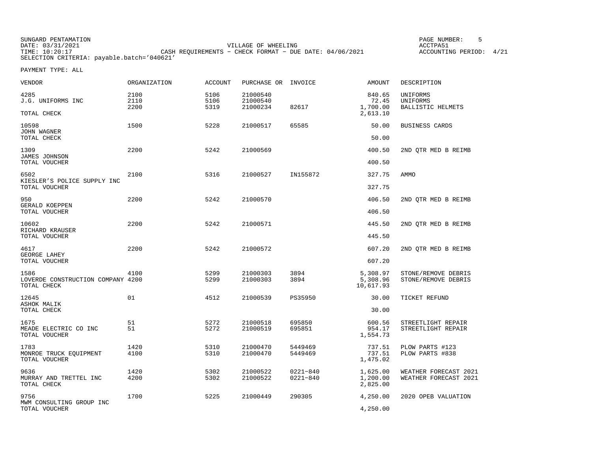| SUNGARD PENTAMATION |                                                           | PAGE NUMBER:       |      |
|---------------------|-----------------------------------------------------------|--------------------|------|
| DATE: 03/31/2021    | VILLAGE OF WHEELING                                       | ACCTPA51           |      |
| TIME: 10:20:17      | CASH REOUIREMENTS - CHECK FORMAT - DUE DATE: $04/06/2021$ | ACCOUNTING PERIOD: | 4/21 |
|                     | SELECTION CRITERIA: payable.batch='040621'                |                    |      |

| VENDOR                                                   | ORGANIZATION         | <b>ACCOUNT</b>       | PURCHASE OR                      | INVOICE                      | <b>AMOUNT</b>                           | DESCRIPTION                                      |
|----------------------------------------------------------|----------------------|----------------------|----------------------------------|------------------------------|-----------------------------------------|--------------------------------------------------|
| 4285<br>J.G. UNIFORMS INC<br>TOTAL CHECK                 | 2100<br>2110<br>2200 | 5106<br>5106<br>5319 | 21000540<br>21000540<br>21000234 | 82617                        | 840.65<br>72.45<br>1,700.00<br>2,613.10 | UNIFORMS<br>UNIFORMS<br><b>BALLISTIC HELMETS</b> |
| 10598<br><b>JOHN WAGNER</b><br>TOTAL CHECK               | 1500                 | 5228                 | 21000517                         | 65585                        | 50.00<br>50.00                          | BUSINESS CARDS                                   |
| 1309<br>JAMES JOHNSON<br>TOTAL VOUCHER                   | 2200                 | 5242                 | 21000569                         |                              | 400.50<br>400.50                        | 2ND OTR MED B REIMB                              |
| 6502<br>KIESLER'S POLICE SUPPLY INC<br>TOTAL VOUCHER     | 2100                 | 5316                 | 21000527                         | IN155872                     | 327.75<br>327.75                        | AMMO                                             |
| 950<br>GERALD KOEPPEN<br>TOTAL VOUCHER                   | 2200                 | 5242                 | 21000570                         |                              | 406.50<br>406.50                        | 2ND OTR MED B REIMB                              |
| 10602<br>RICHARD KRAUSER<br>TOTAL VOUCHER                | 2200                 | 5242                 | 21000571                         |                              | 445.50<br>445.50                        | 2ND OTR MED B REIMB                              |
| 4617<br>GEORGE LAHEY<br>TOTAL VOUCHER                    | 2200                 | 5242                 | 21000572                         |                              | 607.20<br>607.20                        | 2ND OTR MED B REIMB                              |
| 1586<br>LOVERDE CONSTRUCTION COMPANY 4200<br>TOTAL CHECK | 4100                 | 5299<br>5299         | 21000303<br>21000303             | 3894<br>3894                 | 5,308.97<br>5,308.96<br>10,617.93       | STONE/REMOVE DEBRIS<br>STONE/REMOVE DEBRIS       |
| 12645<br>ASHOK MALIK<br>TOTAL CHECK                      | 01                   | 4512                 | 21000539                         | PS35950                      | 30.00<br>30.00                          | TICKET REFUND                                    |
| 1675<br>MEADE ELECTRIC CO INC<br>TOTAL VOUCHER           | 51<br>51             | 5272<br>5272         | 21000518<br>21000519             | 695850<br>695851             | 600.56<br>954.17<br>1,554.73            | STREETLIGHT REPAIR<br>STREETLIGHT REPAIR         |
| 1783<br>MONROE TRUCK EQUIPMENT<br>TOTAL VOUCHER          | 1420<br>4100         | 5310<br>5310         | 21000470<br>21000470             | 5449469<br>5449469           | 737.51<br>737.51<br>1,475.02            | PLOW PARTS #123<br>PLOW PARTS #838               |
| 9636<br>MURRAY AND TRETTEL INC<br>TOTAL CHECK            | 1420<br>4200         | 5302<br>5302         | 21000522<br>21000522             | $0221 - 840$<br>$0221 - 840$ | 1,625.00<br>1,200.00<br>2,825.00        | WEATHER FORECAST 2021<br>WEATHER FORECAST 2021   |
| 9756<br>MWM CONSULTING GROUP INC<br>TOTAL VOUCHER        | 1700                 | 5225                 | 21000449                         | 290305                       | 4,250.00<br>4,250.00                    | 2020 OPEB VALUATION                              |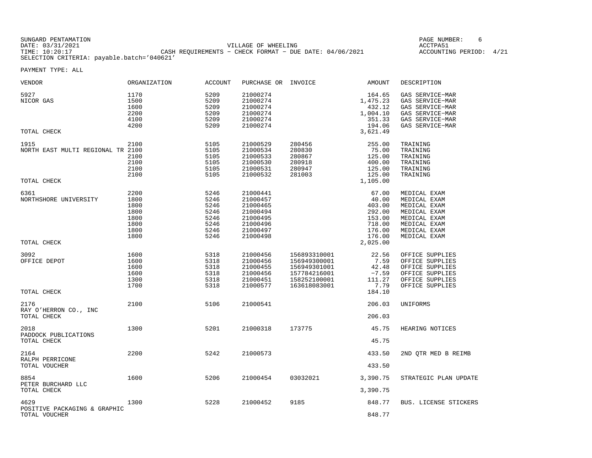| SUNGARD PENTAMATION                        |                                                           | PAGE NUMBER:            |  |
|--------------------------------------------|-----------------------------------------------------------|-------------------------|--|
| DATE: 03/31/2021                           | VILLAGE OF WHEELING                                       | ACCTPA51                |  |
| TIME: 10:20:17                             | CASH REQUIREMENTS - CHECK FORMAT - DUE DATE: $04/06/2021$ | ACCOUNTING PERIOD: 4/21 |  |
| SELECTION CRITERIA: payable.batch='040621' |                                                           |                         |  |

| <b>VENDOR</b>                                            | ORGANIZATION                                                 | <b>ACCOUNT</b>                                               | PURCHASE OR INVOICE                                                                          |                                                                                              | <b>AMOUNT</b>                                                              | DESCRIPTION                                                                                                                  |
|----------------------------------------------------------|--------------------------------------------------------------|--------------------------------------------------------------|----------------------------------------------------------------------------------------------|----------------------------------------------------------------------------------------------|----------------------------------------------------------------------------|------------------------------------------------------------------------------------------------------------------------------|
| 5927<br>NICOR GAS                                        | 1170<br>1500<br>1600<br>2200<br>4100<br>4200                 | 5209<br>5209<br>5209<br>5209<br>5209<br>5209                 | 21000274<br>21000274<br>21000274<br>21000274<br>21000274<br>21000274                         |                                                                                              | 164.65<br>1,475.23<br>432.12<br>1,004.10<br>351.33<br>194.06               | GAS SERVICE-MAR<br>GAS SERVICE-MAR<br>GAS SERVICE-MAR<br>GAS SERVICE-MAR<br>GAS SERVICE-MAR<br>GAS SERVICE-MAR               |
| TOTAL CHECK                                              |                                                              |                                                              |                                                                                              |                                                                                              | 3,621.49                                                                   |                                                                                                                              |
| 1915<br>NORTH EAST MULTI REGIONAL TR 2100<br>TOTAL CHECK | 2100<br>2100<br>2100<br>2100<br>2100                         | 5105<br>5105<br>5105<br>5105<br>5105<br>5105                 | 21000529<br>21000534<br>21000533<br>21000530<br>21000531<br>21000532                         | 280456<br>280830<br>280867<br>280918<br>280947<br>281003                                     | 255.00<br>75.00<br>125.00<br>400.00<br>125.00<br>125.00<br>1,105.00        | TRAINING<br>TRAINING<br>TRAINING<br>TRAINING<br>TRAINING<br>TRAINING                                                         |
| 6361<br>NORTHSHORE UNIVERSITY                            | 2200<br>1800<br>1800<br>1800<br>1800<br>1800<br>1800<br>1800 | 5246<br>5246<br>5246<br>5246<br>5246<br>5246<br>5246<br>5246 | 21000441<br>21000457<br>21000465<br>21000494<br>21000495<br>21000496<br>21000497<br>21000498 |                                                                                              | 67.00<br>40.00<br>403.00<br>292.00<br>153.00<br>718.00<br>176.00<br>176.00 | MEDICAL EXAM<br>MEDICAL EXAM<br>MEDICAL EXAM<br>MEDICAL EXAM<br>MEDICAL EXAM<br>MEDICAL EXAM<br>MEDICAL EXAM<br>MEDICAL EXAM |
| TOTAL CHECK                                              |                                                              |                                                              |                                                                                              |                                                                                              | 2,025.00                                                                   |                                                                                                                              |
| 3092<br>OFFICE DEPOT<br>TOTAL CHECK                      | 1600<br>1600<br>1600<br>1600<br>1300<br>1700                 | 5318<br>5318<br>5318<br>5318<br>5318<br>5318                 | 21000456<br>21000456<br>21000455<br>21000456<br>21000451<br>21000577                         | 156893310001<br>156949300001<br>156949301001<br>157784216001<br>158252100001<br>163618083001 | 22.56<br>7.59<br>42.48<br>$-7.59$<br>111.27<br>7.79<br>184.10              | OFFICE SUPPLIES<br>OFFICE SUPPLIES<br>OFFICE SUPPLIES<br>OFFICE SUPPLIES<br>OFFICE SUPPLIES<br>OFFICE SUPPLIES               |
| 2176                                                     | 2100                                                         | 5106                                                         | 21000541                                                                                     |                                                                                              | 206.03                                                                     | UNIFORMS                                                                                                                     |
| RAY O'HERRON CO., INC<br>TOTAL CHECK                     |                                                              |                                                              |                                                                                              |                                                                                              | 206.03                                                                     |                                                                                                                              |
| 2018<br>PADDOCK PUBLICATIONS<br>TOTAL CHECK              | 1300                                                         | 5201                                                         | 21000318                                                                                     | 173775                                                                                       | 45.75<br>45.75                                                             | HEARING NOTICES                                                                                                              |
| 2164<br>RALPH PERRICONE<br>TOTAL VOUCHER                 | 2200                                                         | 5242                                                         | 21000573                                                                                     |                                                                                              | 433.50<br>433.50                                                           | 2ND QTR MED B REIMB                                                                                                          |
| 8854<br>PETER BURCHARD LLC                               | 1600                                                         | 5206                                                         | 21000454                                                                                     | 03032021                                                                                     | 3,390.75                                                                   | STRATEGIC PLAN UPDATE                                                                                                        |
| TOTAL CHECK                                              |                                                              |                                                              |                                                                                              |                                                                                              | 3,390.75                                                                   |                                                                                                                              |
| 4629<br>POSITIVE PACKAGING & GRAPHIC<br>TOTAL VOUCHER    | 1300                                                         | 5228                                                         | 21000452                                                                                     | 9185                                                                                         | 848.77<br>848.77                                                           | BUS. LICENSE STICKERS                                                                                                        |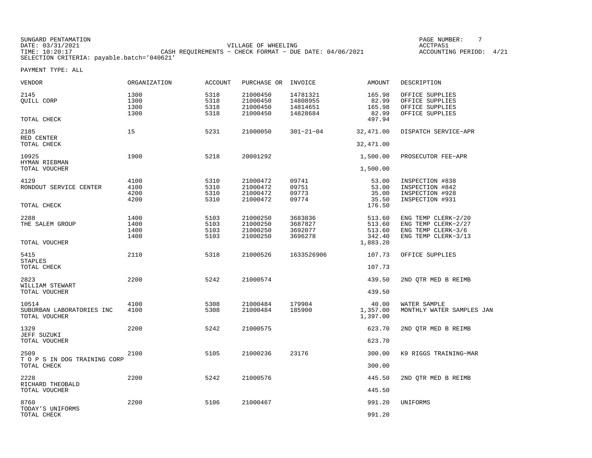| SUNGARD PENTAMATION                        |                                                           | PAGE NUMBER:       |      |
|--------------------------------------------|-----------------------------------------------------------|--------------------|------|
| DATE: 03/31/2021                           | VILLAGE OF WHEELING                                       | ACCTPA5            |      |
| TIME: 10:20:17                             | CASH REOUIREMENTS - CHECK FORMAT - DUE DATE: $04/06/2021$ | ACCOUNTING PERIOD: | 4/21 |
| SELECTION CRITERIA: payable.batch='040621' |                                                           |                    |      |

| VENDOR                                              | <b>ORGANIZATION</b>          | <b>ACCOUNT</b>               | PURCHASE OR                                  | INVOICE                                      | AMOUNT                                     | DESCRIPTION                                                              |
|-----------------------------------------------------|------------------------------|------------------------------|----------------------------------------------|----------------------------------------------|--------------------------------------------|--------------------------------------------------------------------------|
| 2145<br>QUILL CORP                                  | 1300<br>1300<br>1300<br>1300 | 5318<br>5318<br>5318<br>5318 | 21000450<br>21000450<br>21000450<br>21000450 | 14781321<br>14808955<br>14814651<br>14828684 | 165.98<br>82.99<br>165.98<br>82.99         | OFFICE SUPPLIES<br>OFFICE SUPPLIES<br>OFFICE SUPPLIES<br>OFFICE SUPPLIES |
| TOTAL CHECK                                         |                              |                              |                                              |                                              | 497.94                                     |                                                                          |
| 2185<br>RED CENTER<br>TOTAL CHECK                   | 15                           | 5231                         | 21000050                                     | $301 - 21 - 04$                              | 32,471.00<br>32,471.00                     | DISPATCH SERVICE-APR                                                     |
| 10925<br>HYMAN RIEBMAN<br>TOTAL VOUCHER             | 1900                         | 5218                         | 20001292                                     |                                              | 1,500.00<br>1,500.00                       | PROSECUTOR FEE-APR                                                       |
|                                                     |                              |                              |                                              |                                              |                                            |                                                                          |
| 4129<br>RONDOUT SERVICE CENTER<br>TOTAL CHECK       | 4100<br>4100<br>4200<br>4200 | 5310<br>5310<br>5310<br>5310 | 21000472<br>21000472<br>21000472<br>21000472 | 09741<br>09751<br>09773<br>09774             | 53.00<br>53.00<br>35.00<br>35.50<br>176.50 | INSPECTION #838<br>INSPECTION #842<br>INSPECTION #928<br>INSPECTION #931 |
| 2288                                                | 1400                         | 5103                         | 21000250                                     | 3683836                                      | 513.60                                     | ENG TEMP CLERK-2/20                                                      |
| THE SALEM GROUP                                     | 1400<br>1400<br>1400         | 5103<br>5103<br>5103         | 21000250<br>21000250<br>21000250             | 3687827<br>3692077<br>3696278                | 513.60<br>513.60<br>342.40                 | ENG TEMP CLERK-2/27<br>ENG TEMP CLERK-3/6<br>ENG TEMP CLERK-3/13         |
| TOTAL VOUCHER                                       |                              |                              |                                              |                                              | 1,883.20                                   |                                                                          |
| 5415<br><b>STAPLES</b>                              | 2110                         | 5318                         | 21000526                                     | 1633526906                                   | 107.73                                     | OFFICE SUPPLIES                                                          |
| TOTAL CHECK                                         |                              |                              |                                              |                                              | 107.73                                     |                                                                          |
| 2823<br>WILLIAM STEWART                             | 2200                         | 5242                         | 21000574                                     |                                              | 439.50                                     | 2ND QTR MED B REIMB                                                      |
| TOTAL VOUCHER                                       |                              |                              |                                              |                                              | 439.50                                     |                                                                          |
| 10514<br>SUBURBAN LABORATORIES INC<br>TOTAL VOUCHER | 4100<br>4100                 | 5308<br>5308                 | 21000484<br>21000484                         | 179904<br>185900                             | 40.00<br>1,357.00<br>1,397.00              | WATER SAMPLE<br>MONTHLY WATER SAMPLES JAN                                |
| 1329                                                | 2200                         | 5242                         | 21000575                                     |                                              | 623.70                                     | 2ND QTR MED B REIMB                                                      |
| <b>JEFF SUZUKI</b><br>TOTAL VOUCHER                 |                              |                              |                                              |                                              | 623.70                                     |                                                                          |
| 2509<br>T O P S IN DOG TRAINING CORP                | 2100                         | 5105                         | 21000236                                     | 23176                                        | 300.00                                     | K9 RIGGS TRAINING-MAR                                                    |
| TOTAL CHECK                                         |                              |                              |                                              |                                              | 300.00                                     |                                                                          |
| 2228<br>RICHARD THEOBALD                            | 2200                         | 5242                         | 21000576                                     |                                              | 445.50                                     | 2ND QTR MED B REIMB                                                      |
| TOTAL VOUCHER                                       |                              |                              |                                              |                                              | 445.50                                     |                                                                          |
| 8760<br>TODAY'S UNIFORMS                            | 2200                         | 5106                         | 21000467                                     |                                              | 991.20                                     | UNIFORMS                                                                 |
| TOTAL CHECK                                         |                              |                              |                                              |                                              | 991.20                                     |                                                                          |